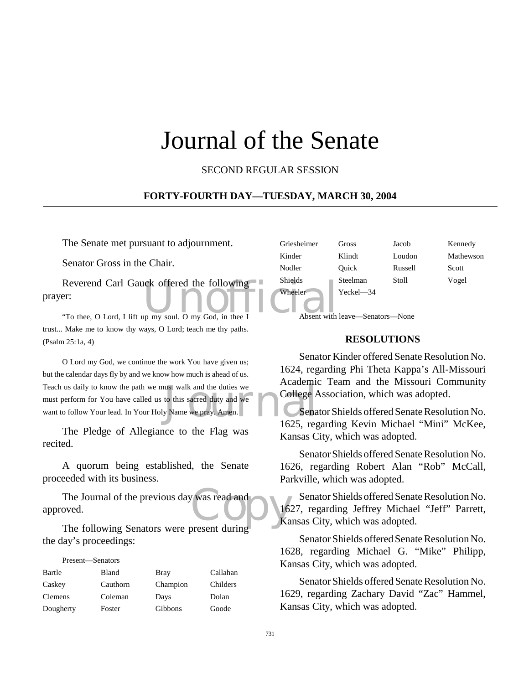# Journal of the Senate

SECOND REGULAR SESSION

#### **FORTY-FOURTH DAY—TUESDAY, MARCH 30, 2004**

The Senate met pursuant to adjournment.

Senator Gross in the Chair.

Reverend Carl Gauck offered the following<br>
Pr:<br>
"To thee, O Lord, I lift up my soul. O my God, in thee I Absent with prayer:

"To thee, O Lord, I lift up my soul. O my God, in thee I trust... Make me to know thy ways, O Lord; teach me thy paths. (Psalm 25:1a, 4)

France walk and the duties we<br>to this sacred duty and we<br>go Name we pray. Amen.<br>1625 rec O Lord my God, we continue the work You have given us; but the calendar days fly by and we know how much is ahead of us. Teach us daily to know the path we must walk and the duties we must perform for You have called us to this sacred duty and we want to follow Your lead. In Your Holy Name we pray. Amen.

The Pledge of Allegiance to the Flag was recited.

A quorum being established, the Senate proceeded with its business.

The Journal of the previous day was read and<br>
oved.<br>
The following Senators were present during approved.

The following Senators were present during the day's proceedings:

| Present—Senators |          |             |          |
|------------------|----------|-------------|----------|
| Bartle           | Bland    | <b>Bray</b> | Callahan |
| Caskey           | Cauthorn | Champion    | Childers |
| <b>Clemens</b>   | Coleman  | Days        | Dolan    |
| Dougherty        | Foster   | Gibbons     | Goode    |

| Griesheimer | Gross          | Jacob   | Kennedy   |
|-------------|----------------|---------|-----------|
| Kinder      | Klindt         | Loudon  | Mathewson |
| Nodler      | Ouick          | Russell | Scott     |
| Shields     | Steelman       | Stoll   | Vogel     |
| Wheeler     | $Yeckel$ $-34$ |         |           |

Absent with leave—Senators—None

#### **RESOLUTIONS**

Senator Kinder offered Senate Resolution No. 1624, regarding Phi Theta Kappa's All-Missouri Academic Team and the Missouri Community College Association, which was adopted.

Senator Shields offered Senate Resolution No. 1625, regarding Kevin Michael "Mini" McKee, Kansas City, which was adopted.

Senator Shields offered Senate Resolution No. 1626, regarding Robert Alan "Rob" McCall, Parkville, which was adopted.

Senator Shields offered Senate Resolution No. 1627, regarding Jeffrey Michael "Jeff" Parrett, Kansas City, which was adopted.

Senator Shields offered Senate Resolution No. 1628, regarding Michael G. "Mike" Philipp, Kansas City, which was adopted.

Senator Shields offered Senate Resolution No. 1629, regarding Zachary David "Zac" Hammel, Kansas City, which was adopted.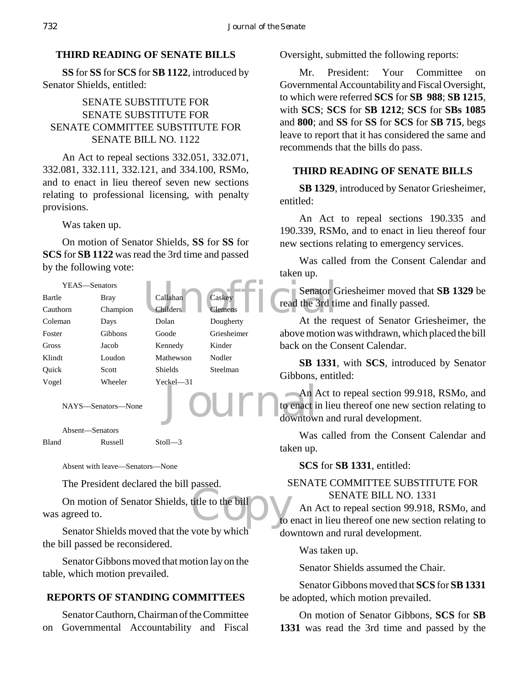#### **THIRD READING OF SENATE BILLS**

**SS** for **SS** for **SCS** for **SB 1122**, introduced by Senator Shields, entitled:

# SENATE SUBSTITUTE FOR SENATE SUBSTITUTE FOR SENATE COMMITTEE SUBSTITUTE FOR SENATE BILL NO. 1122

An Act to repeal sections 332.051, 332.071, 332.081, 332.111, 332.121, and 334.100, RSMo, and to enact in lieu thereof seven new sections relating to professional licensing, with penalty provisions.

#### Was taken up.

On motion of Senator Shields, **SS** for **SS** for **SCS** for **SB 1122** was read the 3rd time and passed by the following vote:

| YEAS—Senators |              |                 |                | Senator <sub>C</sub> |
|---------------|--------------|-----------------|----------------|----------------------|
| Bartle        | <b>Bray</b>  | Callahan        | Caskey         | read the 3rd til     |
| Cauthorn      | Champion     | <b>Childers</b> | <b>Clemens</b> |                      |
| Coleman       | Days         | Dolan           | Dougherty      | At the re            |
| Foster        | Gibbons      | Goode           | Griesheimer    | above motion         |
| Gross         | Jacob        | Kennedy         | Kinder         | back on the Co       |
| Klindt        | Loudon       | Mathewson       | Nodler         | SB 1331,             |
| Quick         | <b>Scott</b> | <b>Shields</b>  | Steelman       | Gibbons, entit       |
| Vogel         | Wheeler      | $Yeckel - 31$   |                |                      |
|               |              |                 |                | An Act to            |

Journal

NAYS—Senators—None

Absent—Senators

Bland Russell Stoll—3

Absent with leave—Senators—None

The President declared the bill passed.

title to the bill O On motion of Senator Shields, title to the bill was agreed to.

Senator Shields moved that the vote by which the bill passed be reconsidered.

Senator Gibbons moved that motion lay on the table, which motion prevailed.

#### **REPORTS OF STANDING COMMITTEES**

Senator Cauthorn, Chairman of the Committee on Governmental Accountability and Fiscal Oversight, submitted the following reports:

Mr. President: Your Committee on Governmental Accountability and Fiscal Oversight, to which were referred **SCS** for **SB 988**; **SB 1215**, with **SCS**; **SCS** for **SB 1212**; **SCS** for **SBs 1085** and **800**; and **SS** for **SS** for **SCS** for **SB 715**, begs leave to report that it has considered the same and recommends that the bills do pass.

#### **THIRD READING OF SENATE BILLS**

**SB 1329**, introduced by Senator Griesheimer, entitled:

An Act to repeal sections 190.335 and 190.339, RSMo, and to enact in lieu thereof four new sections relating to emergency services.

Was called from the Consent Calendar and taken up.

Senator Griesheimer moved that **SB 1329** be read the 3rd time and finally passed.

At the request of Senator Griesheimer, the above motion was withdrawn, which placed the bill back on the Consent Calendar.

**SB 1331**, with **SCS**, introduced by Senator Gibbons, entitled:

An Act to repeal section 99.918, RSMo, and to enact in lieu thereof one new section relating to downtown and rural development.

Was called from the Consent Calendar and taken up.

**SCS** for **SB 1331**, entitled:

# SENATE COMMITTEE SUBSTITUTE FOR SENATE BILL NO. 1331

An Act to repeal section 99.918, RSMo, and to enact in lieu thereof one new section relating to downtown and rural development.

Was taken up.

Senator Shields assumed the Chair.

Senator Gibbons moved that **SCS** for **SB 1331** be adopted, which motion prevailed.

On motion of Senator Gibbons, **SCS** for **SB 1331** was read the 3rd time and passed by the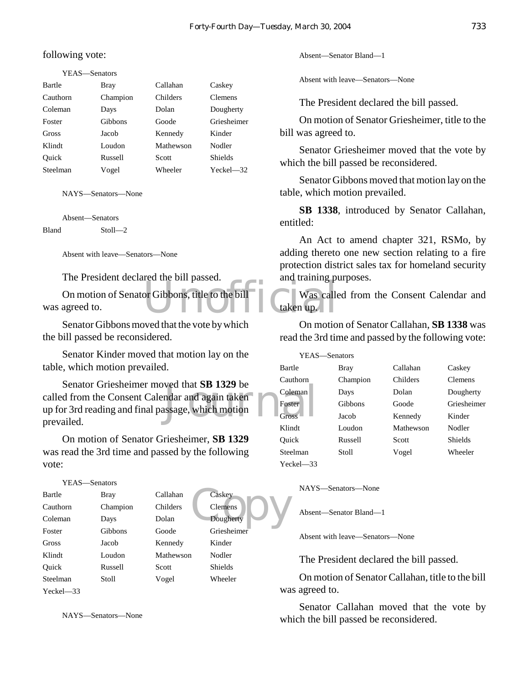following vote:

YEAS—Senators Bartle Bray Callahan Caskey Cauthorn Champion Childers Clemens Coleman Days Dolan Dougherty Foster Gibbons Goode Griesheimer Gross Jacob Kennedy Kinder Klindt Loudon Mathewson Nodler Quick Russell Scott Shields Steelman Vogel Wheeler Yeckel—32

NAYS—Senators—None

Absent—Senators Bland Stoll—2

Absent with leave—Senators—None

The President declared the bill passed.

or Gibbons, title to the bill-<br>
Unit of the bill-<br>
Unit of taken up. On motion of Senator Gibbons, title to the bill was agreed to.

Senator Gibbons moved that the vote by which the bill passed be reconsidered.

Senator Kinder moved that motion lay on the table, which motion prevailed.

ved that SB 1329 be<br>
mdar and again taken<br>
ssage, which motion Senator Griesheimer moved that **SB 1329** be called from the Consent Calendar and again taken up for 3rd reading and final passage, which motion prevailed.

On motion of Senator Griesheimer, **SB 1329** was read the 3rd time and passed by the following vote:

YEAS—Senators

| Bartle      | Bray           | Callahan  | Caskey         |
|-------------|----------------|-----------|----------------|
| Cauthorn    | Champion       | Childers  | <b>Clemens</b> |
| Coleman     | Days           | Dolan     | Dougherty      |
| Foster      | <b>Gibbons</b> | Goode     | Griesheimer    |
| Gross       | Jacob          | Kennedy   | Kinder         |
| Klindt      | Loudon         | Mathewson | Nodler         |
| Ouick       | Russell        | Scott     | <b>Shields</b> |
| Steelman    | Stoll          | Vogel     | Wheeler        |
| $Yech = 33$ |                |           |                |

NAYS—Senators—None

Absent—Senator Bland—1

Absent with leave—Senators—None

The President declared the bill passed.

On motion of Senator Griesheimer, title to the bill was agreed to.

Senator Griesheimer moved that the vote by which the bill passed be reconsidered.

Senator Gibbons moved that motion lay on the table, which motion prevailed.

**SB 1338**, introduced by Senator Callahan, entitled:

An Act to amend chapter 321, RSMo, by adding thereto one new section relating to a fire protection district sales tax for homeland security and training purposes.

Was called from the Consent Calendar and taken up.

On motion of Senator Callahan, **SB 1338** was read the 3rd time and passed by the following vote:

YEAS—Senators Bartle Bray Callahan Caskey Cauthorn Champion Childers Clemens Coleman Days Dolan Dougherty Foster Gibbons Goode Griesheimer Gross Jacob Kennedy Kinder Klindt Loudon Mathewson Nodler Quick Russell Scott Shields Steelman Stoll Vogel Wheeler Yeckel—33

NAYS—Senators—None

Absent—Senator Bland—1

Caskey<br>Clemens<br>Dougherty

Absent with leave—Senators—None

The President declared the bill passed.

On motion of Senator Callahan, title to the bill was agreed to.

Senator Callahan moved that the vote by which the bill passed be reconsidered.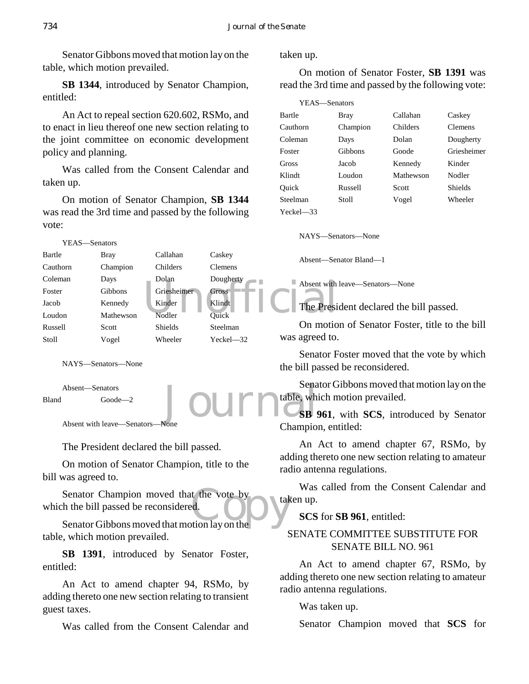Senator Gibbons moved that motion lay on the table, which motion prevailed.

**SB 1344**, introduced by Senator Champion, entitled:

An Act to repeal section 620.602, RSMo, and to enact in lieu thereof one new section relating to the joint committee on economic development policy and planning.

Was called from the Consent Calendar and taken up.

On motion of Senator Champion, **SB 1344** was read the 3rd time and passed by the following vote:



NAYS—Senators—None

Absent—Senators Bland Goode—2

Absent with leave—Senators—None

The President declared the bill passed.

On motion of Senator Champion, title to the bill was agreed to.

Senator Champion moved that the vote by<br>
the bill passed be reconsidered.<br>
Senator Gibbons moved that motion lay on the which the bill passed be reconsidered.

Senator Gibbons moved that motion lay on the table, which motion prevailed.

**SB 1391**, introduced by Senator Foster, entitled:

An Act to amend chapter 94, RSMo, by adding thereto one new section relating to transient guest taxes.

Was called from the Consent Calendar and

taken up.

On motion of Senator Foster, **SB 1391** was read the 3rd time and passed by the following vote:

| YEAS-Senators |          |           |                |
|---------------|----------|-----------|----------------|
| Bartle        | Bray     | Callahan  | Caskey         |
| Cauthorn      | Champion | Childers  | <b>Clemens</b> |
| Coleman       | Days     | Dolan     | Dougherty      |
| Foster        | Gibbons  | Goode     | Griesheimer    |
| Gross         | Jacob    | Kennedy   | Kinder         |
| Klindt        | Loudon   | Mathewson | Nodler         |
| Ouick         | Russell  | Scott     | Shields        |
| Steelman      | Stoll    | Vogel     | Wheeler        |
| Yeckel—33     |          |           |                |

NAYS—Senators—None

Absent—Senator Bland—1

Absent with leave—Senators—None

The President declared the bill passed.

On motion of Senator Foster, title to the bill was agreed to.

Senator Foster moved that the vote by which the bill passed be reconsidered.

Senator Gibbons moved that motion lay on the table, which motion prevailed.

Journal Sena **SB 961**, with **SCS**, introduced by Senator Champion, entitled:

> An Act to amend chapter 67, RSMo, by adding thereto one new section relating to amateur radio antenna regulations.

> Was called from the Consent Calendar and taken up.

**SCS** for **SB 961**, entitled:

# SENATE COMMITTEE SUBSTITUTE FOR SENATE BILL NO. 961

An Act to amend chapter 67, RSMo, by adding thereto one new section relating to amateur radio antenna regulations.

Was taken up.

Senator Champion moved that **SCS** for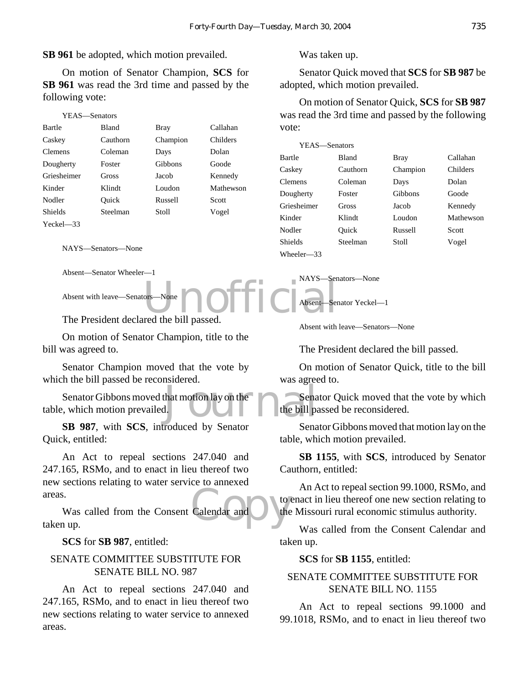**SB 961** be adopted, which motion prevailed.

On motion of Senator Champion, **SCS** for **SB 961** was read the 3rd time and passed by the following vote:

| YEAS—Senators  |          |          |           |
|----------------|----------|----------|-----------|
| Bartle         | Bland    | Bray     | Callahan  |
| Caskey         | Cauthorn | Champion | Childers  |
| <b>Clemens</b> | Coleman  | Days     | Dolan     |
| Dougherty      | Foster   | Gibbons  | Goode     |
| Griesheimer    | Gross    | Jacob    | Kennedy   |
| Kinder         | Klindt   | Loudon   | Mathewson |
| Nodler         | Ouick    | Russell  | Scott     |
| Shields        | Steelman | Stoll    | Vogel     |
| $Yeckel = 33$  |          |          |           |

NAYS—Senators—None

Absent—Senator Wheeler—1

Absent with leave—Senators—None

ors—None **no. 1990** for the bill passed The President declared the bill passed.

On motion of Senator Champion, title to the bill was agreed to.

Senator Champion moved that the vote by which the bill passed be reconsidered.

that motion lay on the Sena<br>1. Senator Gibbons moved that motion lay on the table, which motion prevailed.

**SB 987**, with **SCS**, introduced by Senator Quick, entitled:

An Act to repeal sections 247.040 and 247.165, RSMo, and to enact in lieu thereof two new sections relating to water service to annexed areas.

Calendar and Che Was called from the Consent Calendar and taken up.

**SCS** for **SB 987**, entitled:

#### SENATE COMMITTEE SUBSTITUTE FOR SENATE BILL NO. 987

An Act to repeal sections 247.040 and 247.165, RSMo, and to enact in lieu thereof two new sections relating to water service to annexed areas.

Was taken up.

Senator Quick moved that **SCS** for **SB 987** be adopted, which motion prevailed.

On motion of Senator Quick, **SCS** for **SB 987** was read the 3rd time and passed by the following vote:

| YEAS—Senators |              |             |           |
|---------------|--------------|-------------|-----------|
| Bartle        | <b>Bland</b> | <b>Bray</b> | Callahan  |
| Caskey        | Cauthorn     | Champion    | Childers  |
| Clemens       | Coleman      | Days        | Dolan     |
| Dougherty     | Foster       | Gibbons     | Goode     |
| Griesheimer   | Gross        | Jacob       | Kennedy   |
| Kinder        | Klindt       | Loudon      | Mathewson |
| Nodler        | Ouick        | Russell     | Scott     |
| Shields       | Steelman     | Stoll       | Vogel     |
| Wheeler—33    |              |             |           |

NAYS—Senators—None

Absent—Senator Yeckel—1

Absent with leave—Senators—None

The President declared the bill passed.

On motion of Senator Quick, title to the bill was agreed to.

Senator Quick moved that the vote by which the bill passed be reconsidered.

Senator Gibbons moved that motion lay on the table, which motion prevailed.

**SB 1155**, with **SCS**, introduced by Senator Cauthorn, entitled:

An Act to repeal section 99.1000, RSMo, and to enact in lieu thereof one new section relating to the Missouri rural economic stimulus authority.

Was called from the Consent Calendar and taken up.

**SCS** for **SB 1155**, entitled:

#### SENATE COMMITTEE SUBSTITUTE FOR SENATE BILL NO. 1155

An Act to repeal sections 99.1000 and 99.1018, RSMo, and to enact in lieu thereof two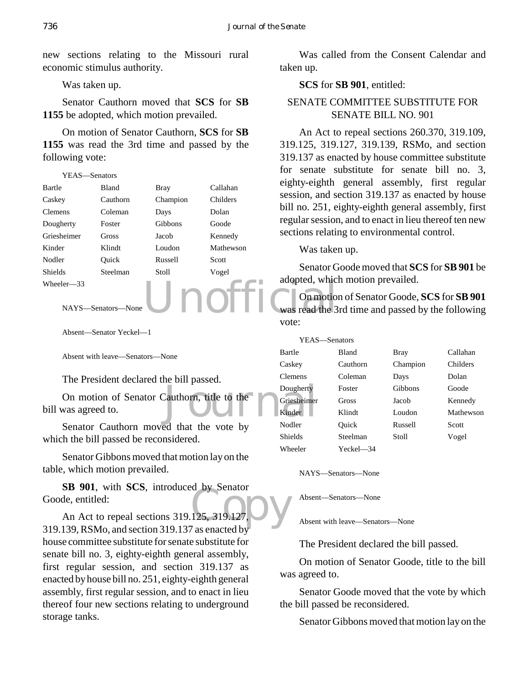new sections relating to the Missouri rural economic stimulus authority.

Was taken up.

Senator Cauthorn moved that **SCS** for **SB 1155** be adopted, which motion prevailed.

On motion of Senator Cauthorn, **SCS** for **SB 1155** was read the 3rd time and passed by the following vote:

| Bartle         | <b>Bland</b> | Bray     | Callahan  |
|----------------|--------------|----------|-----------|
| Caskey         | Cauthorn     | Champion | Childers  |
| <b>Clemens</b> | Coleman      | Days     | Dolan     |
| Dougherty      | Foster       | Gibbons  | Goode     |
| Griesheimer    | Gross        | Jacob    | Kennedy   |
| Kinder         | Klindt       | Loudon   | Mathewson |
| Nodler         | Ouick        | Russell  | Scott     |
| <b>Shields</b> | Steelman     | Stoll    | Vogel     |
| Wheeler-33     |              |          |           |

Unio

Absent—Senator Yeckel—1

NAYS—Senators—None

Absent with leave—Senators—None

The President declared the bill passed.

Dougherty<br>Cauthorn, title to the Griesheimer<br>Kinder On motion of Senator Cauthorn, title to the bill was agreed to.

Senator Cauthorn moved that the vote by which the bill passed be reconsidered.

Senator Gibbons moved that motion lay on the table, which motion prevailed.

**SB 901**, with **SCS**, introduced by Senator Goode, entitled:

 $\frac{125,319.127}{20}$ An Act to repeal sections 319.125, 319.127, 319.139, RSMo, and section 319.137 as enacted by house committee substitute for senate substitute for senate bill no. 3, eighty-eighth general assembly, first regular session, and section 319.137 as enacted by house bill no. 251, eighty-eighth general assembly, first regular session, and to enact in lieu thereof four new sections relating to underground storage tanks.

Was called from the Consent Calendar and taken up.

#### **SCS** for **SB 901**, entitled:

# SENATE COMMITTEE SUBSTITUTE FOR SENATE BILL NO. 901

An Act to repeal sections 260.370, 319.109, 319.125, 319.127, 319.139, RSMo, and section 319.137 as enacted by house committee substitute for senate substitute for senate bill no. 3, eighty-eighth general assembly, first regular session, and section 319.137 as enacted by house bill no. 251, eighty-eighth general assembly, first regular session, and to enact in lieu thereof ten new sections relating to environmental control.

Was taken up.

Senator Goode moved that **SCS** for **SB 901** be adopted, which motion prevailed.

On motion of Senator Goode, **SCS** for **SB 901** was read the 3rd time and passed by the following vote:

| YEAS—Senators  |           |          |           |
|----------------|-----------|----------|-----------|
| Bartle         | Bland     | Bray     | Callahan  |
| Caskey         | Cauthorn  | Champion | Childers  |
| <b>Clemens</b> | Coleman   | Days     | Dolan     |
| Dougherty      | Foster    | Gibbons  | Goode     |
| Griesheimer    | Gross     | Jacob    | Kennedy   |
| Kinder         | Klindt    | Loudon   | Mathewson |
| Nodler         | Ouick     | Russell  | Scott     |
| <b>Shields</b> | Steelman  | Stoll    | Vogel     |
| Wheeler        | Yeckel—34 |          |           |

NAYS—Senators—None

Absent—Senators—None

Absent with leave—Senators—None

The President declared the bill passed.

On motion of Senator Goode, title to the bill was agreed to.

Senator Goode moved that the vote by which the bill passed be reconsidered.

Senator Gibbons moved that motion lay on the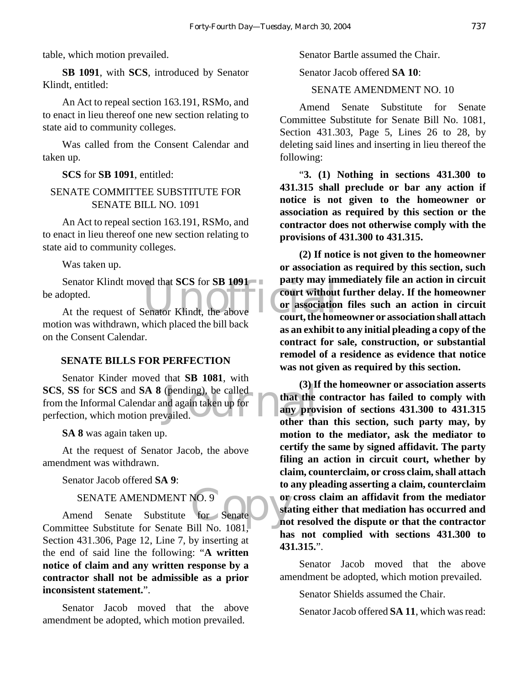table, which motion prevailed.

**SB 1091**, with **SCS**, introduced by Senator Klindt, entitled:

An Act to repeal section 163.191, RSMo, and to enact in lieu thereof one new section relating to state aid to community colleges.

Was called from the Consent Calendar and taken up.

**SCS** for **SB 1091**, entitled:

#### SENATE COMMITTEE SUBSTITUTE FOR SENATE BILL NO. 1091

An Act to repeal section 163.191, RSMo, and to enact in lieu thereof one new section relating to state aid to community colleges.

Was taken up.

Senator Klindt moved that SCS for SB 1091<br>
dopted.<br>
At the request of Senator Klindt, the above court, the hon Senator Klindt moved that **SCS** for **SB 1091** be adopted.

motion was withdrawn, which placed the bill back on the Consent Calendar.

#### **SENATE BILLS FOR PERFECTION**

(pending), be called<br>
India again taken up for<br>
vailed.<br> **Contract of the contract of the contract of the contract of the contract of the contract of the contract of the contract of the contract of the contract of the cont** Senator Kinder moved that **SB 1081**, with **SCS**, **SS** for **SCS** and **SA 8** (pending), be called from the Informal Calendar and again taken up for perfection, which motion prevailed.

**SA 8** was again taken up.

At the request of Senator Jacob, the above amendment was withdrawn.

Senator Jacob offered **SA 9**:

# SENATE AMENDMENT NO. 9

NO. 9<br>for Senate sta Amend Senate Substitute for Senate Committee Substitute for Senate Bill No. 1081, Section 431.306, Page 12, Line 7, by inserting at the end of said line the following: "**A written notice of claim and any written response by a contractor shall not be admissible as a prior inconsistent statement.**".

Senator Jacob moved that the above amendment be adopted, which motion prevailed.

Senator Bartle assumed the Chair.

Senator Jacob offered **SA 10**:

SENATE AMENDMENT NO. 10

Amend Senate Substitute for Senate Committee Substitute for Senate Bill No. 1081, Section 431.303, Page 5, Lines 26 to 28, by deleting said lines and inserting in lieu thereof the following:

"**3. (1) Nothing in sections 431.300 to 431.315 shall preclude or bar any action if notice is not given to the homeowner or association as required by this section or the contractor does not otherwise comply with the provisions of 431.300 to 431.315.**

**(2) If notice is not given to the homeowner or association as required by this section, such party may immediately file an action in circuit court without further delay. If the homeowner or association files such an action in circuit court, the homeowner or association shall attach as an exhibit to any initial pleading a copy of the contract for sale, construction, or substantial remodel of a residence as evidence that notice was not given as required by this section.**

**(3) If the homeowner or association asserts that the contractor has failed to comply with any provision of sections 431.300 to 431.315 other than this section, such party may, by motion to the mediator, ask the mediator to certify the same by signed affidavit. The party filing an action in circuit court, whether by claim, counterclaim, or cross claim, shall attach to any pleading asserting a claim, counterclaim or cross claim an affidavit from the mediator stating either that mediation has occurred and not resolved the dispute or that the contractor has not complied with sections 431.300 to 431.315.**".

Senator Jacob moved that the above amendment be adopted, which motion prevailed.

Senator Shields assumed the Chair.

Senator Jacob offered **SA 11**, which was read: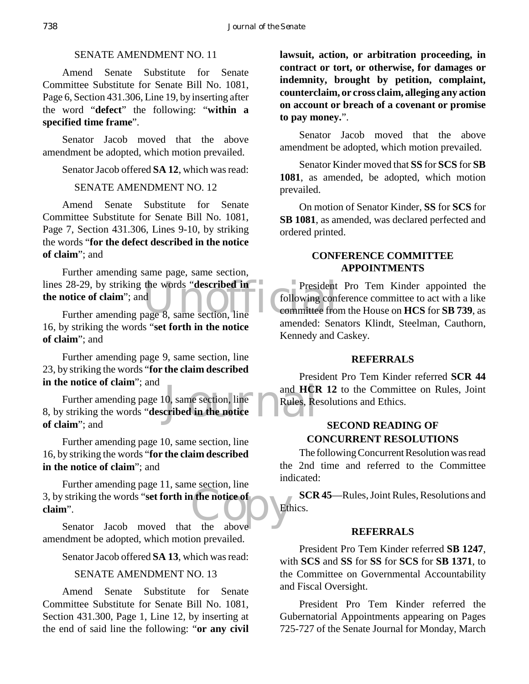#### SENATE AMENDMENT NO. 11

Amend Senate Substitute for Senate Committee Substitute for Senate Bill No. 1081, Page 6, Section 431.306, Line 19, by inserting after the word "**defect**" the following: "**within a specified time frame**".

Senator Jacob moved that the above amendment be adopted, which motion prevailed.

Senator Jacob offered **SA 12**, which was read:

# SENATE AMENDMENT NO. 12

Amend Senate Substitute for Senate Committee Substitute for Senate Bill No. 1081, Page 7, Section 431.306, Lines 9-10, by striking the words "**for the defect described in the notice of claim**"; and

lines 28-29, by striking the words "**described in**<br> **the notice of claim**"; and<br>
Further amending page 8, same section, line<br> **Example 10** Further amending same page, same section, **the notice of claim**"; and

Further amending page 8, same section, line 16, by striking the words "**set forth in the notice of claim**"; and

Further amending page 9, same section, line 23, by striking the words "**for the claim described in the notice of claim**"; and

Journal Further amending page 10, same section, line 8, by striking the words "**described in the notice of claim**"; and

Further amending page 10, same section, line 16, by striking the words "**for the claim described in the notice of claim**"; and

3, by striking the words "**set forth in the notice of**<br> **Claim**".<br>
Senator Jacob moved that the above Further amending page 11, same section, line **claim**".

Senator Jacob moved that the above amendment be adopted, which motion prevailed.

Senator Jacob offered **SA 13**, which was read:

#### SENATE AMENDMENT NO. 13

Amend Senate Substitute for Senate Committee Substitute for Senate Bill No. 1081, Section 431.300, Page 1, Line 12, by inserting at the end of said line the following: "**or any civil** **lawsuit, action, or arbitration proceeding, in contract or tort, or otherwise, for damages or indemnity, brought by petition, complaint, counterclaim, or cross claim, alleging any action on account or breach of a covenant or promise to pay money.**".

Senator Jacob moved that the above amendment be adopted, which motion prevailed.

Senator Kinder moved that **SS** for **SCS** for **SB 1081**, as amended, be adopted, which motion prevailed.

On motion of Senator Kinder, **SS** for **SCS** for **SB 1081**, as amended, was declared perfected and ordered printed.

# **CONFERENCE COMMITTEE APPOINTMENTS**

President Pro Tem Kinder appointed the following conference committee to act with a like committee from the House on **HCS** for **SB 739**, as amended: Senators Klindt, Steelman, Cauthorn, Kennedy and Caskey.

#### **REFERRALS**

President Pro Tem Kinder referred **SCR 44** and **HCR 12** to the Committee on Rules, Joint Rules, Resolutions and Ethics.

# **SECOND READING OF CONCURRENT RESOLUTIONS**

The following Concurrent Resolution was read the 2nd time and referred to the Committee indicated:

**SCR 45**—Rules, Joint Rules, Resolutions and Ethics.

#### **REFERRALS**

President Pro Tem Kinder referred **SB 1247**, with **SCS** and **SS** for **SS** for **SCS** for **SB 1371**, to the Committee on Governmental Accountability and Fiscal Oversight.

President Pro Tem Kinder referred the Gubernatorial Appointments appearing on Pages 725-727 of the Senate Journal for Monday, March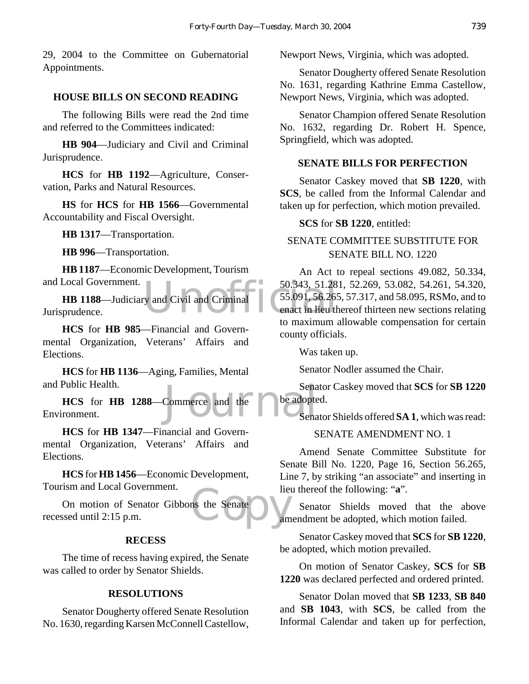29, 2004 to the Committee on Gubernatorial Appointments.

# **HOUSE BILLS ON SECOND READING**

The following Bills were read the 2nd time and referred to the Committees indicated:

**HB 904**—Judiciary and Civil and Criminal Jurisprudence.

**HCS** for **HB 1192**—Agriculture, Conservation, Parks and Natural Resources.

**HS** for **HCS** for **HB 1566**—Governmental Accountability and Fiscal Oversight.

**HB 1317**—Transportation.

**HB 996**—Transportation.

**HB 1187**—Economic Development, Tourism and Local Government.

 $\begin{array}{|l|l|}\n\hline\n\text{S} & 50.343, 51.28 \\
\hline\n\text{S} & 50.91, 56.263 \\
\text{enact in lieu the maximum of a maximum.}\n\hline\n\end{array}$ **HB 1188**—Judiciary and Civil and Criminal Jurisprudence.

**HCS** for **HB 985**—Financial and Governmental Organization, Veterans' Affairs and Elections.

**HCS** for **HB 1136**—Aging, Families, Mental and Public Health.

Sena<br>Commerce and the beadopte<br>Sena **HCS** for **HB 1288**—Commerce and the Environment.

**HCS** for **HB 1347**—Financial and Governmental Organization, Veterans' Affairs and Elections.

**HCS** for **HB 1456**—Economic Development, Tourism and Local Government.

ns the Senate On motion of Senator Gibbons the Senate recessed until 2:15 p.m.

#### **RECESS**

The time of recess having expired, the Senate was called to order by Senator Shields.

# **RESOLUTIONS**

Senator Dougherty offered Senate Resolution No. 1630, regarding Karsen McConnell Castellow, Newport News, Virginia, which was adopted.

Senator Dougherty offered Senate Resolution No. 1631, regarding Kathrine Emma Castellow, Newport News, Virginia, which was adopted.

Senator Champion offered Senate Resolution No. 1632, regarding Dr. Robert H. Spence, Springfield, which was adopted.

# **SENATE BILLS FOR PERFECTION**

Senator Caskey moved that **SB 1220**, with **SCS**, be called from the Informal Calendar and taken up for perfection, which motion prevailed.

#### **SCS** for **SB 1220**, entitled:

# SENATE COMMITTEE SUBSTITUTE FOR SENATE BILL NO. 1220

An Act to repeal sections 49.082, 50.334, 50.343, 51.281, 52.269, 53.082, 54.261, 54.320, 55.091, 56.265, 57.317, and 58.095, RSMo, and to enact in lieu thereof thirteen new sections relating to maximum allowable compensation for certain county officials.

Was taken up.

Senator Nodler assumed the Chair.

Senator Caskey moved that **SCS** for **SB 1220** be adopted.

Senator Shields offered **SA 1**, which was read:

#### SENATE AMENDMENT NO. 1

Amend Senate Committee Substitute for Senate Bill No. 1220, Page 16, Section 56.265, Line 7, by striking "an associate" and inserting in lieu thereof the following: "**a**".

Senator Shields moved that the above amendment be adopted, which motion failed.

Senator Caskey moved that **SCS** for **SB 1220**, be adopted, which motion prevailed.

On motion of Senator Caskey, **SCS** for **SB 1220** was declared perfected and ordered printed.

Senator Dolan moved that **SB 1233**, **SB 840** and **SB 1043**, with **SCS**, be called from the Informal Calendar and taken up for perfection,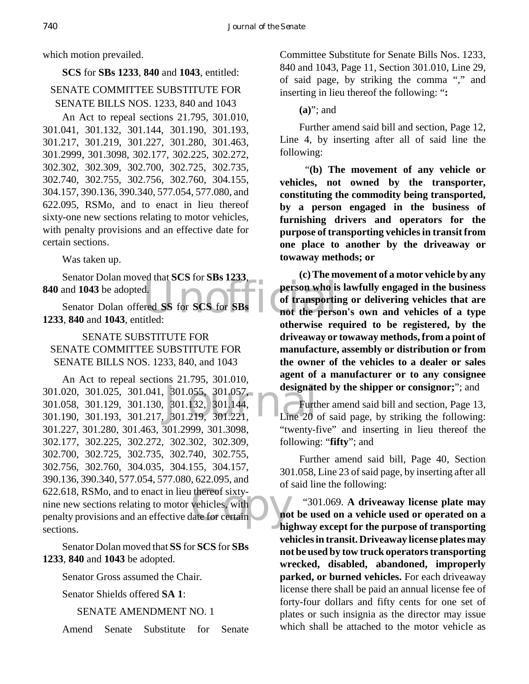which motion prevailed.

#### **SCS** for **SBs 1233**, **840** and **1043**, entitled:

# SENATE COMMITTEE SUBSTITUTE FOR SENATE BILLS NOS. 1233, 840 and 1043

An Act to repeal sections 21.795, 301.010, 301.041, 301.132, 301.144, 301.190, 301.193, 301.217, 301.219, 301.227, 301.280, 301.463, 301.2999, 301.3098, 302.177, 302.225, 302.272, 302.302, 302.309, 302.700, 302.725, 302.735, 302.740, 302.755, 302.756, 302.760, 304.155, 304.157, 390.136, 390.340, 577.054, 577.080, and 622.095, RSMo, and to enact in lieu thereof sixty-one new sections relating to motor vehicles, with penalty provisions and an effective date for certain sections.

Was taken up.

Senator Dolan moved that **SCS** for **SBs 1233**, **840** and **1043** be adopted.

Senator Dolan offered **SS** for **SCS** for **SBs 1233**, **840** and **1043**, entitled:

# SENATE SUBSTITUTE FOR SENATE COMMITTEE SUBSTITUTE FOR SENATE BILLS NOS. 1233, 840, and 1043

301.055, 301.057,<br>301.132, 301.144,<br>301.219, 301.221,<br>Line 20 thereof sixty-<br>vehicles, with<br>late for certain An Act to repeal sections 21.795, 301.010, 301.020, 301.025, 301.041, 301.055, 301.057, 301.058, 301.129, 301.130, 301.132, 301.144, 301.190, 301.193, 301.217, 301.219, 301.221, 301.227, 301.280, 301.463, 301.2999, 301.3098, 302.177, 302.225, 302.272, 302.302, 302.309, 302.700, 302.725, 302.735, 302.740, 302.755, 302.756, 302.760, 304.035, 304.155, 304.157, 390.136, 390.340, 577.054, 577.080, 622.095, and 622.618, RSMo, and to enact in lieu thereof sixtynine new sections relating to motor vehicles, with penalty provisions and an effective date for certain sections.

Senator Dolan moved that **SS** for **SCS** for **SBs 1233**, **840** and **1043** be adopted.

Senator Gross assumed the Chair.

Senator Shields offered **SA 1**:

SENATE AMENDMENT NO. 1

Amend Senate Substitute for Senate

Committee Substitute for Senate Bills Nos. 1233, 840 and 1043, Page 11, Section 301.010, Line 29, of said page, by striking the comma "," and inserting in lieu thereof the following: "**:**

**(a)**"; and

Further amend said bill and section, Page 12, Line 4, by inserting after all of said line the following:

 "**(b) The movement of any vehicle or vehicles, not owned by the transporter, constituting the commodity being transported, by a person engaged in the business of furnishing drivers and operators for the purpose of transporting vehicles in transit from one place to another by the driveaway or towaway methods; or**

d.<br>
The SS for SCS for SBs<br>
The SCS for SBs<br>
The SCS for SBs<br>
The SCS for SBs<br>
The SCS for SBs<br>
The SCS for SBs<br>
The SCS for SBs<br>
The SCS for SBs<br>
The SCS for SBs<br>
The SCS for SBs<br>
The SCS for SBs<br>
The SCS for SBs<br>
The SCS **(c) The movement of a motor vehicle by any person who is lawfully engaged in the business of transporting or delivering vehicles that are not the person's own and vehicles of a type otherwise required to be registered, by the driveaway or towaway methods, from a point of manufacture, assembly or distribution or from the owner of the vehicles to a dealer or sales agent of a manufacturer or to any consignee designated by the shipper or consignor;**"; and

> Further amend said bill and section, Page 13, Line 20 of said page, by striking the following: "twenty-five" and inserting in lieu thereof the following: "**fifty**"; and

> Further amend said bill, Page 40, Section 301.058, Line 23 of said page, by inserting after all of said line the following:

> "301.069. **A driveaway license plate may not be used on a vehicle used or operated on a highway except for the purpose of transporting vehicles in transit. Driveaway license plates may not be used by tow truck operators transporting wrecked, disabled, abandoned, improperly parked, or burned vehicles.** For each driveaway license there shall be paid an annual license fee of forty-four dollars and fifty cents for one set of plates or such insignia as the director may issue which shall be attached to the motor vehicle as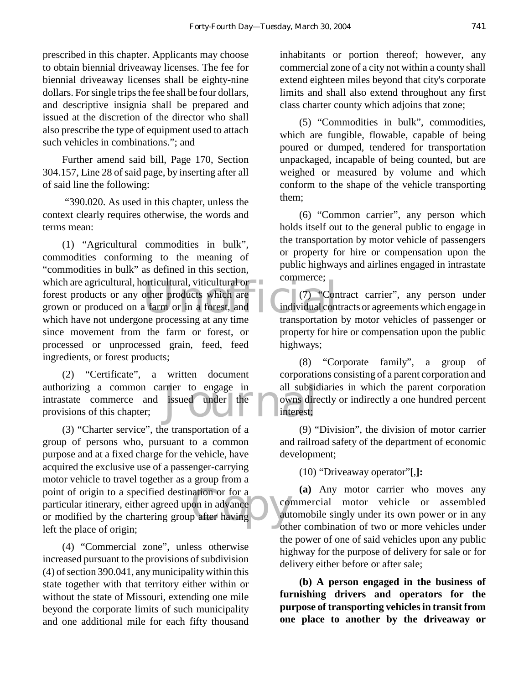prescribed in this chapter. Applicants may choose to obtain biennial driveaway licenses. The fee for biennial driveaway licenses shall be eighty-nine dollars. For single trips the fee shall be four dollars, and descriptive insignia shall be prepared and issued at the discretion of the director who shall also prescribe the type of equipment used to attach such vehicles in combinations."; and

Further amend said bill, Page 170, Section 304.157, Line 28 of said page, by inserting after all of said line the following:

 "390.020. As used in this chapter, unless the context clearly requires otherwise, the words and terms mean:

orticultural, viticultural or<br>
other products which are<br>
a farm or in a forest, and<br>
ne processing at any time<br>
transportation (1) "Agricultural commodities in bulk", commodities conforming to the meaning of "commodities in bulk" as defined in this section, which are agricultural, horticultural, viticultural or forest products or any other products which are grown or produced on a farm or in a forest, and which have not undergone processing at any time since movement from the farm or forest, or processed or unprocessed grain, feed, feed ingredients, or forest products;

Friends to engage in all subsiders issued under the owns direction of the state of the contract of the state of the state of the state of the state of the state of the state of the state of the state of the state of the st (2) "Certificate", a written document authorizing a common carrier to engage in intrastate commerce and issued under the provisions of this chapter;

point of origin to a specified destination or for a<br>particular itinerary, either agreed upon in advance<br>or modified by the chartering group after having (3) "Charter service", the transportation of a group of persons who, pursuant to a common purpose and at a fixed charge for the vehicle, have acquired the exclusive use of a passenger-carrying motor vehicle to travel together as a group from a point of origin to a specified destination or for a particular itinerary, either agreed upon in advance left the place of origin;

(4) "Commercial zone", unless otherwise increased pursuant to the provisions of subdivision (4) of section 390.041, any municipality within this state together with that territory either within or without the state of Missouri, extending one mile beyond the corporate limits of such municipality and one additional mile for each fifty thousand

inhabitants or portion thereof; however, any commercial zone of a city not within a county shall extend eighteen miles beyond that city's corporate limits and shall also extend throughout any first class charter county which adjoins that zone;

(5) "Commodities in bulk", commodities, which are fungible, flowable, capable of being poured or dumped, tendered for transportation unpackaged, incapable of being counted, but are weighed or measured by volume and which conform to the shape of the vehicle transporting them;

(6) "Common carrier", any person which holds itself out to the general public to engage in the transportation by motor vehicle of passengers or property for hire or compensation upon the public highways and airlines engaged in intrastate commerce;

(7) "Contract carrier", any person under individual contracts or agreements which engage in transportation by motor vehicles of passenger or property for hire or compensation upon the public highways;

(8) "Corporate family", a group of corporations consisting of a parent corporation and all subsidiaries in which the parent corporation owns directly or indirectly a one hundred percent interest;

(9) "Division", the division of motor carrier and railroad safety of the department of economic development;

(10) "Driveaway operator"**[**,**]:**

**(a)** Any motor carrier who moves any commercial motor vehicle or assembled automobile singly under its own power or in any other combination of two or more vehicles under the power of one of said vehicles upon any public highway for the purpose of delivery for sale or for delivery either before or after sale;

**(b) A person engaged in the business of furnishing drivers and operators for the purpose of transporting vehicles in transit from one place to another by the driveaway or**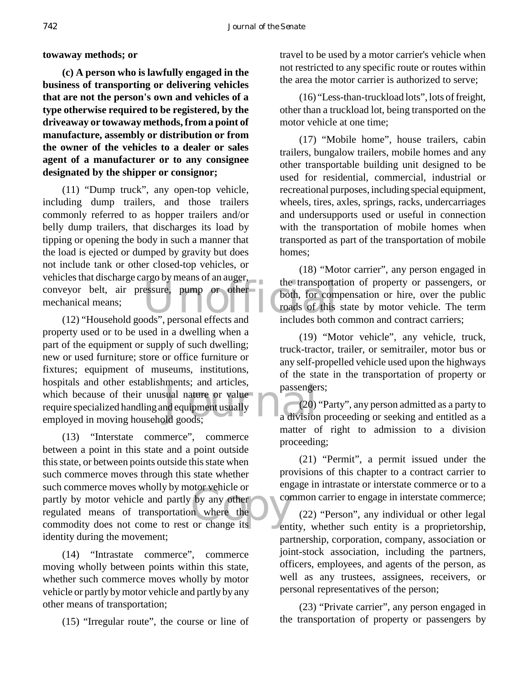**towaway methods; or**

**(c) A person who is lawfully engaged in the business of transporting or delivering vehicles that are not the person's own and vehicles of a type otherwise required to be registered, by the driveaway or towaway methods, from a point of manufacture, assembly or distribution or from the owner of the vehicles to a dealer or sales agent of a manufacturer or to any consignee designated by the shipper or consignor;**

the transportation and the transport conveyor belt, air pressure, pump or other the transportation of the transportation of the transportation of the transportation of the transportation of the transportation of the transp (11) "Dump truck", any open-top vehicle, including dump trailers, and those trailers commonly referred to as hopper trailers and/or belly dump trailers, that discharges its load by tipping or opening the body in such a manner that the load is ejected or dumped by gravity but does not include tank or other closed-top vehicles, or vehicles that discharge cargo by means of an auger, mechanical means;

ments, and articles,<br>sual nature or value<br>nd equipment usually<br>ld goods; (12) "Household goods", personal effects and property used or to be used in a dwelling when a part of the equipment or supply of such dwelling; new or used furniture; store or office furniture or fixtures; equipment of museums, institutions, hospitals and other establishments; and articles, which because of their unusual nature or value require specialized handling and equipment usually employed in moving household goods;

such commerce moves wholly by motor venicle or<br>
partly by motor vehicle and partly by any other<br>
regulated means of transportation where the<br>
commodity does not come to rest or change its (13) "Interstate commerce", commerce between a point in this state and a point outside this state, or between points outside this state when such commerce moves through this state whether such commerce moves wholly by motor vehicle or partly by motor vehicle and partly by any other regulated means of transportation where the identity during the movement;

(14) "Intrastate commerce", commerce moving wholly between points within this state, whether such commerce moves wholly by motor vehicle or partly by motor vehicle and partly by any other means of transportation;

(15) "Irregular route", the course or line of

travel to be used by a motor carrier's vehicle when not restricted to any specific route or routes within the area the motor carrier is authorized to serve;

(16) "Less-than-truckload lots", lots of freight, other than a truckload lot, being transported on the motor vehicle at one time;

(17) "Mobile home", house trailers, cabin trailers, bungalow trailers, mobile homes and any other transportable building unit designed to be used for residential, commercial, industrial or recreational purposes, including special equipment, wheels, tires, axles, springs, racks, undercarriages and undersupports used or useful in connection with the transportation of mobile homes when transported as part of the transportation of mobile homes;

(18) "Motor carrier", any person engaged in the transportation of property or passengers, or both, for compensation or hire, over the public roads of this state by motor vehicle. The term includes both common and contract carriers;

(19) "Motor vehicle", any vehicle, truck, truck-tractor, trailer, or semitrailer, motor bus or any self-propelled vehicle used upon the highways of the state in the transportation of property or passengers;

(20) "Party", any person admitted as a party to a division proceeding or seeking and entitled as a matter of right to admission to a division proceeding;

(21) "Permit", a permit issued under the provisions of this chapter to a contract carrier to engage in intrastate or interstate commerce or to a common carrier to engage in interstate commerce;

(22) "Person", any individual or other legal entity, whether such entity is a proprietorship, partnership, corporation, company, association or joint-stock association, including the partners, officers, employees, and agents of the person, as well as any trustees, assignees, receivers, or personal representatives of the person;

(23) "Private carrier", any person engaged in the transportation of property or passengers by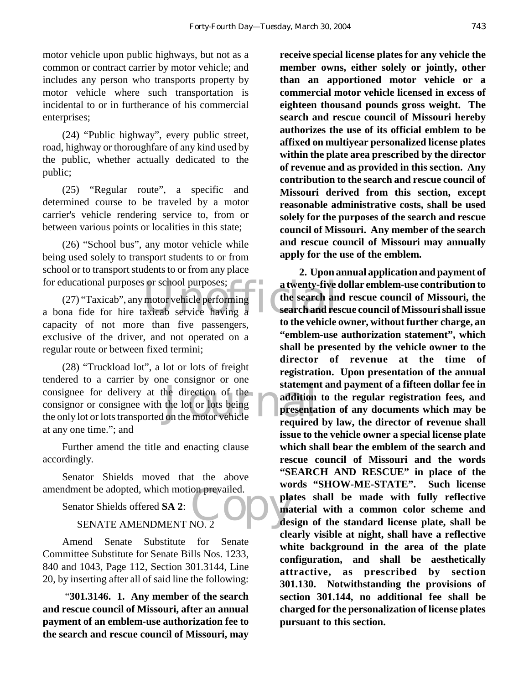motor vehicle upon public highways, but not as a common or contract carrier by motor vehicle; and includes any person who transports property by motor vehicle where such transportation is incidental to or in furtherance of his commercial enterprises;

(24) "Public highway", every public street, road, highway or thoroughfare of any kind used by the public, whether actually dedicated to the public;

(25) "Regular route", a specific and determined course to be traveled by a motor carrier's vehicle rendering service to, from or between various points or localities in this state;

(26) "School bus", any motor vehicle while being used solely to transport students to or from school or to transport students to or from any place for educational purposes or school purposes;

Some school purposes;<br>
motor vehicle performing<br>
axicab service having a (27) "Taxicab", any motor vehicle performing a bona fide for hire taxicab service having a capacity of not more than five passengers, exclusive of the driver, and not operated on a regular route or between fixed termini;

statemen<br>
the direction of the<br>
the lot or lots being<br>
on the motor vehicle<br>
required (28) "Truckload lot", a lot or lots of freight tendered to a carrier by one consignor or one consignee for delivery at the direction of the consignor or consignee with the lot or lots being the only lot or lots transported on the motor vehicle at any one time."; and

Further amend the title and enacting clause accordingly.

Senator Shields moved that the above amendment be adopted, which motion prevailed.

Senator Shields offered **SA 2**:

#### SENATE AMENDMENT NO. 2

Amend Senate Substitute for Senate Committee Substitute for Senate Bills Nos. 1233, 840 and 1043, Page 112, Section 301.3144, Line 20, by inserting after all of said line the following:

 "**301.3146. 1. Any member of the search and rescue council of Missouri, after an annual payment of an emblem-use authorization fee to the search and rescue council of Missouri, may**

**receive special license plates for any vehicle the member owns, either solely or jointly, other than an apportioned motor vehicle or a commercial motor vehicle licensed in excess of eighteen thousand pounds gross weight. The search and rescue council of Missouri hereby authorizes the use of its official emblem to be affixed on multiyear personalized license plates within the plate area prescribed by the director of revenue and as provided in this section. Any contribution to the search and rescue council of Missouri derived from this section, except reasonable administrative costs, shall be used solely for the purposes of the search and rescue council of Missouri. Any member of the search and rescue council of Missouri may annually apply for the use of the emblem.**

on prevailed. **2. Upon annual application and payment of a twenty-five dollar emblem-use contribution to the search and rescue council of Missouri, the search and rescue council of Missouri shall issue to the vehicle owner, without further charge, an "emblem-use authorization statement", which shall be presented by the vehicle owner to the director of revenue at the time of registration. Upon presentation of the annual statement and payment of a fifteen dollar fee in addition to the regular registration fees, and presentation of any documents which may be required by law, the director of revenue shall issue to the vehicle owner a special license plate which shall bear the emblem of the search and rescue council of Missouri and the words "SEARCH AND RESCUE" in place of the words "SHOW-ME-STATE". Such license plates shall be made with fully reflective material with a common color scheme and design of the standard license plate, shall be clearly visible at night, shall have a reflective white background in the area of the plate configuration, and shall be aesthetically attractive, as prescribed by section 301.130. Notwithstanding the provisions of section 301.144, no additional fee shall be charged for the personalization of license plates pursuant to this section.**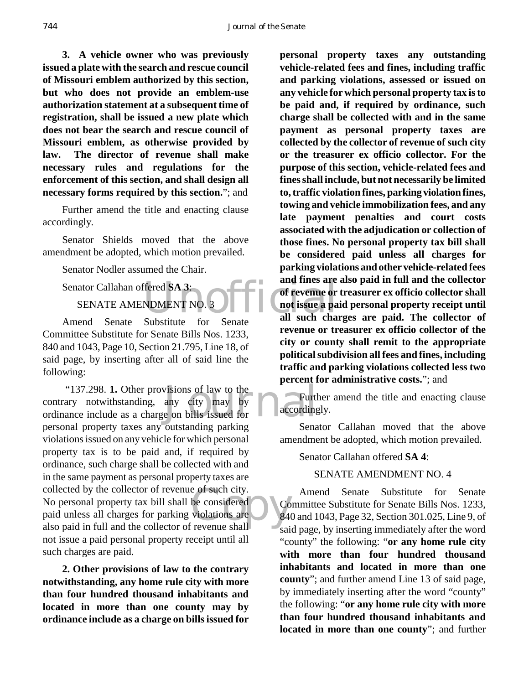**3. A vehicle owner who was previously issued a plate with the search and rescue council of Missouri emblem authorized by this section, but who does not provide an emblem-use authorization statement at a subsequent time of registration, shall be issued a new plate which does not bear the search and rescue council of Missouri emblem, as otherwise provided by law. The director of revenue shall make necessary rules and regulations for the enforcement of this section, and shall design all necessary forms required by this section.**"; and

Further amend the title and enacting clause accordingly.

Senator Shields moved that the above amendment be adopted, which motion prevailed.

Senator Nodler assumed the Chair.

Senator Callahan offered **SA 3**: SENATE AMENDMENT NO. 3

Amend Senate Substitute for Senate Committee Substitute for Senate Bills Nos. 1233, 840 and 1043, Page 10, Section 21.795, Line 18, of said page, by inserting after all of said line the following:

"137.298. 1. Other provisions of law to the<br>contrary notwithstanding, any city may by<br>ordinance include as a charge on bills issued for e of such city.<br>be considered<br>violations are<br>revenue shall "137.298. **1.** Other provisions of law to the contrary notwithstanding, any city may by personal property taxes any outstanding parking violations issued on any vehicle for which personal property tax is to be paid and, if required by ordinance, such charge shall be collected with and in the same payment as personal property taxes are collected by the collector of revenue of such city. No personal property tax bill shall be considered paid unless all charges for parking violations are also paid in full and the collector of revenue shall not issue a paid personal property receipt until all such charges are paid.

**2. Other provisions of law to the contrary notwithstanding, any home rule city with more than four hundred thousand inhabitants and located in more than one county may by ordinance include as a charge on bills issued for**

Fered SA 3:<br>
NDMENT NO. 3 FOR THE CONDENSITY OF THE CONDENSITY OF THE CONDENSITY OF THE CONDENSITY OF THE CONDENSITY OF THE CONDENSITY OF THE CONDENSITY OF THE CONDENSITY OF THE CONDENSITY OF THE CONDENSITY OF THE CONDENSI **personal property taxes any outstanding vehicle-related fees and fines, including traffic and parking violations, assessed or issued on any vehicle for which personal property tax is to be paid and, if required by ordinance, such charge shall be collected with and in the same payment as personal property taxes are collected by the collector of revenue of such city or the treasurer ex officio collector. For the purpose of this section, vehicle-related fees and fines shall include, but not necessarily be limited to, traffic violation fines, parking violation fines, towing and vehicle immobilization fees, and any late payment penalties and court costs associated with the adjudication or collection of those fines. No personal property tax bill shall be considered paid unless all charges for parking violations and other vehicle-related fees and fines are also paid in full and the collector of revenue or treasurer ex officio collector shall not issue a paid personal property receipt until all such charges are paid. The collector of revenue or treasurer ex officio collector of the city or county shall remit to the appropriate political subdivision all fees and fines, including traffic and parking violations collected less two percent for administrative costs.**"; and

> Further amend the title and enacting clause accordingly.

> Senator Callahan moved that the above amendment be adopted, which motion prevailed.

Senator Callahan offered **SA 4**:

#### SENATE AMENDMENT NO. 4

Amend Senate Substitute for Senate Committee Substitute for Senate Bills Nos. 1233, 840 and 1043, Page 32, Section 301.025, Line 9, of said page, by inserting immediately after the word "county" the following: "**or any home rule city with more than four hundred thousand inhabitants and located in more than one county**"; and further amend Line 13 of said page, by immediately inserting after the word "county" the following: "**or any home rule city with more than four hundred thousand inhabitants and located in more than one county**"; and further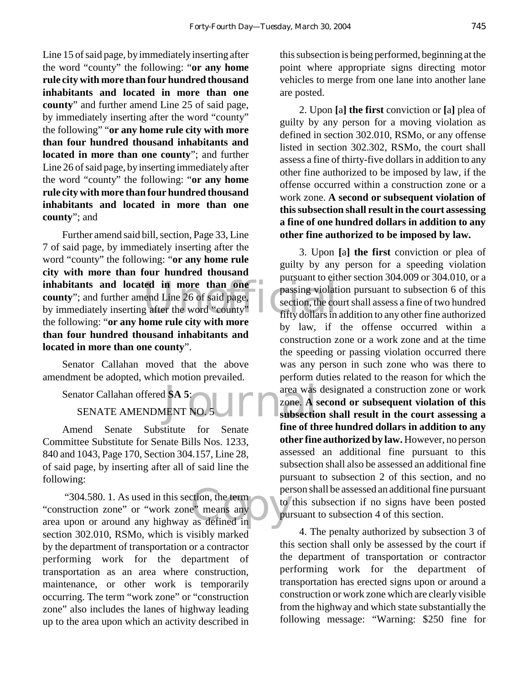Line 15 of said page, by immediately inserting after the word "county" the following: "**or any home rule city with more than four hundred thousand inhabitants and located in more than one county**" and further amend Line 25 of said page, by immediately inserting after the word "county" the following" "**or any home rule city with more than four hundred thousand inhabitants and located in more than one county**"; and further Line 26 of said page, by inserting immediately after the word "county" the following: "**or any home rule city with more than four hundred thousand inhabitants and located in more than one county**"; and

inhabitants and located in more than one passing violation<br>
county"; and further amend Line 26 of said page,<br>
by immediately inserting after the word "county" fifty dollars in Further amend said bill, section, Page 33, Line 7 of said page, by immediately inserting after the word "county" the following: "**or any home rule city with more than four hundred thousand county**"; and further amend Line 26 of said page, by immediately inserting after the word "county" the following: "**or any home rule city with more than four hundred thousand inhabitants and located in more than one county**".

Senator Callahan moved that the above amendment be adopted, which motion prevailed.

Senator Callahan offered **SA 5**:

SENATE AMENDMENT NO. 5

Amend Senate Substitute for Senate Committee Substitute for Senate Bills Nos. 1233, 840 and 1043, Page 170, Section 304.157, Line 28, of said page, by inserting after all of said line the following:

etion, the term<br>e<sup>"</sup> means any<br>as defined in "304.580. 1. As used in this section, the term "construction zone" or "work zone" means any area upon or around any highway as defined in section 302.010, RSMo, which is visibly marked by the department of transportation or a contractor performing work for the department of transportation as an area where construction, maintenance, or other work is temporarily occurring. The term "work zone" or "construction zone" also includes the lanes of highway leading up to the area upon which an activity described in

this subsection is being performed, beginning at the point where appropriate signs directing motor vehicles to merge from one lane into another lane are posted.

2. Upon **[**a**] the first** conviction or **[**a**]** plea of guilty by any person for a moving violation as defined in section 302.010, RSMo, or any offense listed in section 302.302, RSMo, the court shall assess a fine of thirty-five dollars in addition to any other fine authorized to be imposed by law, if the offense occurred within a construction zone or a work zone. **A second or subsequent violation of this subsection shall result in the court assessing a fine of one hundred dollars in addition to any other fine authorized to be imposed by law.**

1 SA 5:<br>
IENT NO. 5 3. Upon **[**a**] the first** conviction or plea of guilty by any person for a speeding violation pursuant to either section 304.009 or 304.010, or a passing violation pursuant to subsection 6 of this section, the court shall assess a fine of two hundred fifty dollars in addition to any other fine authorized by law, if the offense occurred within a construction zone or a work zone and at the time the speeding or passing violation occurred there was any person in such zone who was there to perform duties related to the reason for which the area was designated a construction zone or work zone. **A second or subsequent violation of this subsection shall result in the court assessing a fine of three hundred dollars in addition to any other fine authorized by law.** However, no person assessed an additional fine pursuant to this subsection shall also be assessed an additional fine pursuant to subsection 2 of this section, and no person shall be assessed an additional fine pursuant to this subsection if no signs have been posted pursuant to subsection 4 of this section.

> 4. The penalty authorized by subsection 3 of this section shall only be assessed by the court if the department of transportation or contractor performing work for the department of transportation has erected signs upon or around a construction or work zone which are clearly visible from the highway and which state substantially the following message: "Warning: \$250 fine for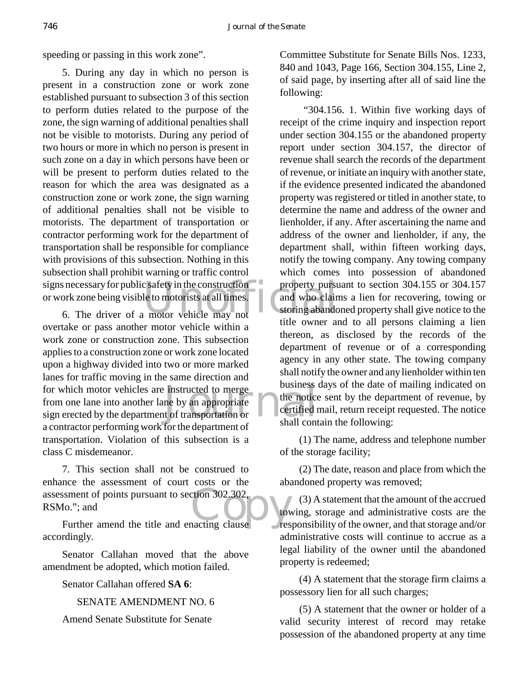speeding or passing in this work zone".

signs necessary for public safety in the construction<br>or work zone being visible to motorists at all times.<br>6. The driver of a motor vehicle may not<br>the summar of 5. During any day in which no person is present in a construction zone or work zone established pursuant to subsection 3 of this section to perform duties related to the purpose of the zone, the sign warning of additional penalties shall not be visible to motorists. During any period of two hours or more in which no person is present in such zone on a day in which persons have been or will be present to perform duties related to the reason for which the area was designated as a construction zone or work zone, the sign warning of additional penalties shall not be visible to motorists. The department of transportation or contractor performing work for the department of transportation shall be responsible for compliance with provisions of this subsection. Nothing in this subsection shall prohibit warning or traffic control or work zone being visible to motorists at all times.

for which motor vehicles are instructed to merge<br>
from one lane into another lane by an appropriate<br>
sign erected by the department of transportation or<br>
shall cont 6. The driver of a motor vehicle may not overtake or pass another motor vehicle within a work zone or construction zone. This subsection applies to a construction zone or work zone located upon a highway divided into two or more marked lanes for traffic moving in the same direction and for which motor vehicles are instructed to merge from one lane into another lane by an appropriate a contractor performing work for the department of transportation. Violation of this subsection is a class C misdemeanor.

Soment of points pursuant to section 302.302,<br>
Io."; and<br>
Further amend the title and enacting clause 7. This section shall not be construed to enhance the assessment of court costs or the assessment of points pursuant to section 302.302, RSMo."; and

accordingly.

Senator Callahan moved that the above amendment be adopted, which motion failed.

Senator Callahan offered **SA 6**:

SENATE AMENDMENT NO. 6

Amend Senate Substitute for Senate

Committee Substitute for Senate Bills Nos. 1233, 840 and 1043, Page 166, Section 304.155, Line 2, of said page, by inserting after all of said line the following:

 "304.156. 1. Within five working days of receipt of the crime inquiry and inspection report under section 304.155 or the abandoned property report under section 304.157, the director of revenue shall search the records of the department of revenue, or initiate an inquiry with another state, if the evidence presented indicated the abandoned property was registered or titled in another state, to determine the name and address of the owner and lienholder, if any. After ascertaining the name and address of the owner and lienholder, if any, the department shall, within fifteen working days, notify the towing company. Any towing company which comes into possession of abandoned property pursuant to section 304.155 or 304.157 and who claims a lien for recovering, towing or storing abandoned property shall give notice to the title owner and to all persons claiming a lien thereon, as disclosed by the records of the department of revenue or of a corresponding agency in any other state. The towing company shall notify the owner and any lienholder within ten business days of the date of mailing indicated on the notice sent by the department of revenue, by certified mail, return receipt requested. The notice shall contain the following:

(1) The name, address and telephone number of the storage facility;

(2) The date, reason and place from which the abandoned property was removed;

(3) A statement that the amount of the accrued towing, storage and administrative costs are the responsibility of the owner, and that storage and/or administrative costs will continue to accrue as a legal liability of the owner until the abandoned property is redeemed;

(4) A statement that the storage firm claims a possessory lien for all such charges;

(5) A statement that the owner or holder of a valid security interest of record may retake possession of the abandoned property at any time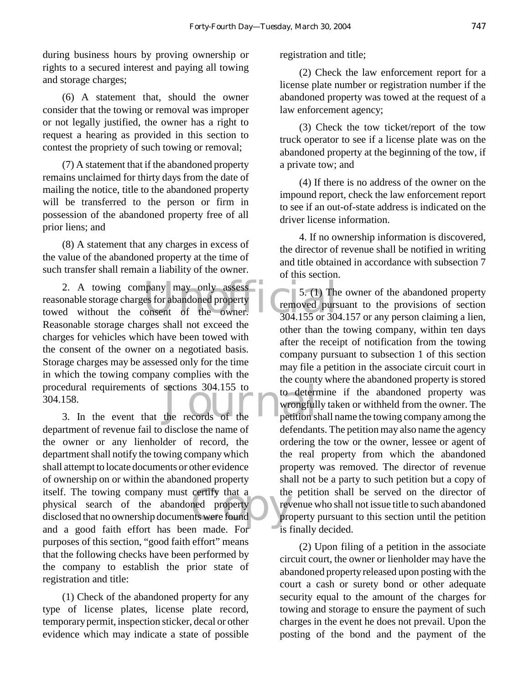during business hours by proving ownership or rights to a secured interest and paying all towing and storage charges;

(6) A statement that, should the owner consider that the towing or removal was improper or not legally justified, the owner has a right to request a hearing as provided in this section to contest the propriety of such towing or removal;

(7) A statement that if the abandoned property remains unclaimed for thirty days from the date of mailing the notice, title to the abandoned property will be transferred to the person or firm in possession of the abandoned property free of all prior liens; and

(8) A statement that any charges in excess of the value of the abandoned property at the time of such transfer shall remain a liability of the owner.

2. A towing company may only assess<br>
2. A towing company may only assessed the 5. (1) The<br>
2. A towing consent of the owner.<br>
204.155 or 304.155 or 304.155 or 304.155 or 304.155 or 304.155 or 304.155 or 304.155 or 304.155 edural requirements of sections 304.155 to<br>
158.<br>
3. In the event that the records of the petitions reasonable storage charges for abandoned property towed without the consent of the owner. Reasonable storage charges shall not exceed the charges for vehicles which have been towed with the consent of the owner on a negotiated basis. Storage charges may be assessed only for the time in which the towing company complies with the procedural requirements of sections 304.155 to 304.158.

certify that a the property reverse contract the contract of the contract of the contract of the contract of the contract of the contract of the contract of the contract of the contract of the contract of the contract of t department of revenue fail to disclose the name of the owner or any lienholder of record, the department shall notify the towing company which shall attempt to locate documents or other evidence of ownership on or within the abandoned property itself. The towing company must certify that a physical search of the abandoned property disclosed that no ownership documents were found and a good faith effort has been made. For purposes of this section, "good faith effort" means that the following checks have been performed by the company to establish the prior state of registration and title:

(1) Check of the abandoned property for any type of license plates, license plate record, temporary permit, inspection sticker, decal or other evidence which may indicate a state of possible registration and title;

(2) Check the law enforcement report for a license plate number or registration number if the abandoned property was towed at the request of a law enforcement agency;

(3) Check the tow ticket/report of the tow truck operator to see if a license plate was on the abandoned property at the beginning of the tow, if a private tow; and

(4) If there is no address of the owner on the impound report, check the law enforcement report to see if an out-of-state address is indicated on the driver license information.

4. If no ownership information is discovered, the director of revenue shall be notified in writing and title obtained in accordance with subsection 7 of this section.

5. (1) The owner of the abandoned property removed pursuant to the provisions of section  $304.155$  or  $304.157$  or any person claiming a lien, other than the towing company, within ten days after the receipt of notification from the towing company pursuant to subsection 1 of this section may file a petition in the associate circuit court in the county where the abandoned property is stored to determine if the abandoned property was wrongfully taken or withheld from the owner. The petition shall name the towing company among the defendants. The petition may also name the agency ordering the tow or the owner, lessee or agent of the real property from which the abandoned property was removed. The director of revenue shall not be a party to such petition but a copy of the petition shall be served on the director of revenue who shall not issue title to such abandoned property pursuant to this section until the petition is finally decided.

(2) Upon filing of a petition in the associate circuit court, the owner or lienholder may have the abandoned property released upon posting with the court a cash or surety bond or other adequate security equal to the amount of the charges for towing and storage to ensure the payment of such charges in the event he does not prevail. Upon the posting of the bond and the payment of the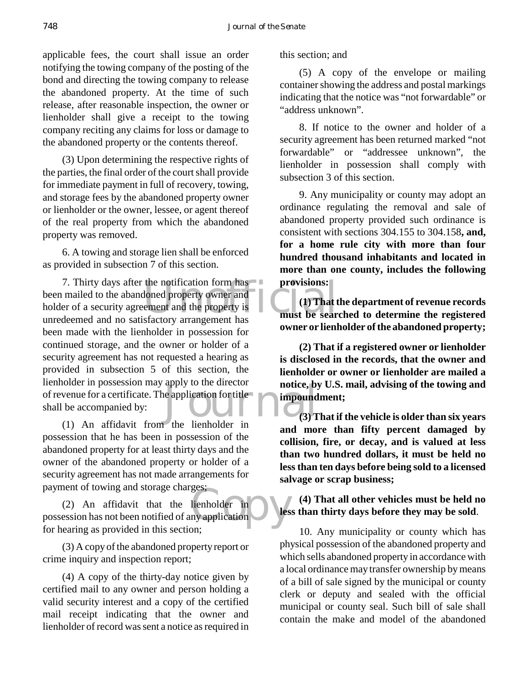applicable fees, the court shall issue an order notifying the towing company of the posting of the bond and directing the towing company to release the abandoned property. At the time of such release, after reasonable inspection, the owner or lienholder shall give a receipt to the towing company reciting any claims for loss or damage to the abandoned property or the contents thereof.

(3) Upon determining the respective rights of the parties, the final order of the court shall provide for immediate payment in full of recovery, towing, and storage fees by the abandoned property owner or lienholder or the owner, lessee, or agent thereof of the real property from which the abandoned property was removed.

6. A towing and storage lien shall be enforced as provided in subsection 7 of this section.

the notification form has<br>
loned property owner and<br>
ement and the property is<br>
sfactory arrangement has<br>
must be sear apply to the director<br>
impound<br>
the lienholder in 7. Thirty days after the notification form has been mailed to the abandoned property owner and holder of a security agreement and the property is unredeemed and no satisfactory arrangement has been made with the lienholder in possession for continued storage, and the owner or holder of a security agreement has not requested a hearing as provided in subsection 5 of this section, the lienholder in possession may apply to the director of revenue for a certificate. The application for title shall be accompanied by:

(1) An affidavit from the lienholder in possession that he has been in possession of the abandoned property for at least thirty days and the owner of the abandoned property or holder of a security agreement has not made arrangements for payment of towing and storage charges;

ges;<br>lienholder in<br>ny application (2) An affidavit that the lienholder in possession has not been notified of any application for hearing as provided in this section;

(3) A copy of the abandoned property report or crime inquiry and inspection report;

(4) A copy of the thirty-day notice given by certified mail to any owner and person holding a valid security interest and a copy of the certified mail receipt indicating that the owner and lienholder of record was sent a notice as required in

this section; and

(5) A copy of the envelope or mailing container showing the address and postal markings indicating that the notice was "not forwardable" or "address unknown".

8. If notice to the owner and holder of a security agreement has been returned marked "not forwardable" or "addressee unknown", the lienholder in possession shall comply with subsection 3 of this section.

9. Any municipality or county may adopt an ordinance regulating the removal and sale of abandoned property provided such ordinance is consistent with sections 304.155 to 304.158**, and, for a home rule city with more than four hundred thousand inhabitants and located in more than one county, includes the following provisions:**

**(1) That the department of revenue records must be searched to determine the registered owner or lienholder of the abandoned property;**

**(2) That if a registered owner or lienholder is disclosed in the records, that the owner and lienholder or owner or lienholder are mailed a notice, by U.S. mail, advising of the towing and impoundment;**

**(3) That if the vehicle is older than six years and more than fifty percent damaged by collision, fire, or decay, and is valued at less than two hundred dollars, it must be held no less than ten days before being sold to a licensed salvage or scrap business;**

**(4) That all other vehicles must be held no less than thirty days before they may be sold**.

10. Any municipality or county which has physical possession of the abandoned property and which sells abandoned property in accordance with a local ordinance may transfer ownership by means of a bill of sale signed by the municipal or county clerk or deputy and sealed with the official municipal or county seal. Such bill of sale shall contain the make and model of the abandoned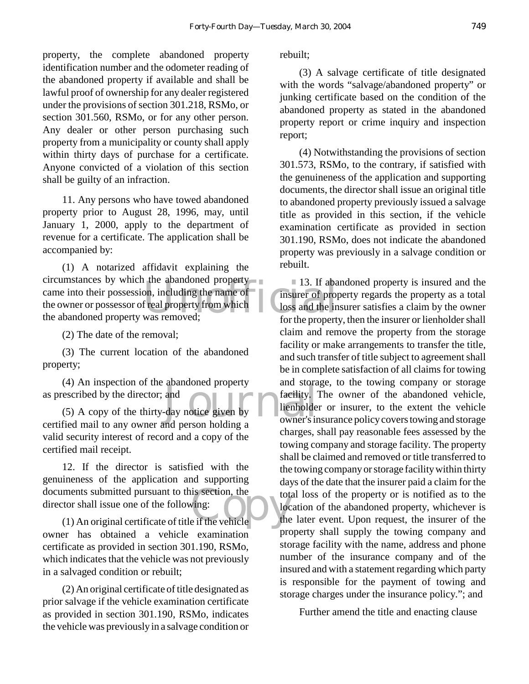property, the complete abandoned property identification number and the odometer reading of the abandoned property if available and shall be lawful proof of ownership for any dealer registered under the provisions of section 301.218, RSMo, or section 301.560, RSMo, or for any other person. Any dealer or other person purchasing such property from a municipality or county shall apply within thirty days of purchase for a certificate. Anyone convicted of a violation of this section shall be guilty of an infraction.

11. Any persons who have towed abandoned property prior to August 28, 1996, may, until January 1, 2000, apply to the department of revenue for a certificate. The application shall be accompanied by:

In the abandoned property<br>
on, including the name of<br>
freal property from which<br>
Was removed;<br>
tor the property<br>
for the property (1) A notarized affidavit explaining the circumstances by which the abandoned property came into their possession, including the name of the owner or possessor of real property from which the abandoned property was removed;

(2) The date of the removal;

(3) The current location of the abandoned property;

(4) An inspection of the abandoned property as prescribed by the director; and

abandoned property<br>and<br>day notice given by<br>and person holding a owner's in (5) A copy of the thirty-day notice given by certified mail to any owner and person holding a valid security interest of record and a copy of the certified mail receipt.

ments submitted pursuant to this section, the<br>
tot tor shall issue one of the following:<br>
(1) An original certificate of title if the vehicle<br>
the 12. If the director is satisfied with the genuineness of the application and supporting documents submitted pursuant to this section, the director shall issue one of the following:

owner has obtained a vehicle examination certificate as provided in section 301.190, RSMo, which indicates that the vehicle was not previously in a salvaged condition or rebuilt;

(2) An original certificate of title designated as prior salvage if the vehicle examination certificate as provided in section 301.190, RSMo, indicates the vehicle was previously in a salvage condition or rebuilt;

(3) A salvage certificate of title designated with the words "salvage/abandoned property" or junking certificate based on the condition of the abandoned property as stated in the abandoned property report or crime inquiry and inspection report;

(4) Notwithstanding the provisions of section 301.573, RSMo, to the contrary, if satisfied with the genuineness of the application and supporting documents, the director shall issue an original title to abandoned property previously issued a salvage title as provided in this section, if the vehicle examination certificate as provided in section 301.190, RSMo, does not indicate the abandoned property was previously in a salvage condition or rebuilt.

13. If abandoned property is insured and the insurer of property regards the property as a total loss and the insurer satisfies a claim by the owner for the property, then the insurer or lienholder shall claim and remove the property from the storage facility or make arrangements to transfer the title, and such transfer of title subject to agreement shall be in complete satisfaction of all claims for towing and storage, to the towing company or storage facility. The owner of the abandoned vehicle. lienholder or insurer, to the extent the vehicle owner's insurance policy covers towing and storage charges, shall pay reasonable fees assessed by the towing company and storage facility. The property shall be claimed and removed or title transferred to the towing company or storage facility within thirty days of the date that the insurer paid a claim for the total loss of the property or is notified as to the location of the abandoned property, whichever is the later event. Upon request, the insurer of the property shall supply the towing company and storage facility with the name, address and phone number of the insurance company and of the insured and with a statement regarding which party is responsible for the payment of towing and storage charges under the insurance policy."; and

Further amend the title and enacting clause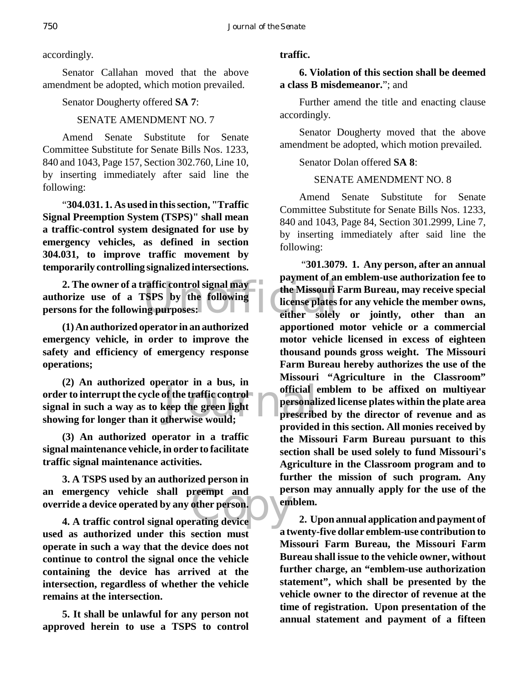accordingly.

Senator Callahan moved that the above amendment be adopted, which motion prevailed.

Senator Dougherty offered **SA 7**:

# SENATE AMENDMENT NO. 7

Amend Senate Substitute for Senate Committee Substitute for Senate Bills Nos. 1233, 840 and 1043, Page 157, Section 302.760, Line 10, by inserting immediately after said line the following:

"**304.031. 1. As used in this section, "Traffic Signal Preemption System (TSPS)" shall mean a traffic-control system designated for use by emergency vehicles, as defined in section 304.031, to improve traffic movement by temporarily controlling signalized intersections.**

2. The owner of a traffic control signal may<br>orize use of a TSPS by the following<br>ons for the following purposes:<br>either solely **authorize use of a TSPS by the following persons for the following purposes:**

**(1) An authorized operator in an authorized emergency vehicle, in order to improve the safety and efficiency of emergency response operations;**

of the traffic control<br>
seep the green light
of the would; **(2) An authorized operator in a bus, in order to interrupt the cycle of the traffic control signal in such a way as to keep the green light showing for longer than it otherwise would;**

**(3) An authorized operator in a traffic signal maintenance vehicle, in order to facilitate traffic signal maintenance activities.**

an emergency vehicle shall preempt and per<br>override a device operated by any other person.<br>4. A traffic control signal operating device **3. A TSPS used by an authorized person in override a device operated by any other person.**

**4. A traffic control signal operating device used as authorized under this section must operate in such a way that the device does not continue to control the signal once the vehicle containing the device has arrived at the intersection, regardless of whether the vehicle remains at the intersection.**

**5. It shall be unlawful for any person not approved herein to use a TSPS to control**

# **traffic.**

# **6. Violation of this section shall be deemed a class B misdemeanor.**"; and

Further amend the title and enacting clause accordingly.

Senator Dougherty moved that the above amendment be adopted, which motion prevailed.

# Senator Dolan offered **SA 8**:

# SENATE AMENDMENT NO. 8

Amend Senate Substitute for Senate Committee Substitute for Senate Bills Nos. 1233, 840 and 1043, Page 84, Section 301.2999, Line 7, by inserting immediately after said line the following:

 "**301.3079. 1. Any person, after an annual payment of an emblem-use authorization fee to the Missouri Farm Bureau, may receive special license plates for any vehicle the member owns, either solely or jointly, other than an apportioned motor vehicle or a commercial motor vehicle licensed in excess of eighteen thousand pounds gross weight. The Missouri Farm Bureau hereby authorizes the use of the Missouri "Agriculture in the Classroom" official emblem to be affixed on multiyear personalized license plates within the plate area prescribed by the director of revenue and as provided in this section. All monies received by the Missouri Farm Bureau pursuant to this section shall be used solely to fund Missouri's Agriculture in the Classroom program and to further the mission of such program. Any person may annually apply for the use of the emblem.**

**2. Upon annual application and payment of a twenty-five dollar emblem-use contribution to Missouri Farm Bureau, the Missouri Farm Bureau shall issue to the vehicle owner, without further charge, an "emblem-use authorization statement", which shall be presented by the vehicle owner to the director of revenue at the time of registration. Upon presentation of the annual statement and payment of a fifteen**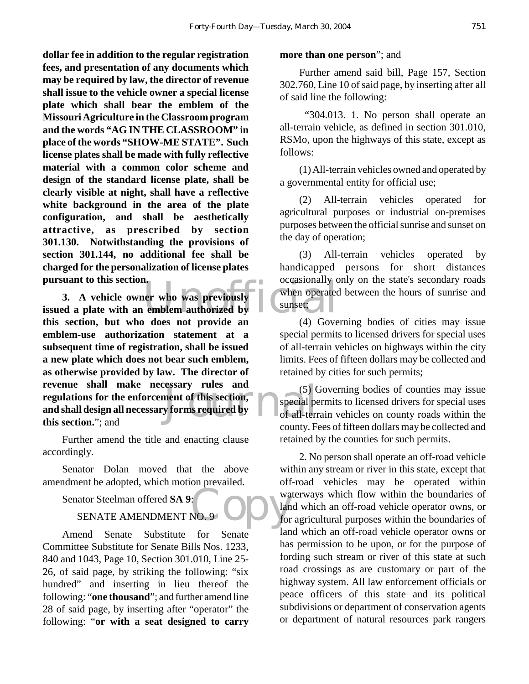**dollar fee in addition to the regular registration fees, and presentation of any documents which may be required by law, the director of revenue shall issue to the vehicle owner a special license plate which shall bear the emblem of the Missouri Agriculture in the Classroom program and the words "AG IN THE CLASSROOM" in place of the words "SHOW-ME STATE". Such license plates shall be made with fully reflective material with a common color scheme and design of the standard license plate, shall be clearly visible at night, shall have a reflective white background in the area of the plate configuration, and shall be aesthetically attractive, as prescribed by section 301.130. Notwithstanding the provisions of section 301.144, no additional fee shall be charged for the personalization of license plates pursuant to this section.**

pursuant to this section.<br>
3. A vehicle owner who was previously<br>
issued a plate with an emblem authorized by<br>
this section, but who does not provide an (4) Cove Exactly rules and (5)<br>
ment of this section, special performs required by<br>  $\begin{array}{c} \text{of all-term} \\ \text{of all-term} \end{array}$ **3. A vehicle owner who was previously this section, but who does not provide an emblem-use authorization statement at a subsequent time of registration, shall be issued a new plate which does not bear such emblem, as otherwise provided by law. The director of revenue shall make necessary rules and regulations for the enforcement of this section, and shall design all necessary forms required by this section.**"; and

Further amend the title and enacting clause accordingly.

Senator Dolan moved that the above amendment be adopted, which motion prevailed.

Senator Steelman offered **SA 9**:

# SENATE AMENDMENT NO. 9

Amend Senate Substitute for Senate Committee Substitute for Senate Bills Nos. 1233, 840 and 1043, Page 10, Section 301.010, Line 25- 26, of said page, by striking the following: "six hundred" and inserting in lieu thereof the following: "**one thousand**"; and further amend line 28 of said page, by inserting after "operator" the following: "**or with a seat designed to carry**

#### **more than one person**"; and

Further amend said bill, Page 157, Section 302.760, Line 10 of said page, by inserting after all of said line the following:

 "304.013. 1. No person shall operate an all-terrain vehicle, as defined in section 301.010, RSMo, upon the highways of this state, except as follows:

(1) All-terrain vehicles owned and operated by a governmental entity for official use;

(2) All-terrain vehicles operated for agricultural purposes or industrial on-premises purposes between the official sunrise and sunset on the day of operation;

(3) All-terrain vehicles operated by handicapped persons for short distances occasionally only on the state's secondary roads when operated between the hours of sunrise and sunset;

(4) Governing bodies of cities may issue special permits to licensed drivers for special uses of all-terrain vehicles on highways within the city limits. Fees of fifteen dollars may be collected and retained by cities for such permits;

(5) Governing bodies of counties may issue special permits to licensed drivers for special uses of all-terrain vehicles on county roads within the county. Fees of fifteen dollars may be collected and retained by the counties for such permits.

 $\overline{\text{Cov}}$ 2. No person shall operate an off-road vehicle within any stream or river in this state, except that off-road vehicles may be operated within waterways which flow within the boundaries of land which an off-road vehicle operator owns, or for agricultural purposes within the boundaries of land which an off-road vehicle operator owns or has permission to be upon, or for the purpose of fording such stream or river of this state at such road crossings as are customary or part of the highway system. All law enforcement officials or peace officers of this state and its political subdivisions or department of conservation agents or department of natural resources park rangers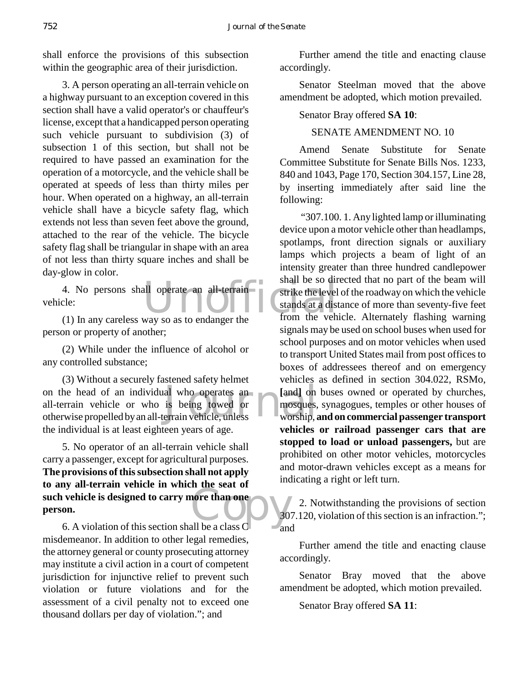shall enforce the provisions of this subsection within the geographic area of their jurisdiction.

3. A person operating an all-terrain vehicle on a highway pursuant to an exception covered in this section shall have a valid operator's or chauffeur's license, except that a handicapped person operating such vehicle pursuant to subdivision (3) of subsection 1 of this section, but shall not be required to have passed an examination for the operation of a motorcycle, and the vehicle shall be operated at speeds of less than thirty miles per hour. When operated on a highway, an all-terrain vehicle shall have a bicycle safety flag, which extends not less than seven feet above the ground, attached to the rear of the vehicle. The bicycle safety flag shall be triangular in shape with an area of not less than thirty square inches and shall be day-glow in color.

4. No persons shall operate an all-terrain<br>
cle:<br>
(1) In any careless way so as to endanger the from the veh vehicle:

(1) In any careless way so as to endanger the person or property of another;

(2) While under the influence of alcohol or any controlled substance;

on the head of an individual who operates an [and] on<br>all-terrain vehicle or who is being towed or mosques,<br>otherwise propelled by an all-terrain vehicle, unless worship, (3) Without a securely fastened safety helmet all-terrain vehicle or who is being towed or otherwise propelled by an all-terrain vehicle, unless the individual is at least eighteen years of age.

such vehicle is designed to carry more than one<br>
person.<br>
6. A violation of this section shall be a class C 5. No operator of an all-terrain vehicle shall carry a passenger, except for agricultural purposes. **The provisions of this subsection shall not apply to any all-terrain vehicle in which the seat of person.**

6. A violation of this section shall be a class C misdemeanor. In addition to other legal remedies, the attorney general or county prosecuting attorney may institute a civil action in a court of competent jurisdiction for injunctive relief to prevent such violation or future violations and for the assessment of a civil penalty not to exceed one thousand dollars per day of violation."; and

Further amend the title and enacting clause accordingly.

Senator Steelman moved that the above amendment be adopted, which motion prevailed.

#### Senator Bray offered **SA 10**:

#### SENATE AMENDMENT NO. 10

Amend Senate Substitute for Senate Committee Substitute for Senate Bills Nos. 1233, 840 and 1043, Page 170, Section 304.157, Line 28, by inserting immediately after said line the following:

 "307.100. 1. Any lighted lamp or illuminating device upon a motor vehicle other than headlamps, spotlamps, front direction signals or auxiliary lamps which projects a beam of light of an intensity greater than three hundred candlepower shall be so directed that no part of the beam will strike the level of the roadway on which the vehicle stands at a distance of more than seventy-five feet from the vehicle. Alternately flashing warning signals may be used on school buses when used for school purposes and on motor vehicles when used to transport United States mail from post offices to boxes of addressees thereof and on emergency vehicles as defined in section 304.022, RSMo, [and] on buses owned or operated by churches, mosques, synagogues, temples or other houses of worship, **and on commercial passenger transport vehicles or railroad passenger cars that are stopped to load or unload passengers,** but are prohibited on other motor vehicles, motorcycles and motor-drawn vehicles except as a means for indicating a right or left turn.

2. Notwithstanding the provisions of section 307.120, violation of this section is an infraction."; and

Further amend the title and enacting clause accordingly.

Senator Bray moved that the above amendment be adopted, which motion prevailed.

Senator Bray offered **SA 11**: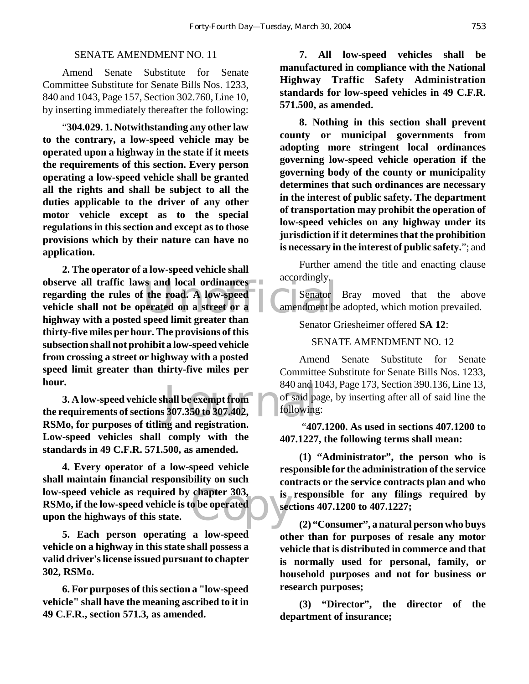#### SENATE AMENDMENT NO. 11

Amend Senate Substitute for Senate Committee Substitute for Senate Bills Nos. 1233, 840 and 1043, Page 157, Section 302.760, Line 10, by inserting immediately thereafter the following:

"**304.029. 1. Notwithstanding any other law to the contrary, a low-speed vehicle may be operated upon a highway in the state if it meets the requirements of this section. Every person operating a low-speed vehicle shall be granted all the rights and shall be subject to all the duties applicable to the driver of any other motor vehicle except as to the special regulations in this section and except as to those provisions which by their nature can have no application.**

Strand local ordinances<br>
The road. A low-speed<br>
Derated on a street or a<br>
Senator<br>
Senator<br>
Senator<br>
Senator<br>
Senator<br>
Senator<br>
Senator<br>
Senator<br>
Senator<br>
Senator<br>
Senator<br>
Senator<br>
Senator<br>
Senator<br>
Senator<br>
Senator<br>
Sena **2. The operator of a low-speed vehicle shall observe all traffic laws and local ordinances regarding the rules of the road. A low-speed vehicle shall not be operated on a street or a highway with a posted speed limit greater than thirty-five miles per hour. The provisions of this subsection shall not prohibit a low-speed vehicle from crossing a street or highway with a posted speed limit greater than thirty-five miles per hour.**

840 and 1<br>
hall be exempt from the of said pa<br>
307.350 to 307.402, tollowing<br>
and registration **3. A low-speed vehicle shall be exempt from the requirements of sections 307.350 to 307.402, RSMo, for purposes of titling and registration. Low-speed vehicles shall comply with the standards in 49 C.F.R. 571.500, as amended.**

chapter 303, is<br>
o be operated **4. Every operator of a low-speed vehicle shall maintain financial responsibility on such low-speed vehicle as required by chapter 303, RSMo, if the low-speed vehicle is to be operated upon the highways of this state.**

**5. Each person operating a low-speed vehicle on a highway in this state shall possess a valid driver's license issued pursuant to chapter 302, RSMo.**

**6. For purposes of this section a "low-speed vehicle" shall have the meaning ascribed to it in 49 C.F.R., section 571.3, as amended.**

**7. All low-speed vehicles shall be manufactured in compliance with the National Highway Traffic Safety Administration standards for low-speed vehicles in 49 C.F.R. 571.500, as amended.**

**8. Nothing in this section shall prevent county or municipal governments from adopting more stringent local ordinances governing low-speed vehicle operation if the governing body of the county or municipality determines that such ordinances are necessary in the interest of public safety. The department of transportation may prohibit the operation of low-speed vehicles on any highway under its jurisdiction if it determines that the prohibition is necessary in the interest of public safety.**"; and

Further amend the title and enacting clause accordingly.

Senator Bray moved that the above amendment be adopted, which motion prevailed.

Senator Griesheimer offered **SA 12**:

#### SENATE AMENDMENT NO. 12

Amend Senate Substitute for Senate Committee Substitute for Senate Bills Nos. 1233, 840 and 1043, Page 173, Section 390.136, Line 13, of said page, by inserting after all of said line the following:

 "**407.1200. As used in sections 407.1200 to 407.1227, the following terms shall mean:**

**(1) "Administrator", the person who is responsible for the administration of the service contracts or the service contracts plan and who is responsible for any filings required by sections 407.1200 to 407.1227;**

**(2) "Consumer", a natural person who buys other than for purposes of resale any motor vehicle that is distributed in commerce and that is normally used for personal, family, or household purposes and not for business or research purposes;**

**(3) "Director", the director of the department of insurance;**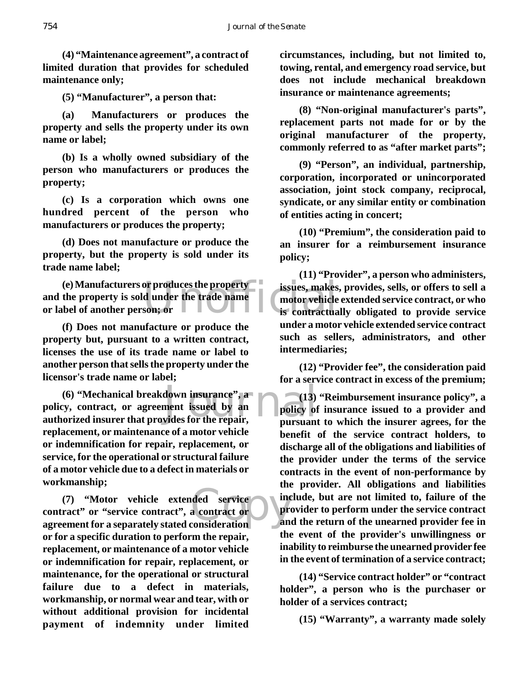**(4) "Maintenance agreement", a contract of limited duration that provides for scheduled maintenance only;**

**(5) "Manufacturer", a person that:**

**(a) Manufacturers or produces the property and sells the property under its own name or label;**

**(b) Is a wholly owned subsidiary of the person who manufacturers or produces the property;**

**(c) Is a corporation which owns one hundred percent of the person who manufacturers or produces the property;**

**(d) Does not manufacture or produce the property, but the property is sold under its trade name label;**

(e) Manufacturers or produces the property<br>
the property is sold under the trade name<br>
bel of another person; or<br>
is contractual **and the property is sold under the trade name or label of another person; or**

**(f) Does not manufacture or produce the property but, pursuant to a written contract, licenses the use of its trade name or label to another person that sells the property under the licensor's trade name or label;**

down insurance", a<br>
ment issued by an policy of<br>
vides for the repair, pursuant **(6) "Mechanical breakdown insurance", a policy, contract, or agreement issued by an authorized insurer that provides for the repair, replacement, or maintenance of a motor vehicle or indemnification for repair, replacement, or service, for the operational or structural failure of a motor vehicle due to a defect in materials or workmanship;**

ded service<br>a contract or present of the pre-**(7) "Motor vehicle extended service contract" or "service contract", a contract or agreement for a separately stated consideration or for a specific duration to perform the repair, replacement, or maintenance of a motor vehicle or indemnification for repair, replacement, or maintenance, for the operational or structural failure due to a defect in materials, workmanship, or normal wear and tear, with or without additional provision for incidental payment of indemnity under limited**

**circumstances, including, but not limited to, towing, rental, and emergency road service, but does not include mechanical breakdown insurance or maintenance agreements;**

**(8) "Non-original manufacturer's parts", replacement parts not made for or by the original manufacturer of the property, commonly referred to as "after market parts";**

**(9) "Person", an individual, partnership, corporation, incorporated or unincorporated association, joint stock company, reciprocal, syndicate, or any similar entity or combination of entities acting in concert;**

**(10) "Premium", the consideration paid to an insurer for a reimbursement insurance policy;**

**(11) "Provider", a person who administers, issues, makes, provides, sells, or offers to sell a motor vehicle extended service contract, or who is contractually obligated to provide service under a motor vehicle extended service contract such as sellers, administrators, and other intermediaries;**

**(12) "Provider fee", the consideration paid for a service contract in excess of the premium;**

**(13) "Reimbursement insurance policy", a policy of insurance issued to a provider and pursuant to which the insurer agrees, for the benefit of the service contract holders, to discharge all of the obligations and liabilities of the provider under the terms of the service contracts in the event of non-performance by the provider. All obligations and liabilities include, but are not limited to, failure of the provider to perform under the service contract and the return of the unearned provider fee in the event of the provider's unwillingness or inability to reimburse the unearned provider fee in the event of termination of a service contract;**

**(14) "Service contract holder" or "contract holder", a person who is the purchaser or holder of a services contract;**

**(15) "Warranty", a warranty made solely**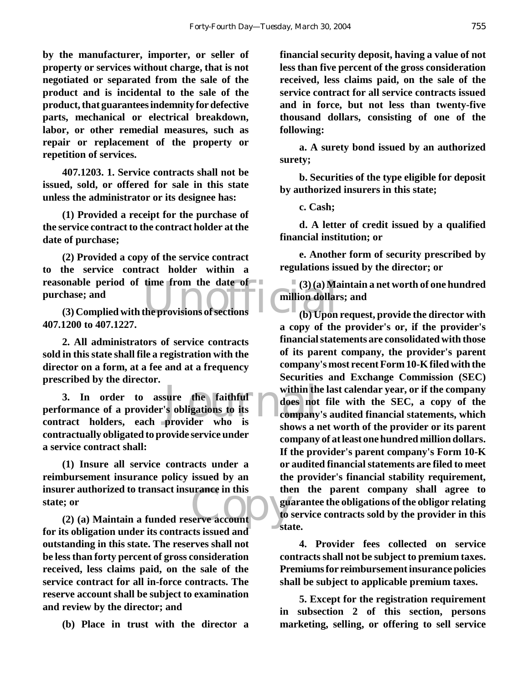**by the manufacturer, importer, or seller of property or services without charge, that is not negotiated or separated from the sale of the product and is incidental to the sale of the product, that guarantees indemnity for defective parts, mechanical or electrical breakdown, labor, or other remedial measures, such as repair or replacement of the property or repetition of services.**

**407.1203. 1. Service contracts shall not be issued, sold, or offered for sale in this state unless the administrator or its designee has:**

**(1) Provided a receipt for the purchase of the service contract to the contract holder at the date of purchase;**

**reasonable period of time from the date of** (3)(a) Mapurchase; and (3) Complied with the provisions of sections (b) Upon **(2) Provided a copy of the service contract to the service contract holder within a purchase; and**

**(3) Complied with the provisions of sections 407.1200 to 407.1227.**

**2. All administrators of service contracts sold in this state shall file a registration with the director on a form, at a fee and at a frequency prescribed by the director.**

sure the faithful within the sure the faithful does not<br>
is obligations to its<br>
provider who is **3. In order to assure the faithful performance of a provider's obligations to its contract holders, each provider who is contractually obligated to provide service under a service contract shall:**

rer authorized to transact insurance in this<br> **(2) (a) Maintain a funded reserve account**<br> **(2) (a) Maintain a funded reserve account (1) Insure all service contracts under a reimbursement insurance policy issued by an insurer authorized to transact insurance in this state; or**

**for its obligation under its contracts issued and outstanding in this state. The reserves shall not be less than forty percent of gross consideration received, less claims paid, on the sale of the service contract for all in-force contracts. The reserve account shall be subject to examination and review by the director; and**

**(b) Place in trust with the director a**

**financial security deposit, having a value of not less than five percent of the gross consideration received, less claims paid, on the sale of the service contract for all service contracts issued and in force, but not less than twenty-five thousand dollars, consisting of one of the following:**

**a. A surety bond issued by an authorized surety;**

**b. Securities of the type eligible for deposit by authorized insurers in this state;**

**c. Cash;**

**d. A letter of credit issued by a qualified financial institution; or**

**e. Another form of security prescribed by regulations issued by the director; or**

**(3) (a) Maintain a net worth of one hundred million dollars; and**

**(b) Upon request, provide the director with a copy of the provider's or, if the provider's financial statements are consolidated with those of its parent company, the provider's parent company's most recent Form 10-K filed with the Securities and Exchange Commission (SEC) within the last calendar year, or if the company does not file with the SEC, a copy of the company's audited financial statements, which shows a net worth of the provider or its parent company of at least one hundred million dollars. If the provider's parent company's Form 10-K or audited financial statements are filed to meet the provider's financial stability requirement, then the parent company shall agree to guarantee the obligations of the obligor relating to service contracts sold by the provider in this state.**

**4. Provider fees collected on service contracts shall not be subject to premium taxes. Premiums for reimbursement insurance policies shall be subject to applicable premium taxes.**

**5. Except for the registration requirement in subsection 2 of this section, persons marketing, selling, or offering to sell service**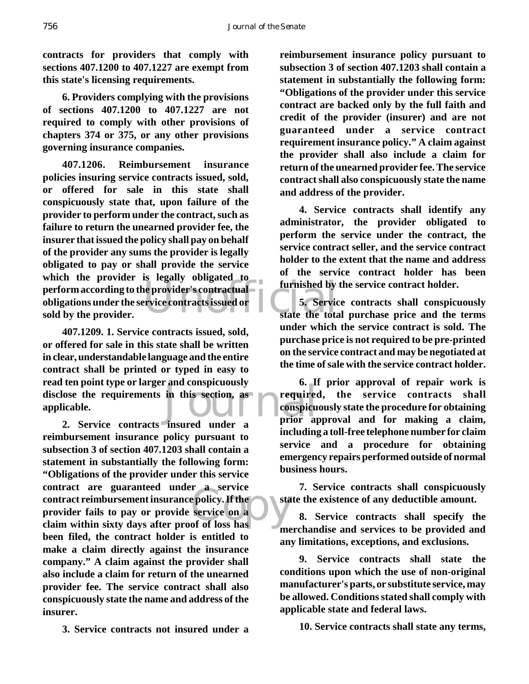**contracts for providers that comply with sections 407.1200 to 407.1227 are exempt from this state's licensing requirements.**

**6. Providers complying with the provisions of sections 407.1200 to 407.1227 are not required to comply with other provisions of chapters 374 or 375, or any other provisions governing insurance companies.**

perform according to the provider's contractual<br>
obligations under the service contracts issued or<br>
sold by the provider.<br>
State the total **407.1206. Reimbursement insurance policies insuring service contracts issued, sold, or offered for sale in this state shall conspicuously state that, upon failure of the provider to perform under the contract, such as failure to return the unearned provider fee, the insurer that issued the policy shall pay on behalf of the provider any sums the provider is legally obligated to pay or shall provide the service which the provider is legally obligated to obligations under the service contracts issued or sold by the provider.**

in this section, as<br>insured under a prior all **407.1209. 1. Service contracts issued, sold, or offered for sale in this state shall be written in clear, understandable language and the entire contract shall be printed or typed in easy to read ten point type or larger and conspicuously disclose the requirements in this section, as applicable.**

F a service<br>e policy. If the<br>service on a<br>of of loss has **2. Service contracts insured under a reimbursement insurance policy pursuant to subsection 3 of section 407.1203 shall contain a statement in substantially the following form: "Obligations of the provider under this service contract are guaranteed under a service contract reimbursement insurance policy. If the provider fails to pay or provide service on a claim within sixty days after proof of loss has been filed, the contract holder is entitled to make a claim directly against the insurance company." A claim against the provider shall also include a claim for return of the unearned provider fee. The service contract shall also conspicuously state the name and address of the insurer.**

**3. Service contracts not insured under a**

**reimbursement insurance policy pursuant to subsection 3 of section 407.1203 shall contain a statement in substantially the following form: "Obligations of the provider under this service contract are backed only by the full faith and credit of the provider (insurer) and are not guaranteed under a service contract requirement insurance policy." A claim against the provider shall also include a claim for return of the unearned provider fee. The service contract shall also conspicuously state the name and address of the provider.**

**4. Service contracts shall identify any administrator, the provider obligated to perform the service under the contract, the service contract seller, and the service contract holder to the extent that the name and address of the service contract holder has been furnished by the service contract holder.**

**5. Service contracts shall conspicuously state the total purchase price and the terms under which the service contract is sold. The purchase price is not required to be pre-printed on the service contract and may be negotiated at the time of sale with the service contract holder.**

**6. If prior approval of repair work is required, the service contracts shall conspicuously state the procedure for obtaining prior approval and for making a claim, including a toll-free telephone number for claim service and a procedure for obtaining emergency repairs performed outside of normal business hours.**

**7. Service contracts shall conspicuously state the existence of any deductible amount.**

**8. Service contracts shall specify the merchandise and services to be provided and any limitations, exceptions, and exclusions.**

**9. Service contracts shall state the conditions upon which the use of non-original manufacturer's parts, or substitute service, may be allowed. Conditions stated shall comply with applicable state and federal laws.**

**10. Service contracts shall state any terms,**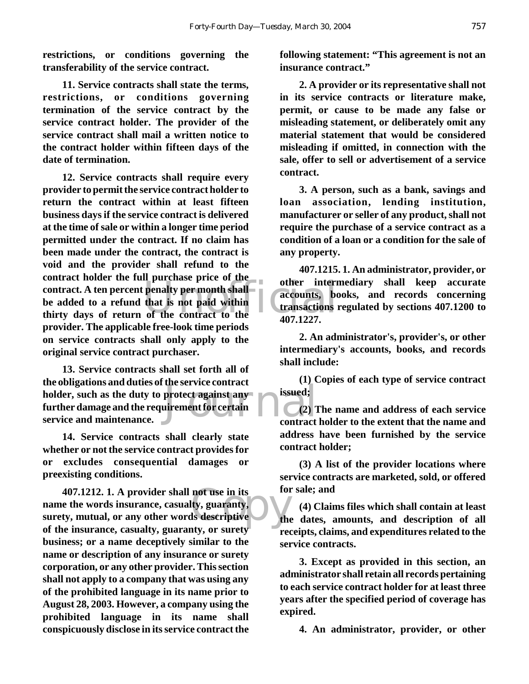**restrictions, or conditions governing the transferability of the service contract.**

**11. Service contracts shall state the terms, restrictions, or conditions governing termination of the service contract by the service contract holder. The provider of the service contract shall mail a written notice to the contract holder within fifteen days of the date of termination.**

of the contract holder the ran parenase price of the other internet contract. A ten percent penalty per month shall<br>be added to a refund that is not paid within<br>thirty days of return of the contract to the 407.1227. **12. Service contracts shall require every provider to permit the service contract holder to return the contract within at least fifteen business days if the service contract is delivered at the time of sale or within a longer time period permitted under the contract. If no claim has been made under the contract, the contract is void and the provider shall refund to the contract holder the full purchase price of the be added to a refund that is not paid within thirty days of return of the contract to the provider. The applicable free-look time periods on service contracts shall only apply to the original service contract purchaser.**

protect against any issued;<br>nirement for certain (2) 1 **13. Service contracts shall set forth all of the obligations and duties of the service contract holder, such as the duty to protect against any further damage and the requirement for certain service and maintenance.**

**14. Service contracts shall clearly state whether or not the service contract provides for or excludes consequential damages or preexisting conditions.**

not use in its<br>lty, guaranty,<br>ls descriptive<br>aty or surety **407.1212. 1. A provider shall not use in its name the words insurance, casualty, guaranty, surety, mutual, or any other words descriptive of the insurance, casualty, guaranty, or surety business; or a name deceptively similar to the name or description of any insurance or surety corporation, or any other provider. This section shall not apply to a company that was using any of the prohibited language in its name prior to August 28, 2003. However, a company using the prohibited language in its name shall conspicuously disclose in its service contract the**

**following statement: "This agreement is not an insurance contract."**

**2. A provider or its representative shall not in its service contracts or literature make, permit, or cause to be made any false or misleading statement, or deliberately omit any material statement that would be considered misleading if omitted, in connection with the sale, offer to sell or advertisement of a service contract.**

**3. A person, such as a bank, savings and loan association, lending institution, manufacturer or seller of any product, shall not require the purchase of a service contract as a condition of a loan or a condition for the sale of any property.**

**407.1215. 1. An administrator, provider, or other intermediary shall keep accurate accounts, books, and records concerning transactions regulated by sections 407.1200 to 407.1227.**

**2. An administrator's, provider's, or other intermediary's accounts, books, and records shall include:**

**(1) Copies of each type of service contract issued;**

**(2) The name and address of each service contract holder to the extent that the name and address have been furnished by the service contract holder;**

**(3) A list of the provider locations where service contracts are marketed, sold, or offered for sale; and**

**(4) Claims files which shall contain at least the dates, amounts, and description of all receipts, claims, and expenditures related to the service contracts.**

**3. Except as provided in this section, an administrator shall retain all records pertaining to each service contract holder for at least three years after the specified period of coverage has expired.**

**4. An administrator, provider, or other**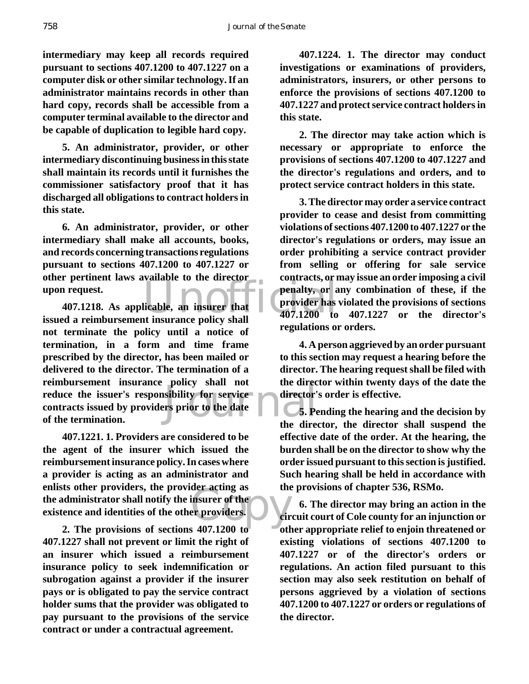**intermediary may keep all records required pursuant to sections 407.1200 to 407.1227 on a computer disk or other similar technology. If an administrator maintains records in other than hard copy, records shall be accessible from a computer terminal available to the director and be capable of duplication to legible hard copy.**

**5. An administrator, provider, or other intermediary discontinuing business in this state shall maintain its records until it furnishes the commissioner satisfactory proof that it has discharged all obligations to contract holders in this state.**

**6. An administrator, provider, or other intermediary shall make all accounts, books, and records concerning transactions regulations pursuant to sections 407.1200 to 407.1227 or other pertinent laws available to the director upon request.**

poncy shan not<br>sibility for service<br>rs prior to the date<br>the director's **407.1218. As applicable, an insurer that issued a reimbursement insurance policy shall not terminate the policy until a notice of termination, in a form and time frame prescribed by the director, has been mailed or delivered to the director. The termination of a reimbursement insurance policy shall not reduce the issuer's responsibility for service contracts issued by providers prior to the date of the termination.**

der acting as<br>
insurer of the<br>
er providers.<br>
and 1200 to and the other **407.1221. 1. Providers are considered to be the agent of the insurer which issued the reimbursement insurance policy. In cases where a provider is acting as an administrator and enlists other providers, the provider acting as the administrator shall notify the insurer of the existence and identities of the other providers.**

**2. The provisions of sections 407.1200 to 407.1227 shall not prevent or limit the right of an insurer which issued a reimbursement insurance policy to seek indemnification or subrogation against a provider if the insurer pays or is obligated to pay the service contract holder sums that the provider was obligated to pay pursuant to the provisions of the service contract or under a contractual agreement.**

**407.1224. 1. The director may conduct investigations or examinations of providers, administrators, insurers, or other persons to enforce the provisions of sections 407.1200 to 407.1227 and protect service contract holders in this state.**

**2. The director may take action which is necessary or appropriate to enforce the provisions of sections 407.1200 to 407.1227 and the director's regulations and orders, and to protect service contract holders in this state.**

examative to the director<br>penalty, or a<br>licable, an insurer that<br>tinsurance policy shall<br> $407.1200$  to **3. The director may order a service contract provider to cease and desist from committing violations of sections 407.1200 to 407.1227 or the director's regulations or orders, may issue an order prohibiting a service contract provider from selling or offering for sale service contracts, or may issue an order imposing a civil penalty, or any combination of these, if the provider has violated the provisions of sections 407.1200 to 407.1227 or the director's regulations or orders.**

> **4. A person aggrieved by an order pursuant to this section may request a hearing before the director. The hearing request shall be filed with the director within twenty days of the date the director's order is effective.**

> **5. Pending the hearing and the decision by the director, the director shall suspend the effective date of the order. At the hearing, the burden shall be on the director to show why the order issued pursuant to this section is justified. Such hearing shall be held in accordance with the provisions of chapter 536, RSMo.**

> **6. The director may bring an action in the circuit court of Cole county for an injunction or other appropriate relief to enjoin threatened or existing violations of sections 407.1200 to 407.1227 or of the director's orders or regulations. An action filed pursuant to this section may also seek restitution on behalf of persons aggrieved by a violation of sections 407.1200 to 407.1227 or orders or regulations of the director.**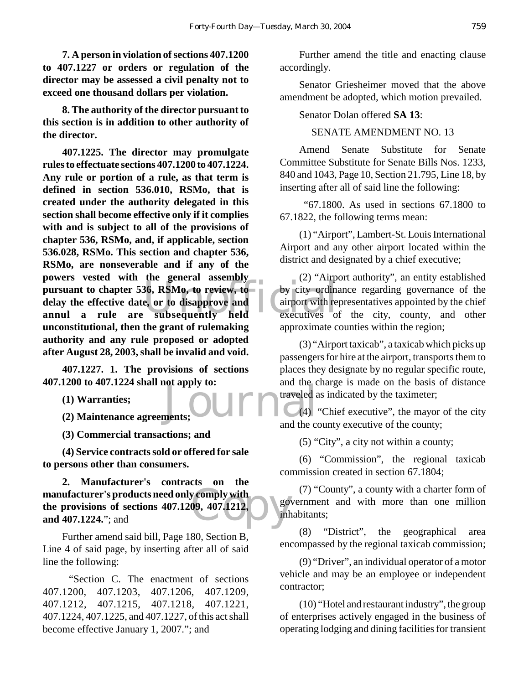**7. A person in violation of sections 407.1200 to 407.1227 or orders or regulation of the director may be assessed a civil penalty not to exceed one thousand dollars per violation.**

**8. The authority of the director pursuant to this section is in addition to other authority of the director.**

pursuant to chapter 536, RSMo, to review, to by city ordinal<br>delay the effective date, or to disapprove and<br>annul a rule are subsequently held executives of **407.1225. The director may promulgate rules to effectuate sections 407.1200 to 407.1224. Any rule or portion of a rule, as that term is defined in section 536.010, RSMo, that is created under the authority delegated in this section shall become effective only if it complies with and is subject to all of the provisions of chapter 536, RSMo, and, if applicable, section 536.028, RSMo. This section and chapter 536, RSMo, are nonseverable and if any of the powers vested with the general assembly delay the effective date, or to disapprove and annul a rule are subsequently held unconstitutional, then the grant of rulemaking authority and any rule proposed or adopted after August 28, 2003, shall be invalid and void.**

**407.1227. 1. The provisions of sections 407.1200 to 407.1224 shall not apply to:**

**(1) Warranties;**

**(2) Maintenance agreements;**

**(3) Commercial transactions; and**

**(4) Service contracts sold or offered for sale to persons other than consumers.**

manufacturer's products need only comply with<br>the provisions of sections 407.1209, 407.1212,<br>and 407.1224."; and **2. Manufacturer's contracts on the the provisions of sections 407.1209, 407.1212, and 407.1224.**"; and

Further amend said bill, Page 180, Section B, Line 4 of said page, by inserting after all of said line the following:

 "Section C. The enactment of sections 407.1200, 407.1203, 407.1206, 407.1209, 407.1212, 407.1215, 407.1218, 407.1221, 407.1224, 407.1225, and 407.1227, of this act shall become effective January 1, 2007."; and

Further amend the title and enacting clause accordingly.

Senator Griesheimer moved that the above amendment be adopted, which motion prevailed.

#### Senator Dolan offered **SA 13**:

#### SENATE AMENDMENT NO. 13

Amend Senate Substitute for Senate Committee Substitute for Senate Bills Nos. 1233, 840 and 1043, Page 10, Section 21.795, Line 18, by inserting after all of said line the following:

 "67.1800. As used in sections 67.1800 to 67.1822, the following terms mean:

(1) "Airport", Lambert-St. Louis International Airport and any other airport located within the district and designated by a chief executive;

(2) "Airport authority", an entity established by city ordinance regarding governance of the airport with representatives appointed by the chief executives of the city, county, and other approximate counties within the region;

(3) "Airport taxicab", a taxicab which picks up passengers for hire at the airport, transports them to places they designate by no regular specific route, and the charge is made on the basis of distance traveled as indicated by the taximeter;

 $\sum_{\text{ments}}$  and the c  $\mathcal{L}(4)$  "Chief executive", the mayor of the city and the county executive of the county;

(5) "City", a city not within a county;

(6) "Commission", the regional taxicab commission created in section 67.1804;

(7) "County", a county with a charter form of government and with more than one million inhabitants;

(8) "District", the geographical area encompassed by the regional taxicab commission;

(9) "Driver", an individual operator of a motor vehicle and may be an employee or independent contractor;

(10) "Hotel and restaurant industry", the group of enterprises actively engaged in the business of operating lodging and dining facilities for transient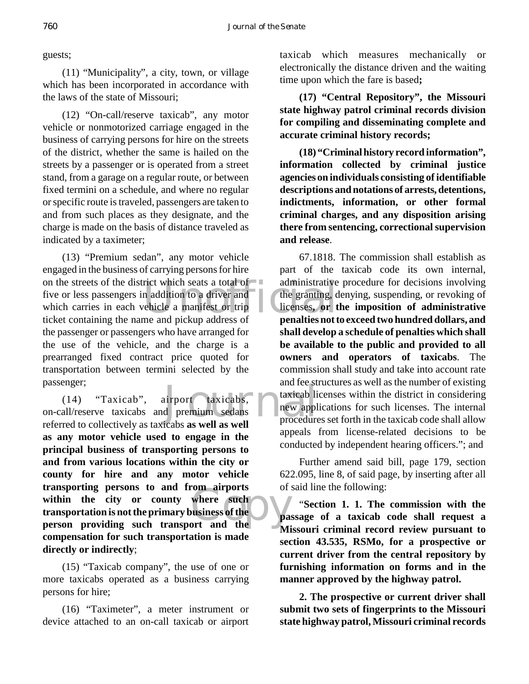guests;

(11) "Municipality", a city, town, or village which has been incorporated in accordance with the laws of the state of Missouri;

(12) "On-call/reserve taxicab", any motor vehicle or nonmotorized carriage engaged in the business of carrying persons for hire on the streets of the district, whether the same is hailed on the streets by a passenger or is operated from a street stand, from a garage on a regular route, or between fixed termini on a schedule, and where no regular or specific route is traveled, passengers are taken to and from such places as they designate, and the charge is made on the basis of distance traveled as indicated by a taximeter;

rict which seats a total of<br>
in addition to a driver and<br>
rehicle a manifest or trip<br>
the granting, d<br>
read pickup address of<br> **nenalties not trip** (13) "Premium sedan", any motor vehicle engaged in the business of carrying persons for hire on the streets of the district which seats a total of five or less passengers in addition to a driver and which carries in each vehicle a manifest or trip ticket containing the name and pickup address of the passenger or passengers who have arranged for the use of the vehicle, and the charge is a prearranged fixed contract price quoted for transportation between termini selected by the passenger;

and ree st<br>
intervalsed as well as well<br>
icabs as well as well<br>
icabs as well as well **persons to and from airports**<br>
within the city or county where such<br> **parson providing such transport and the**  $(14)$  "Taxicab", airport taxicabs, on-call/reserve taxicabs and premium sedans referred to collectively as taxicabs **as well as well as any motor vehicle used to engage in the principal business of transporting persons to and from various locations within the city or county for hire and any motor vehicle transporting persons to and from airports within the city or county where such transportation is not the primary business of the compensation for such transportation is made directly or indirectly**;

(15) "Taxicab company", the use of one or more taxicabs operated as a business carrying persons for hire;

(16) "Taximeter", a meter instrument or device attached to an on-call taxicab or airport taxicab which measures mechanically or electronically the distance driven and the waiting time upon which the fare is based**;**

**(17) "Central Repository", the Missouri state highway patrol criminal records division for compiling and disseminating complete and accurate criminal history records;**

**(18) "Criminal history record information", information collected by criminal justice agencies on individuals consisting of identifiable descriptions and notations of arrests, detentions, indictments, information, or other formal criminal charges, and any disposition arising there from sentencing, correctional supervision and release**.

67.1818. The commission shall establish as part of the taxicab code its own internal, administrative procedure for decisions involving the granting, denying, suspending, or revoking of licenses**, or the imposition of administrative penalties not to exceed two hundred dollars, and shall develop a schedule of penalties which shall be available to the public and provided to all owners and operators of taxicabs**. The commission shall study and take into account rate and fee structures as well as the number of existing taxicab licenses within the district in considering new applications for such licenses. The internal procedures set forth in the taxicab code shall allow appeals from license-related decisions to be conducted by independent hearing officers."; and

Further amend said bill, page 179, section 622.095, line 8, of said page, by inserting after all of said line the following:

"**Section 1. 1. The commission with the passage of a taxicab code shall request a Missouri criminal record review pursuant to section 43.535, RSMo, for a prospective or current driver from the central repository by furnishing information on forms and in the manner approved by the highway patrol.**

**2. The prospective or current driver shall submit two sets of fingerprints to the Missouri state highway patrol, Missouri criminal records**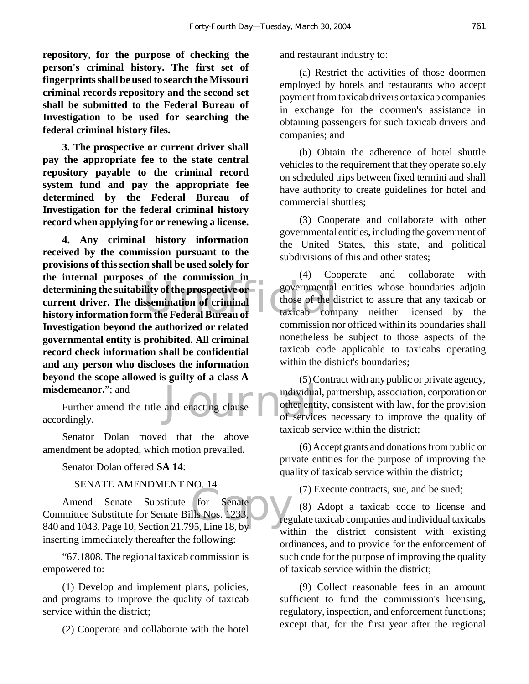**repository, for the purpose of checking the person's criminal history. The first set of fingerprints shall be used to search the Missouri criminal records repository and the second set shall be submitted to the Federal Bureau of Investigation to be used for searching the federal criminal history files.**

**3. The prospective or current driver shall pay the appropriate fee to the state central repository payable to the criminal record system fund and pay the appropriate fee determined by the Federal Bureau of Investigation for the federal criminal history record when applying for or renewing a license.**

determining the suitability of the prospective or<br>
current driver. The dissemination of criminal<br>
history information form the Federal Bureau of taxicab com **4. Any criminal history information received by the commission pursuant to the provisions of this section shall be used solely for the internal purposes of the commission in current driver. The dissemination of criminal history information form the Federal Bureau of Investigation beyond the authorized or related governmental entity is prohibited. All criminal record check information shall be confidential and any person who discloses the information beyond the scope allowed is guilty of a class A misdemeanor.**"; and

and enacting clause and other entities Further amend the title and enacting clause accordingly.

Senator Dolan moved that the above amendment be adopted, which motion prevailed.

Senator Dolan offered **SA 14**:

# SENATE AMENDMENT NO. 14

for Senate<br>
Ils Nos. 1233,  $\sum_{\text{reg}}$ <br>
P5. Line 18. by Amend Senate Substitute for Senate Committee Substitute for Senate Bills Nos. 1233, 840 and 1043, Page 10, Section 21.795, Line 18, by inserting immediately thereafter the following:

"67.1808. The regional taxicab commission is empowered to:

(1) Develop and implement plans, policies, and programs to improve the quality of taxicab service within the district;

(2) Cooperate and collaborate with the hotel

and restaurant industry to:

(a) Restrict the activities of those doormen employed by hotels and restaurants who accept payment from taxicab drivers or taxicab companies in exchange for the doormen's assistance in obtaining passengers for such taxicab drivers and companies; and

(b) Obtain the adherence of hotel shuttle vehicles to the requirement that they operate solely on scheduled trips between fixed termini and shall have authority to create guidelines for hotel and commercial shuttles;

(3) Cooperate and collaborate with other governmental entities, including the government of the United States, this state, and political subdivisions of this and other states;

(4) Cooperate and collaborate with governmental entities whose boundaries adjoin those of the district to assure that any taxicab or taxicab company neither licensed by the commission nor officed within its boundaries shall nonetheless be subject to those aspects of the taxicab code applicable to taxicabs operating within the district's boundaries;

(5) Contract with any public or private agency, individual, partnership, association, corporation or other entity, consistent with law, for the provision of services necessary to improve the quality of taxicab service within the district;

(6) Accept grants and donations from public or private entities for the purpose of improving the quality of taxicab service within the district;

(7) Execute contracts, sue, and be sued;

(8) Adopt a taxicab code to license and regulate taxicab companies and individual taxicabs within the district consistent with existing ordinances, and to provide for the enforcement of such code for the purpose of improving the quality of taxicab service within the district;

(9) Collect reasonable fees in an amount sufficient to fund the commission's licensing, regulatory, inspection, and enforcement functions; except that, for the first year after the regional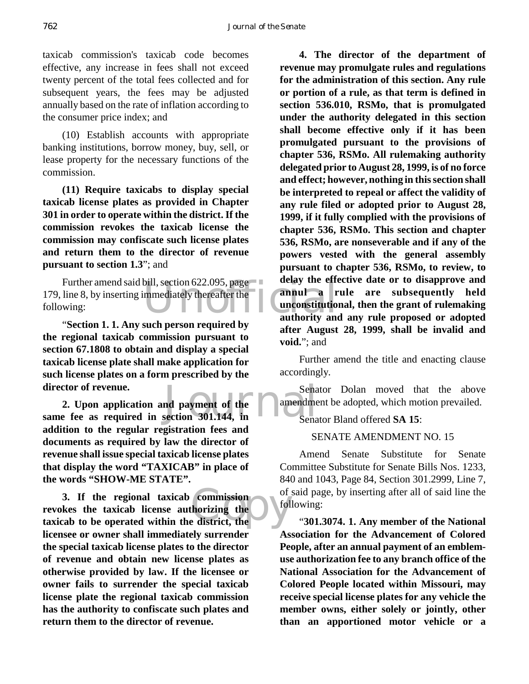762 *Journal of the Senate*

taxicab commission's taxicab code becomes effective, any increase in fees shall not exceed twenty percent of the total fees collected and for subsequent years, the fees may be adjusted annually based on the rate of inflation according to the consumer price index; and

(10) Establish accounts with appropriate banking institutions, borrow money, buy, sell, or lease property for the necessary functions of the commission.

**(11) Require taxicabs to display special taxicab license plates as provided in Chapter 301 in order to operate within the district. If the commission revokes the taxicab license the commission may confiscate such license plates and return them to the director of revenue pursuant to section 1.3**"; and

bill, section 622.095, page<br>
mmediately thereafter the<br> **annul** a r<br> **annul** a r<br> **annul** a r<br> **annul** a r<br> **annul** a r<br> **annul** a r Further amend said bill, section 622.095, page 179, line 8, by inserting immediately thereafter the following:

"**Section 1. 1. Any such person required by the regional taxicab commission pursuant to section 67.1808 to obtain and display a special taxicab license plate shall make application for such license plates on a form prescribed by the director of revenue.**

director of revenue.<br> **Sena 2. Upon application and payment of the amendme**<br> **same fee as required in section 301.144, in 2. Upon application and payment of the addition to the regular registration fees and documents as required by law the director of revenue shall issue special taxicab license plates that display the word "TAXICAB" in place of the words "SHOW-ME STATE".**

commission<br>
thorizing the set of the district, the **3. If the regional taxicab commission revokes the taxicab license authorizing the taxicab to be operated within the district, the licensee or owner shall immediately surrender the special taxicab license plates to the director of revenue and obtain new license plates as otherwise provided by law. If the licensee or owner fails to surrender the special taxicab license plate the regional taxicab commission has the authority to confiscate such plates and return them to the director of revenue.**

**4. The director of the department of revenue may promulgate rules and regulations for the administration of this section. Any rule or portion of a rule, as that term is defined in section 536.010, RSMo, that is promulgated under the authority delegated in this section shall become effective only if it has been promulgated pursuant to the provisions of chapter 536, RSMo. All rulemaking authority delegated prior to August 28, 1999, is of no force and effect; however, nothing in this section shall be interpreted to repeal or affect the validity of any rule filed or adopted prior to August 28, 1999, if it fully complied with the provisions of chapter 536, RSMo. This section and chapter 536, RSMo, are nonseverable and if any of the powers vested with the general assembly pursuant to chapter 536, RSMo, to review, to delay the effective date or to disapprove and annul a rule are subsequently held unconstitutional, then the grant of rulemaking authority and any rule proposed or adopted after August 28, 1999, shall be invalid and void.**"; and

Further amend the title and enacting clause accordingly.

Senator Dolan moved that the above amendment be adopted, which motion prevailed.

Senator Bland offered **SA 15**:

# SENATE AMENDMENT NO. 15

Amend Senate Substitute for Senate Committee Substitute for Senate Bills Nos. 1233, 840 and 1043, Page 84, Section 301.2999, Line 7, of said page, by inserting after all of said line the following:

"**301.3074. 1. Any member of the National Association for the Advancement of Colored People, after an annual payment of an emblemuse authorization fee to any branch office of the National Association for the Advancement of Colored People located within Missouri, may receive special license plates for any vehicle the member owns, either solely or jointly, other than an apportioned motor vehicle or a**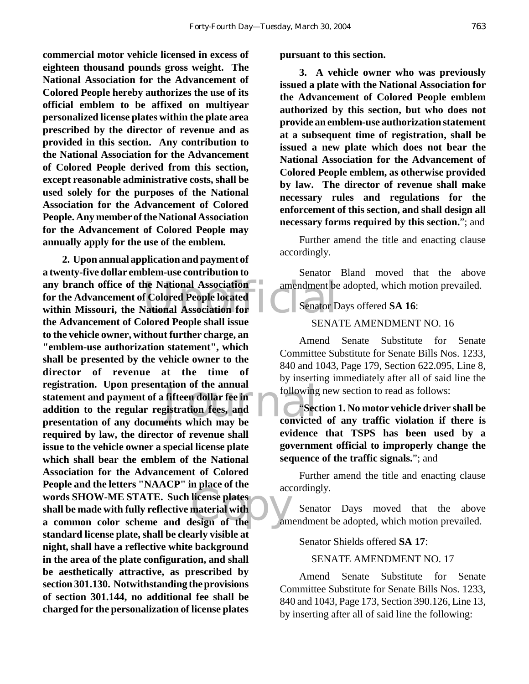**commercial motor vehicle licensed in excess of eighteen thousand pounds gross weight. The National Association for the Advancement of Colored People hereby authorizes the use of its official emblem to be affixed on multiyear personalized license plates within the plate area prescribed by the director of revenue and as provided in this section. Any contribution to the National Association for the Advancement of Colored People derived from this section, except reasonable administrative costs, shall be used solely for the purposes of the National Association for the Advancement of Colored People. Any member of the National Association for the Advancement of Colored People may annually apply for the use of the emblem.**

any branch office of the National Association<br>
for the Advancement of Colored People located<br>
within Missouri, the National Association for<br>
the Advancement of Colored People shall issue ation of the annual<br>fifteen dollar fee in<br>gistration fees, and<br>ents which may be<br>convicted Figure of the according to the contract and with the contract of the contract of the contract of the contract of the contract of the contract of the contract of the contract of the contract of the contract of the contract **2. Upon annual application and payment of a twenty-five dollar emblem-use contribution to for the Advancement of Colored People located within Missouri, the National Association for the Advancement of Colored People shall issue to the vehicle owner, without further charge, an "emblem-use authorization statement", which shall be presented by the vehicle owner to the director of revenue at the time of registration. Upon presentation of the annual statement and payment of a fifteen dollar fee in addition to the regular registration fees, and presentation of any documents which may be required by law, the director of revenue shall issue to the vehicle owner a special license plate which shall bear the emblem of the National Association for the Advancement of Colored People and the letters "NAACP" in place of the words SHOW-ME STATE. Such license plates shall be made with fully reflective material with a common color scheme and design of the standard license plate, shall be clearly visible at night, shall have a reflective white background in the area of the plate configuration, and shall be aesthetically attractive, as prescribed by section 301.130. Notwithstanding the provisions of section 301.144, no additional fee shall be charged for the personalization of license plates**

**pursuant to this section.**

**3. A vehicle owner who was previously issued a plate with the National Association for the Advancement of Colored People emblem authorized by this section, but who does not provide an emblem-use authorization statement at a subsequent time of registration, shall be issued a new plate which does not bear the National Association for the Advancement of Colored People emblem, as otherwise provided by law. The director of revenue shall make necessary rules and regulations for the enforcement of this section, and shall design all necessary forms required by this section.**"; and

Further amend the title and enacting clause accordingly.

Senator Bland moved that the above amendment be adopted, which motion prevailed.

Senator Days offered **SA 16**:

#### SENATE AMENDMENT NO. 16

Amend Senate Substitute for Senate Committee Substitute for Senate Bills Nos. 1233, 840 and 1043, Page 179, Section 622.095, Line 8, by inserting immediately after all of said line the following new section to read as follows:

"**Section 1. No motor vehicle driver shall be convicted of any traffic violation if there is evidence that TSPS has been used by a government official to improperly change the sequence of the traffic signals.**"; and

Further amend the title and enacting clause accordingly.

Senator Days moved that the above amendment be adopted, which motion prevailed.

Senator Shields offered **SA 17**:

#### SENATE AMENDMENT NO. 17

Amend Senate Substitute for Senate Committee Substitute for Senate Bills Nos. 1233, 840 and 1043, Page 173, Section 390.126, Line 13, by inserting after all of said line the following: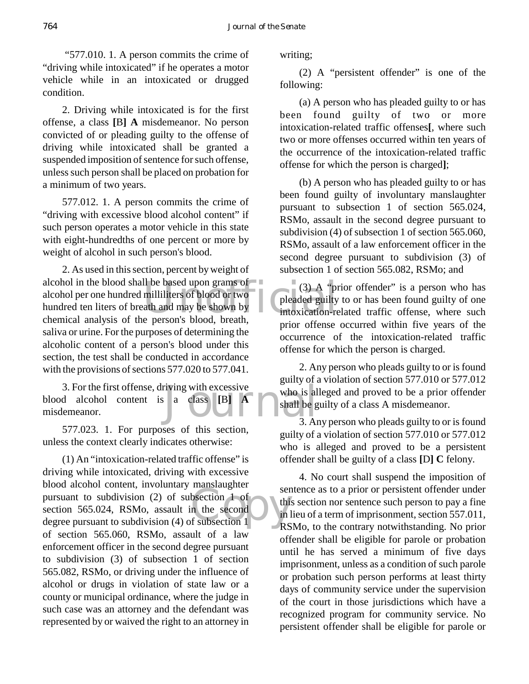"577.010. 1. A person commits the crime of "driving while intoxicated" if he operates a motor vehicle while in an intoxicated or drugged condition.

2. Driving while intoxicated is for the first offense, a class **[**B**] A** misdemeanor. No person convicted of or pleading guilty to the offense of driving while intoxicated shall be granted a suspended imposition of sentence for such offense, unless such person shall be placed on probation for a minimum of two years.

577.012. 1. A person commits the crime of "driving with excessive blood alcohol content" if such person operates a motor vehicle in this state with eight-hundredths of one percent or more by weight of alcohol in such person's blood.

II be based upon grams of<br>
milliliters of blood or two<br>
ath and may be shown by<br>
e person's blood breath<br>
e person's blood breath 2. As used in this section, percent by weight of alcohol in the blood shall be based upon grams of alcohol per one hundred milliliters of blood or two hundred ten liters of breath and may be shown by chemical analysis of the person's blood, breath, saliva or urine. For the purposes of determining the alcoholic content of a person's blood under this section, the test shall be conducted in accordance with the provisions of sections 577.020 to 577.041.

3. For the first offense, driving with excessive<br>
d alcohol content is a class [B] A shall be g<br>
shall be g<br>
3. An blood alcohol content is a class **[**B**] A** misdemeanor.

577.023. 1. For purposes of this section, unless the context clearly indicates otherwise:

pursuant to subdivision (2) of subsection 1 of<br>section 565.024, RSMo, assault in the second<br>degree pursuant to subdivision (4) of subsection 1 (1) An "intoxication-related traffic offense" is driving while intoxicated, driving with excessive blood alcohol content, involuntary manslaughter section 565.024, RSMo, assault in the second degree pursuant to subdivision (4) of subsection 1 of section 565.060, RSMo, assault of a law enforcement officer in the second degree pursuant to subdivision (3) of subsection 1 of section 565.082, RSMo, or driving under the influence of alcohol or drugs in violation of state law or a county or municipal ordinance, where the judge in such case was an attorney and the defendant was represented by or waived the right to an attorney in

writing;

(2) A "persistent offender" is one of the following:

(a) A person who has pleaded guilty to or has been found guilty of two or more intoxication-related traffic offenses**[**, where such two or more offenses occurred within ten years of the occurrence of the intoxication-related traffic offense for which the person is charged**]**;

(b) A person who has pleaded guilty to or has been found guilty of involuntary manslaughter pursuant to subsection 1 of section 565.024, RSMo, assault in the second degree pursuant to subdivision (4) of subsection 1 of section 565.060, RSMo, assault of a law enforcement officer in the second degree pursuant to subdivision (3) of subsection 1 of section 565.082, RSMo; and

(3) A "prior offender" is a person who has pleaded guilty to or has been found guilty of one intoxication-related traffic offense, where such prior offense occurred within five years of the occurrence of the intoxication-related traffic offense for which the person is charged.

2. Any person who pleads guilty to or is found guilty of a violation of section 577.010 or 577.012 who is alleged and proved to be a prior offender shall be guilty of a class A misdemeanor.

3. Any person who pleads guilty to or is found guilty of a violation of section 577.010 or 577.012 who is alleged and proved to be a persistent offender shall be guilty of a class **[**D**] C** felony.

4. No court shall suspend the imposition of sentence as to a prior or persistent offender under this section nor sentence such person to pay a fine in lieu of a term of imprisonment, section 557.011, RSMo, to the contrary notwithstanding. No prior offender shall be eligible for parole or probation until he has served a minimum of five days imprisonment, unless as a condition of such parole or probation such person performs at least thirty days of community service under the supervision of the court in those jurisdictions which have a recognized program for community service. No persistent offender shall be eligible for parole or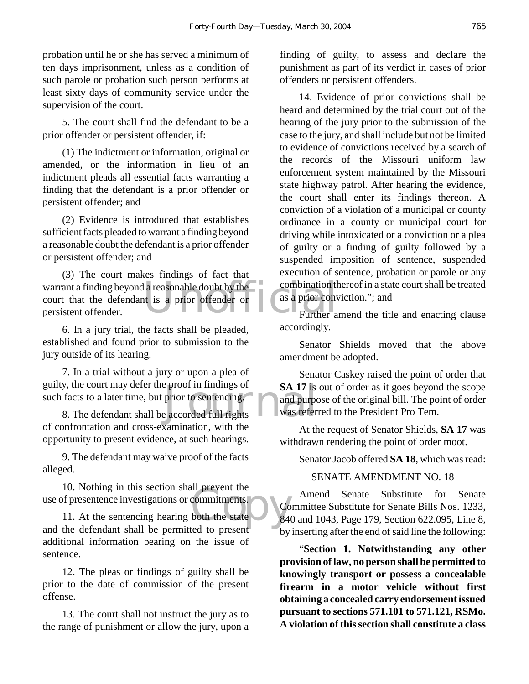probation until he or she has served a minimum of ten days imprisonment, unless as a condition of such parole or probation such person performs at least sixty days of community service under the supervision of the court.

5. The court shall find the defendant to be a prior offender or persistent offender, if:

(1) The indictment or information, original or amended, or the information in lieu of an indictment pleads all essential facts warranting a finding that the defendant is a prior offender or persistent offender; and

(2) Evidence is introduced that establishes sufficient facts pleaded to warrant a finding beyond a reasonable doubt the defendant is a prior offender or persistent offender; and

a reasonable doubt by the combination that is a prior offender or as a prior convention to the contract of the same of the contract of the contract of the contract of the contract of the contract of the contract of the con (3) The court makes findings of fact that warrant a finding beyond a reasonable doubt by the court that the defendant is a prior offender or persistent offender.

6. In a jury trial, the facts shall be pleaded, established and found prior to submission to the jury outside of its hearing.

Example proof in findings of<br>prior to sentencing.<br>Example accorded full rights<br>was refer 7. In a trial without a jury or upon a plea of guilty, the court may defer the proof in findings of such facts to a later time, but prior to sentencing.

8. The defendant shall be accorded full rights of confrontation and cross-examination, with the opportunity to present evidence, at such hearings.

9. The defendant may waive proof of the facts alleged.

the commitments.<br>
and to prosent 10. Nothing in this section shall prevent the use of presentence investigations or commitments.

11. At the sentencing hearing both the state and the defendant shall be permitted to present additional information bearing on the issue of sentence.

12. The pleas or findings of guilty shall be prior to the date of commission of the present offense.

13. The court shall not instruct the jury as to the range of punishment or allow the jury, upon a finding of guilty, to assess and declare the punishment as part of its verdict in cases of prior offenders or persistent offenders.

14. Evidence of prior convictions shall be heard and determined by the trial court out of the hearing of the jury prior to the submission of the case to the jury, and shall include but not be limited to evidence of convictions received by a search of the records of the Missouri uniform law enforcement system maintained by the Missouri state highway patrol. After hearing the evidence, the court shall enter its findings thereon. A conviction of a violation of a municipal or county ordinance in a county or municipal court for driving while intoxicated or a conviction or a plea of guilty or a finding of guilty followed by a suspended imposition of sentence, suspended execution of sentence, probation or parole or any combination thereof in a state court shall be treated as a prior conviction."; and

Further amend the title and enacting clause accordingly.

Senator Shields moved that the above amendment be adopted.

Senator Caskey raised the point of order that SA 17<sup>t</sup> is out of order as it goes beyond the scope and purpose of the original bill. The point of order was referred to the President Pro Tem.

At the request of Senator Shields, **SA 17** was withdrawn rendering the point of order moot.

Senator Jacob offered **SA 18**, which was read:

#### SENATE AMENDMENT NO. 18

Amend Senate Substitute for Senate Committee Substitute for Senate Bills Nos. 1233, 840 and 1043, Page 179, Section 622.095, Line 8, by inserting after the end of said line the following:

"**Section 1. Notwithstanding any other provision of law, no person shall be permitted to knowingly transport or possess a concealable firearm in a motor vehicle without first obtaining a concealed carry endorsement issued pursuant to sections 571.101 to 571.121, RSMo. A violation of this section shall constitute a class**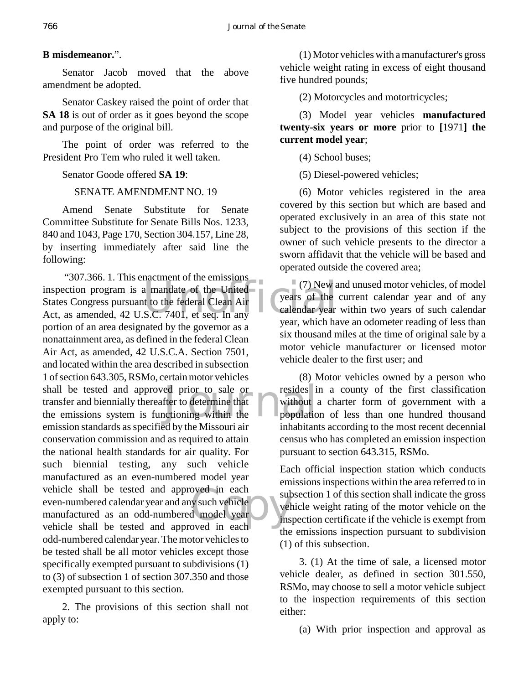# **B misdemeanor.**".

Senator Jacob moved that the above amendment be adopted.

Senator Caskey raised the point of order that **SA 18** is out of order as it goes beyond the scope and purpose of the original bill.

The point of order was referred to the President Pro Tem who ruled it well taken.

Senator Goode offered **SA 19**:

SENATE AMENDMENT NO. 19

Amend Senate Substitute for Senate Committee Substitute for Senate Bills Nos. 1233, 840 and 1043, Page 170, Section 304.157, Line 28, by inserting immediately after said line the following:

External Act, as amended, 42 U.S.C. 7401, et seq. In any thigh has the calendar year. ed prior to sale or resides if<br>fter to determine that<br>actioning within the population bet of the contract the substantial space of the space of the space of the contract of the space of the space of the space of the space of the space of the space of the space of the space of the space of the space of the s "307.366. 1. This enactment of the emissions inspection program is a mandate of the United States Congress pursuant to the federal Clean Air portion of an area designated by the governor as a nonattainment area, as defined in the federal Clean Air Act, as amended, 42 U.S.C.A. Section 7501, and located within the area described in subsection 1 of section 643.305, RSMo, certain motor vehicles shall be tested and approved prior to sale or transfer and biennially thereafter to determine that the emissions system is functioning within the emission standards as specified by the Missouri air conservation commission and as required to attain the national health standards for air quality. For such biennial testing, any such vehicle manufactured as an even-numbered model year vehicle shall be tested and approved in each even-numbered calendar year and any such vehicle manufactured as an odd-numbered model year vehicle shall be tested and approved in each odd-numbered calendar year. The motor vehicles to be tested shall be all motor vehicles except those specifically exempted pursuant to subdivisions (1) to (3) of subsection 1 of section 307.350 and those exempted pursuant to this section.

2. The provisions of this section shall not apply to:

(1) Motor vehicles with a manufacturer's gross vehicle weight rating in excess of eight thousand five hundred pounds;

(2) Motorcycles and motortricycles;

(3) Model year vehicles **manufactured twenty-six years or more** prior to **[**1971**] the current model year**;

(4) School buses;

(5) Diesel-powered vehicles;

(6) Motor vehicles registered in the area covered by this section but which are based and operated exclusively in an area of this state not subject to the provisions of this section if the owner of such vehicle presents to the director a sworn affidavit that the vehicle will be based and operated outside the covered area;

 $\circ$  (7) New and unused motor vehicles, of model years of the current calendar year and of any calendar year within two years of such calendar year, which have an odometer reading of less than six thousand miles at the time of original sale by a motor vehicle manufacturer or licensed motor vehicle dealer to the first user; and

(8) Motor vehicles owned by a person who resides in a county of the first classification without a charter form of government with a population of less than one hundred thousand inhabitants according to the most recent decennial census who has completed an emission inspection pursuant to section 643.315, RSMo.

Each official inspection station which conducts emissions inspections within the area referred to in subsection 1 of this section shall indicate the gross vehicle weight rating of the motor vehicle on the inspection certificate if the vehicle is exempt from the emissions inspection pursuant to subdivision (1) of this subsection.

3. (1) At the time of sale, a licensed motor vehicle dealer, as defined in section 301.550, RSMo, may choose to sell a motor vehicle subject to the inspection requirements of this section either:

(a) With prior inspection and approval as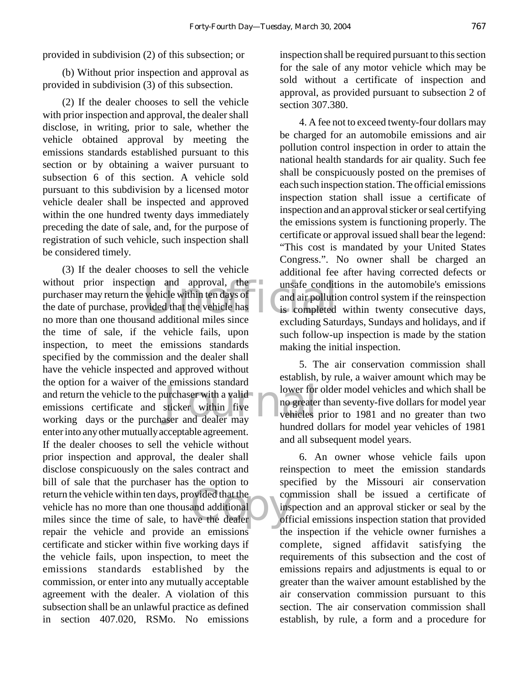provided in subdivision (2) of this subsection; or

(b) Without prior inspection and approval as provided in subdivision (3) of this subsection.

(2) If the dealer chooses to sell the vehicle with prior inspection and approval, the dealer shall disclose, in writing, prior to sale, whether the vehicle obtained approval by meeting the emissions standards established pursuant to this section or by obtaining a waiver pursuant to subsection 6 of this section. A vehicle sold pursuant to this subdivision by a licensed motor vehicle dealer shall be inspected and approved within the one hundred twenty days immediately preceding the date of sale, and, for the purpose of registration of such vehicle, such inspection shall be considered timely.

ion and approval, the<br>vehicle within ten days of<br>wided that the vehicle has<br>and additional miles since<br>well is completed The equol for a wavel of the emissions standard<br>
and return the vehicle to the purchaser with a valid<br>
working days or the purchaser and dealer may return the vehicle within ten days, provided that the convehicle has no more than one thousand additional insulses since the time of sale, to have the dealer (3) If the dealer chooses to sell the vehicle without prior inspection and approval, the purchaser may return the vehicle within ten days of the date of purchase, provided that the vehicle has no more than one thousand additional miles since the time of sale, if the vehicle fails, upon inspection, to meet the emissions standards specified by the commission and the dealer shall have the vehicle inspected and approved without the option for a waiver of the emissions standard and return the vehicle to the purchaser with a valid emissions certificate and sticker within five enter into any other mutually acceptable agreement. If the dealer chooses to sell the vehicle without prior inspection and approval, the dealer shall disclose conspicuously on the sales contract and bill of sale that the purchaser has the option to vehicle has no more than one thousand additional miles since the time of sale, to have the dealer repair the vehicle and provide an emissions certificate and sticker within five working days if the vehicle fails, upon inspection, to meet the emissions standards established by the commission, or enter into any mutually acceptable agreement with the dealer. A violation of this subsection shall be an unlawful practice as defined in section 407.020, RSMo. No emissions

inspection shall be required pursuant to this section for the sale of any motor vehicle which may be sold without a certificate of inspection and approval, as provided pursuant to subsection 2 of section 307.380.

4. A fee not to exceed twenty-four dollars may be charged for an automobile emissions and air pollution control inspection in order to attain the national health standards for air quality. Such fee shall be conspicuously posted on the premises of each such inspection station. The official emissions inspection station shall issue a certificate of inspection and an approval sticker or seal certifying the emissions system is functioning properly. The certificate or approval issued shall bear the legend: "This cost is mandated by your United States Congress.". No owner shall be charged an additional fee after having corrected defects or unsafe conditions in the automobile's emissions and air pollution control system if the reinspection is completed within twenty consecutive days, excluding Saturdays, Sundays and holidays, and if such follow-up inspection is made by the station making the initial inspection.

5. The air conservation commission shall establish, by rule, a waiver amount which may be lower for older model vehicles and which shall be no greater than seventy-five dollars for model year vehicles prior to 1981 and no greater than two hundred dollars for model year vehicles of 1981 and all subsequent model years.

6. An owner whose vehicle fails upon reinspection to meet the emission standards specified by the Missouri air conservation commission shall be issued a certificate of inspection and an approval sticker or seal by the official emissions inspection station that provided the inspection if the vehicle owner furnishes a complete, signed affidavit satisfying the requirements of this subsection and the cost of emissions repairs and adjustments is equal to or greater than the waiver amount established by the air conservation commission pursuant to this section. The air conservation commission shall establish, by rule, a form and a procedure for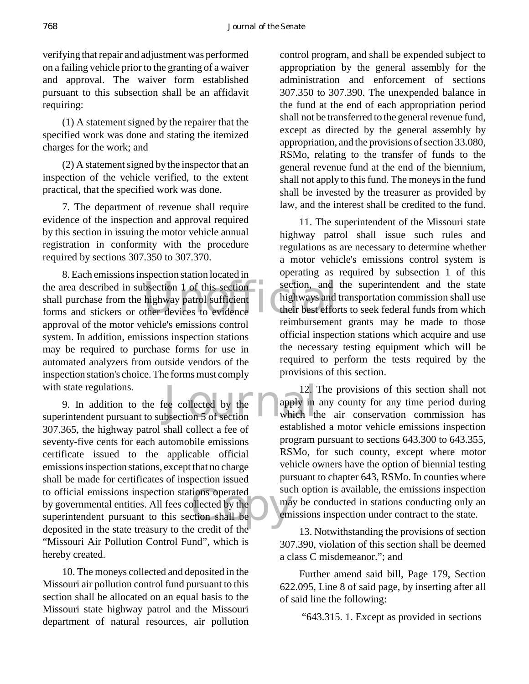verifying that repair and adjustment was performed on a failing vehicle prior to the granting of a waiver and approval. The waiver form established pursuant to this subsection shall be an affidavit requiring:

(1) A statement signed by the repairer that the specified work was done and stating the itemized charges for the work; and

(2) A statement signed by the inspector that an inspection of the vehicle verified, to the extent practical, that the specified work was done.

7. The department of revenue shall require evidence of the inspection and approval required by this section in issuing the motor vehicle annual registration in conformity with the procedure required by sections 307.350 to 307.370.

the area described in subsection 1 of this section section, and<br>
shall purchase from the highway patrol sufficient<br>
forms and stickers or other devices to evidence 8. Each emissions inspection station located in shall purchase from the highway patrol sufficient forms and stickers or other devices to evidence approval of the motor vehicle's emissions control system. In addition, emissions inspection stations may be required to purchase forms for use in automated analyzers from outside vendors of the inspection station's choice. The forms must comply with state regulations.

with state regulations. 12.<br>
9. In addition to the fee collected by the apply in superintendent pursuant to subsection 5 of section<br>
which the subsection 5 of section to official emissions inspection stations operated<br>by governmental entities. All fees collected by the<br>superintendent pursuant to this section shall be<br>dependent in the state transury to the credit of the 9. In addition to the fee collected by the 307.365, the highway patrol shall collect a fee of seventy-five cents for each automobile emissions certificate issued to the applicable official emissions inspection stations, except that no charge shall be made for certificates of inspection issued to official emissions inspection stations operated by governmental entities. All fees collected by the deposited in the state treasury to the credit of the "Missouri Air Pollution Control Fund", which is hereby created.

10. The moneys collected and deposited in the Missouri air pollution control fund pursuant to this section shall be allocated on an equal basis to the Missouri state highway patrol and the Missouri department of natural resources, air pollution

control program, and shall be expended subject to appropriation by the general assembly for the administration and enforcement of sections 307.350 to 307.390. The unexpended balance in the fund at the end of each appropriation period shall not be transferred to the general revenue fund, except as directed by the general assembly by appropriation, and the provisions of section 33.080, RSMo, relating to the transfer of funds to the general revenue fund at the end of the biennium, shall not apply to this fund. The moneys in the fund shall be invested by the treasurer as provided by law, and the interest shall be credited to the fund.

11. The superintendent of the Missouri state highway patrol shall issue such rules and regulations as are necessary to determine whether a motor vehicle's emissions control system is operating as required by subsection 1 of this section, and the superintendent and the state highways and transportation commission shall use their best efforts to seek federal funds from which reimbursement grants may be made to those official inspection stations which acquire and use the necessary testing equipment which will be required to perform the tests required by the provisions of this section.

12. The provisions of this section shall not apply in any county for any time period during which the air conservation commission has established a motor vehicle emissions inspection program pursuant to sections 643.300 to 643.355, RSMo, for such county, except where motor vehicle owners have the option of biennial testing pursuant to chapter 643, RSMo. In counties where such option is available, the emissions inspection may be conducted in stations conducting only an emissions inspection under contract to the state.

13. Notwithstanding the provisions of section 307.390, violation of this section shall be deemed a class C misdemeanor."; and

Further amend said bill, Page 179, Section 622.095, Line 8 of said page, by inserting after all of said line the following:

"643.315. 1. Except as provided in sections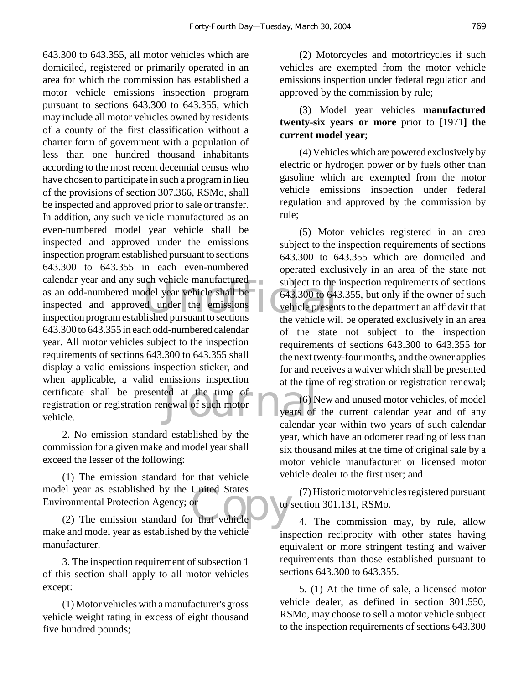Subject to the<br>
del year vehicle shall be<br>
del year vehicle shall be<br>
del year the emissions<br>
lished pursuant to sections<br>
the vehicle will extraction or registration renewal of such motor<br>
vehicle. Calendar 643.300 to 643.355, all motor vehicles which are domiciled, registered or primarily operated in an area for which the commission has established a motor vehicle emissions inspection program pursuant to sections 643.300 to 643.355, which may include all motor vehicles owned by residents of a county of the first classification without a charter form of government with a population of less than one hundred thousand inhabitants according to the most recent decennial census who have chosen to participate in such a program in lieu of the provisions of section 307.366, RSMo, shall be inspected and approved prior to sale or transfer. In addition, any such vehicle manufactured as an even-numbered model year vehicle shall be inspected and approved under the emissions inspection program established pursuant to sections 643.300 to 643.355 in each even-numbered calendar year and any such vehicle manufactured as an odd-numbered model year vehicle shall be inspected and approved under the emissions inspection program established pursuant to sections 643.300 to 643.355 in each odd-numbered calendar year. All motor vehicles subject to the inspection requirements of sections 643.300 to 643.355 shall display a valid emissions inspection sticker, and when applicable, a valid emissions inspection registration or registration renewal of such motor vehicle.

2. No emission standard established by the commission for a given make and model year shall exceed the lesser of the following:

el year as established by the United States<br>
ronmental Protection Agency; or<br>
(2) The emission standard for that vehicle (1) The emission standard for that vehicle model year as established by the United States Environmental Protection Agency; or

make and model year as established by the vehicle manufacturer.

3. The inspection requirement of subsection 1 of this section shall apply to all motor vehicles except:

(1) Motor vehicles with a manufacturer's gross vehicle weight rating in excess of eight thousand five hundred pounds;

(2) Motorcycles and motortricycles if such vehicles are exempted from the motor vehicle emissions inspection under federal regulation and approved by the commission by rule;

(3) Model year vehicles **manufactured twenty-six years or more** prior to **[**1971**] the current model year**;

(4) Vehicles which are powered exclusively by electric or hydrogen power or by fuels other than gasoline which are exempted from the motor vehicle emissions inspection under federal regulation and approved by the commission by rule;

(5) Motor vehicles registered in an area subject to the inspection requirements of sections 643.300 to 643.355 which are domiciled and operated exclusively in an area of the state not subject to the inspection requirements of sections 643.300 to 643.355, but only if the owner of such vehicle presents to the department an affidavit that the vehicle will be operated exclusively in an area of the state not subject to the inspection requirements of sections 643.300 to 643.355 for the next twenty-four months, and the owner applies for and receives a waiver which shall be presented at the time of registration or registration renewal;

(6) New and unused motor vehicles, of model years of the current calendar year and of any calendar year within two years of such calendar year, which have an odometer reading of less than six thousand miles at the time of original sale by a motor vehicle manufacturer or licensed motor vehicle dealer to the first user; and

(7) Historic motor vehicles registered pursuant to section 301.131, RSMo.

4. The commission may, by rule, allow inspection reciprocity with other states having equivalent or more stringent testing and waiver requirements than those established pursuant to sections 643.300 to 643.355.

5. (1) At the time of sale, a licensed motor vehicle dealer, as defined in section 301.550, RSMo, may choose to sell a motor vehicle subject to the inspection requirements of sections 643.300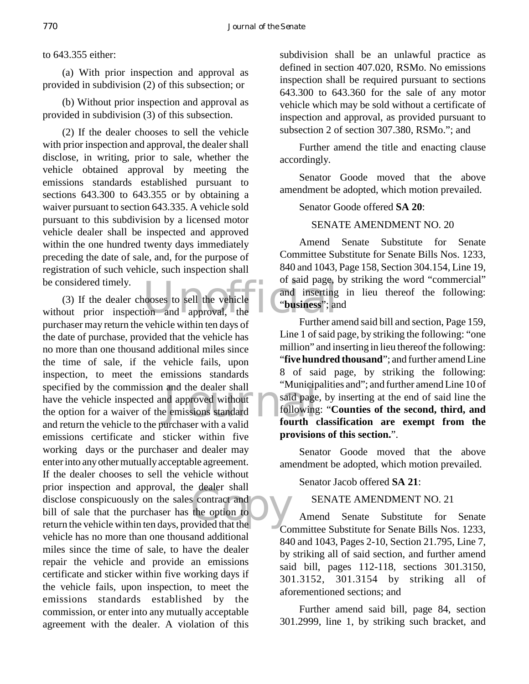to 643.355 either:

(a) With prior inspection and approval as provided in subdivision (2) of this subsection; or

(b) Without prior inspection and approval as provided in subdivision (3) of this subsection.

(2) If the dealer chooses to sell the vehicle with prior inspection and approval, the dealer shall disclose, in writing, prior to sale, whether the vehicle obtained approval by meeting the emissions standards established pursuant to sections 643.300 to 643.355 or by obtaining a waiver pursuant to section 643.335. A vehicle sold pursuant to this subdivision by a licensed motor vehicle dealer shall be inspected and approved within the one hundred twenty days immediately preceding the date of sale, and, for the purpose of registration of such vehicle, such inspection shall be considered timely.

or said page,<br>
1000ses to sell the vehicle<br>
ion and approval, the and the dealer shall<br>
and approved without<br>
a emissions standard<br>
a relief ourth of the standard<br>
a relief ourth of the standard<br>
fourth of the standard  $\begin{array}{c}\n\text{e} \text{ dealer} \text{ snan} \\
\text{contract and} \text{the option to} \\
\text{provided that the}\n\end{array}$ (3) If the dealer chooses to sell the vehicle without prior inspection and approval, the purchaser may return the vehicle within ten days of the date of purchase, provided that the vehicle has no more than one thousand additional miles since the time of sale, if the vehicle fails, upon inspection, to meet the emissions standards specified by the commission and the dealer shall have the vehicle inspected and approved without the option for a waiver of the emissions standard and return the vehicle to the purchaser with a valid emissions certificate and sticker within five working days or the purchaser and dealer may enter into any other mutually acceptable agreement. If the dealer chooses to sell the vehicle without prior inspection and approval, the dealer shall disclose conspicuously on the sales contract and bill of sale that the purchaser has the option to return the vehicle within ten days, provided that the vehicle has no more than one thousand additional miles since the time of sale, to have the dealer repair the vehicle and provide an emissions certificate and sticker within five working days if the vehicle fails, upon inspection, to meet the emissions standards established by the commission, or enter into any mutually acceptable agreement with the dealer. A violation of this

subdivision shall be an unlawful practice as defined in section 407.020, RSMo. No emissions inspection shall be required pursuant to sections 643.300 to 643.360 for the sale of any motor vehicle which may be sold without a certificate of inspection and approval, as provided pursuant to subsection 2 of section 307.380, RSMo."; and

Further amend the title and enacting clause accordingly.

Senator Goode moved that the above amendment be adopted, which motion prevailed.

Senator Goode offered **SA 20**:

# SENATE AMENDMENT NO. 20

Amend Senate Substitute for Senate Committee Substitute for Senate Bills Nos. 1233, 840 and 1043, Page 158, Section 304.154, Line 19, of said page, by striking the word "commercial" and inserting in lieu thereof the following: "**business**"; and

Further amend said bill and section, Page 159, Line 1 of said page, by striking the following: "one million" and inserting in lieu thereof the following: "**five hundred thousand**"; and further amend Line 8 of said page, by striking the following: "Municipalities and"; and further amend Line 10 of said page, by inserting at the end of said line the following: "**Counties of the second, third, and fourth classification are exempt from the provisions of this section.**".

Senator Goode moved that the above amendment be adopted, which motion prevailed.

Senator Jacob offered **SA 21**:

SENATE AMENDMENT NO. 21

Amend Senate Substitute for Senate Committee Substitute for Senate Bills Nos. 1233, 840 and 1043, Pages 2-10, Section 21.795, Line 7, by striking all of said section, and further amend said bill, pages 112-118, sections 301.3150, 301.3152, 301.3154 by striking all of aforementioned sections; and

Further amend said bill, page 84, section 301.2999, line 1, by striking such bracket, and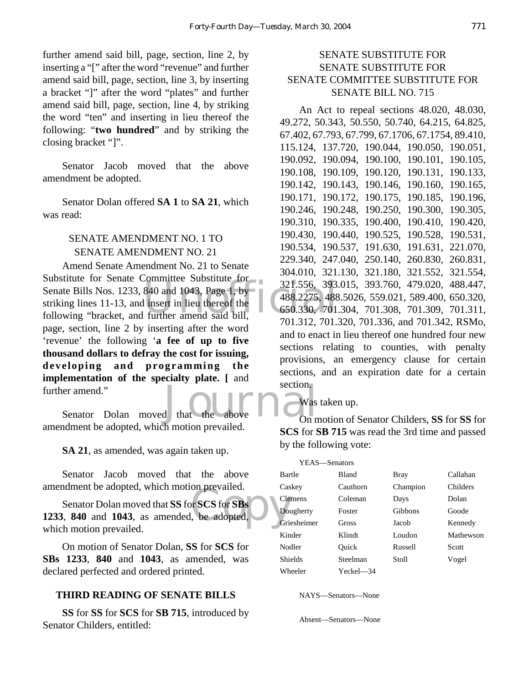further amend said bill, page, section, line 2, by inserting a "[" after the word "revenue" and further amend said bill, page, section, line 3, by inserting a bracket "]" after the word "plates" and further amend said bill, page, section, line 4, by striking the word "ten" and inserting in lieu thereof the following: "**two hundred**" and by striking the closing bracket "]".

Senator Jacob moved that the above amendment be adopted.

Senator Dolan offered **SA 1** to **SA 21**, which was read:

# SENATE AMENDMENT NO. 1 TO SENATE AMENDMENT NO. 21

321.556, 393.<br>840 and 1043, Page 1, by<br>1 insert in lieu thereof the 650.330, 701<br>further amend said bill, Amend Senate Amendment No. 21 to Senate Substitute for Senate Committee Substitute for Senate Bills Nos. 1233, 840 and 1043, Page 1, by striking lines 11-13, and insert in lieu thereof the following "bracket, and further amend said bill, page, section, line 2 by inserting after the word 'revenue' the following '**a fee of up to five thousand dollars to defray the cost for issuing, developing and programming the implementation of the specialty plate. [** and further amend."

section. Senator Dolan moved that the amendment be adopted, which motion prevailed.

**SA 21**, as amended, was again taken up.

Senator Jacob moved that the above amendment be adopted, which motion prevailed.

on prevaried.<br>
FSCS for SBs<br>
the adopted, Senator Dolan moved that **SS** for **SCS** for **SBs 1233**, **840** and **1043**, as amended, be adopted, which motion prevailed.

On motion of Senator Dolan, **SS** for **SCS** for **SBs 1233**, **840** and **1043**, as amended, was declared perfected and ordered printed.

#### **THIRD READING OF SENATE BILLS**

**SS** for **SS** for **SCS** for **SB 715**, introduced by Senator Childers, entitled:

# SENATE SUBSTITUTE FOR SENATE SUBSTITUTE FOR SENATE COMMITTEE SUBSTITUTE FOR SENATE BILL NO. 715

An Act to repeal sections 48.020, 48.030, 49.272, 50.343, 50.550, 50.740, 64.215, 64.825, 67.402, 67.793, 67.799, 67.1706, 67.1754, 89.410, 115.124, 137.720, 190.044, 190.050, 190.051, 190.092, 190.094, 190.100, 190.101, 190.105, 190.108, 190.109, 190.120, 190.131, 190.133, 190.142, 190.143, 190.146, 190.160, 190.165, 190.171, 190.172, 190.175, 190.185, 190.196, 190.246, 190.248, 190.250, 190.300, 190.305, 190.310, 190.335, 190.400, 190.410, 190.420, 190.430, 190.440, 190.525, 190.528, 190.531, 190.534, 190.537, 191.630, 191.631, 221.070, 229.340, 247.040, 250.140, 260.830, 260.831, 304.010, 321.130, 321.180, 321.552, 321.554, 321.556, 393.015, 393.760, 479.020, 488.447, 488.2275, 488.5026, 559.021, 589.400, 650.320, 650.330, 701.304, 701.308, 701.309, 701.311, 701.312, 701.320, 701.336, and 701.342, RSMo, and to enact in lieu thereof one hundred four new sections relating to counties, with penalty provisions, an emergency clause for certain sections, and an expiration date for a certain section.

#### Was taken up.

On motion of Senator Childers, **SS** for **SS** for **SCS** for **SB 715** was read the 3rd time and passed by the following vote:

| YEAS—Senators  |              |          |           |
|----------------|--------------|----------|-----------|
| Bartle         | <b>Bland</b> | Bray     | Callahan  |
| Caskey         | Cauthorn     | Champion | Childers  |
| <b>Clemens</b> | Coleman      | Days     | Dolan     |
| Dougherty      | Foster       | Gibbons  | Goode     |
| Griesheimer    | Gross        | Jacob    | Kennedy   |
| Kinder         | Klindt       | Loudon   | Mathewson |
| Nodler         | Ouick        | Russell  | Scott     |
| <b>Shields</b> | Steelman     | Stoll    | Vogel     |
| Wheeler        | Yeckel—34    |          |           |

NAYS—Senators—None

Absent—Senators—None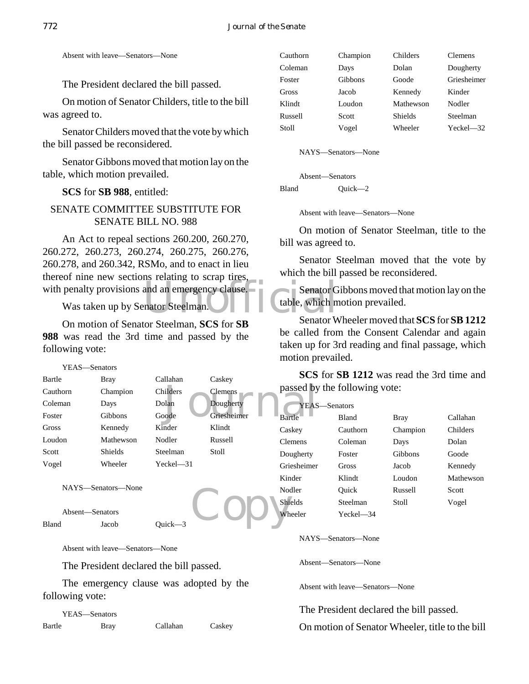Absent with leave—Senators—None

The President declared the bill passed.

On motion of Senator Childers, title to the bill was agreed to.

Senator Childers moved that the vote by which the bill passed be reconsidered.

Senator Gibbons moved that motion lay on the table, which motion prevailed.

**SCS** for **SB 988**, entitled:

# SENATE COMMITTEE SUBSTITUTE FOR SENATE BILL NO. 988

with penalty provisions and an emergency clause. Senator G<br>Was taken up by Senator Steelman. An Act to repeal sections 260.200, 260.270, 260.272, 260.273, 260.274, 260.275, 260.276, 260.278, and 260.342, RSMo, and to enact in lieu thereof nine new sections relating to scrap tires,

Was taken up by Senator Steelman.

On motion of Senator Steelman, **SCS** for **SB 988** was read the 3rd time and passed by the following vote:

Elemens passed by a passed by the passed by the contract of the contract of the contract of the contract of the contract of the contract of the contract of the contract of the contract of the contract of the contract of th YEAS—Senators Bartle Bray Callahan Caskey Cauthorn Champion Childers Clemens Coleman Days Dolan Dougherty Foster Gibbons Goode Griesheimer Gross Kennedy Kinder Klindt Loudon Mathewson Nodler Russell Scott Shields Steelman Stoll Vogel Wheeler Yeckel—31

NAYS—Senators—None

Absent—Senators Bland Jacob Quick—3

Absent with leave—Senators—None

The President declared the bill passed.

The emergency clause was adopted by the following vote:

YEAS—Senators Bartle Bray Callahan Caskey

| Cauthorn | Champion | Childers       | <b>Clemens</b> |
|----------|----------|----------------|----------------|
| Coleman  | Days     | Dolan          | Dougherty      |
| Foster   | Gibbons  | Goode          | Griesheimer    |
| Gross    | Jacob    | Kennedy        | Kinder         |
| Klindt   | Loudon   | Mathewson      | Nodler         |
| Russell  | Scott    | <b>Shields</b> | Steelman       |
| Stoll    | Vogel    | Wheeler        | Yeckel-32      |

NAYS—Senators—None

Absent—Senators Bland Quick—2

Absent with leave—Senators—None

On motion of Senator Steelman, title to the bill was agreed to.

Senator Steelman moved that the vote by which the bill passed be reconsidered.

Senator Gibbons moved that motion lay on the table, which motion prevailed.

Senator Wheeler moved that **SCS** for **SB 1212** be called from the Consent Calendar and again taken up for 3rd reading and final passage, which motion prevailed.

**SCS** for **SB 1212** was read the 3rd time and passed by the following vote:

|  | Dougherty   | YEAS—Senators  |              |             |           |
|--|-------------|----------------|--------------|-------------|-----------|
|  | Griesheimer | Bartle         | <b>Bland</b> | <b>Bray</b> | Callahan  |
|  | Klindt      | Caskey         | Cauthorn     | Champion    | Childers  |
|  | Russell     | <b>Clemens</b> | Coleman      | Days        | Dolan     |
|  | Stoll       | Dougherty      | Foster       | Gibbons     | Goode     |
|  |             | Griesheimer    | Gross        | Jacob       | Kennedy   |
|  |             | Kinder         | Klindt       | Loudon      | Mathewson |
|  |             | Nodler         | Ouick        | Russell     | Scott     |
|  |             | <b>Shields</b> | Steelman     | Stoll       | Vogel     |
|  |             | Wheeler        | Yeckel-34    |             |           |
|  |             |                |              |             |           |

NAYS—Senators—None

Absent—Senators—None

Absent with leave—Senators—None

The President declared the bill passed.

On motion of Senator Wheeler, title to the bill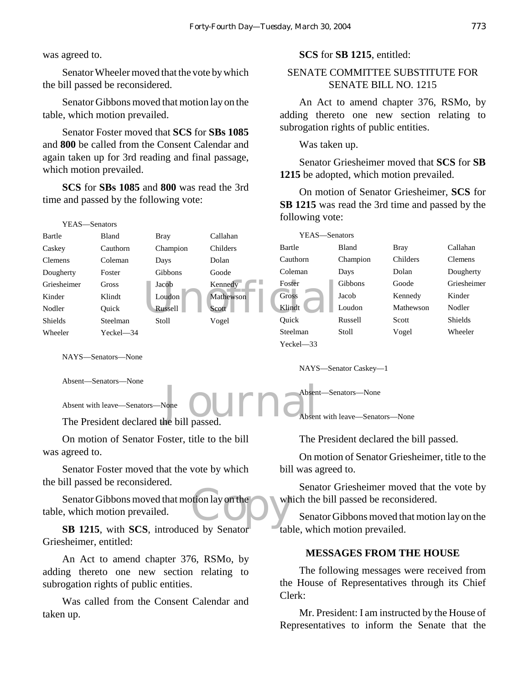was agreed to.

Senator Wheeler moved that the vote by which the bill passed be reconsidered.

Senator Gibbons moved that motion lay on the table, which motion prevailed.

Senator Foster moved that **SCS** for **SBs 1085** and **800** be called from the Consent Calendar and again taken up for 3rd reading and final passage, which motion prevailed.

**SCS** for **SBs 1085** and **800** was read the 3rd time and passed by the following vote:

#### **SCS** for **SB 1215**, entitled:

# SENATE COMMITTEE SUBSTITUTE FOR SENATE BILL NO. 1215

An Act to amend chapter 376, RSMo, by adding thereto one new section relating to subrogation rights of public entities.

Was taken up.

Senator Griesheimer moved that **SCS** for **SB 1215** be adopted, which motion prevailed.

On motion of Senator Griesheimer, **SCS** for **SB 1215** was read the 3rd time and passed by the following vote:

| 1 L L N<br>-vulator o |              |                |           |               |          |             |                |
|-----------------------|--------------|----------------|-----------|---------------|----------|-------------|----------------|
| Bartle                | Bland        | <b>Bray</b>    | Callahan  | YEAS—Senators |          |             |                |
| Caskey                | Cauthorn     | Champion       | Childers  | Bartle        | Bland    | <b>Bray</b> | Callahan       |
| <b>Clemens</b>        | Coleman      | Days           | Dolan     | Cauthorn      | Champion | Childers    | <b>Clemens</b> |
| Dougherty             | Foster       | Gibbons        | Goode     | Coleman       | Days     | Dolan       | Dougherty      |
| Griesheimer           | <b>Gross</b> | Jacob          | Kennedy   | Foster        | Gibbons  | Goode       | Griesheimer    |
| Kinder                | Klindt       | Loudon         | Mathewson | <b>Gross</b>  | Jacob    | Kennedy     | Kinder         |
| Nodler                | Ouick        | <b>Russell</b> | Scott_    | Klindt        | Loudon   | Mathewson   | Nodler         |
| <b>Shields</b>        | Steelman     | Stoll          | Vogel     | Ouick         | Russell  | Scott       | Shields        |
| Wheeler               | Yeckel-34    |                |           | Steelman      | Stoll    | Vogel       | Wheeler        |
|                       |              |                |           | $Yeckel - 33$ |          |             |                |
| NAVS Senators None    |              |                |           |               |          |             |                |

NAYS—Senators—None

VEAS Senators

Absent—Senators—None

Absent with leave—Senators—None

 $J_{\text{one}}$  ournal passed. The President declared the bill passed.

On motion of Senator Foster, title to the bill was agreed to.

Senator Foster moved that the vote by which the bill passed be reconsidered.

otion lay on the Senator Gibbons moved that motion lay on the table, which motion prevailed.

**SB 1215**, with **SCS**, introduced by Senator Griesheimer, entitled:

An Act to amend chapter 376, RSMo, by adding thereto one new section relating to subrogation rights of public entities.

Was called from the Consent Calendar and taken up.

The President declared the bill passed.

NAYS—Senator Caskey—1

Absent—Senators—None

Absent with leave—Senators—None

On motion of Senator Griesheimer, title to the bill was agreed to.

Senator Griesheimer moved that the vote by which the bill passed be reconsidered.

Senator Gibbons moved that motion lay on the table, which motion prevailed.

#### **MESSAGES FROM THE HOUSE**

The following messages were received from the House of Representatives through its Chief Clerk:

Mr. President: I am instructed by the House of Representatives to inform the Senate that the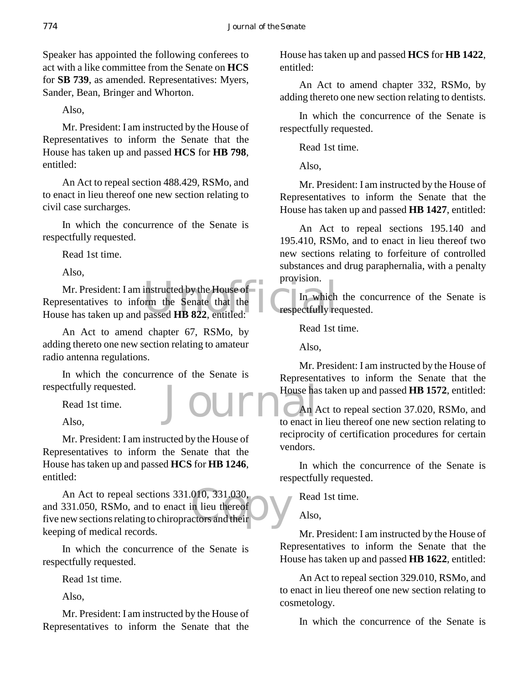Speaker has appointed the following conferees to act with a like committee from the Senate on **HCS** for **SB 739**, as amended. Representatives: Myers, Sander, Bean, Bringer and Whorton.

Also,

Mr. President: I am instructed by the House of Representatives to inform the Senate that the House has taken up and passed **HCS** for **HB 798**, entitled:

An Act to repeal section 488.429, RSMo, and to enact in lieu thereof one new section relating to civil case surcharges.

In which the concurrence of the Senate is respectfully requested.

Read 1st time.

Also,

Mr. President: I am instructed by the House of<br>
Representatives to inform the Senate that the<br>
House has taken up and passed **HB 822**, entitled: Mr. President: I am instructed by the House of Representatives to inform the Senate that the

An Act to amend chapter 67, RSMo, by adding thereto one new section relating to amateur radio antenna regulations.

Journ In which the concurrence of the Senate is respectfully requested.

Read 1st time.

Also,

Mr. President: I am instructed by the House of Representatives to inform the Senate that the House has taken up and passed **HCS** for **HB 1246**, entitled:

An Act to repeal sections 331.010, 331.030,<br>and 331.050, RSMo, and to enact in lieu thereof<br>five new sections relating to chiropractors and their An Act to repeal sections 331.010, 331.030, and 331.050, RSMo, and to enact in lieu thereof keeping of medical records.

In which the concurrence of the Senate is respectfully requested.

Read 1st time.

Also,

Mr. President: I am instructed by the House of Representatives to inform the Senate that the

House has taken up and passed **HCS** for **HB 1422**, entitled:

An Act to amend chapter 332, RSMo, by adding thereto one new section relating to dentists.

In which the concurrence of the Senate is respectfully requested.

Read 1st time.

Also,

Mr. President: I am instructed by the House of Representatives to inform the Senate that the House has taken up and passed **HB 1427**, entitled:

An Act to repeal sections 195.140 and 195.410, RSMo, and to enact in lieu thereof two new sections relating to forfeiture of controlled substances and drug paraphernalia, with a penalty provision.

In which the concurrence of the Senate is respectfully requested.

Read 1st time.

Also,

Mr. President: I am instructed by the House of Representatives to inform the Senate that the House has taken up and passed **HB 1572**, entitled:

An Act to repeal section 37.020, RSMo, and to enact in lieu thereof one new section relating to reciprocity of certification procedures for certain vendors.

In which the concurrence of the Senate is respectfully requested.

Read 1st time.

Also,

Mr. President: I am instructed by the House of Representatives to inform the Senate that the House has taken up and passed **HB 1622**, entitled:

An Act to repeal section 329.010, RSMo, and to enact in lieu thereof one new section relating to cosmetology.

In which the concurrence of the Senate is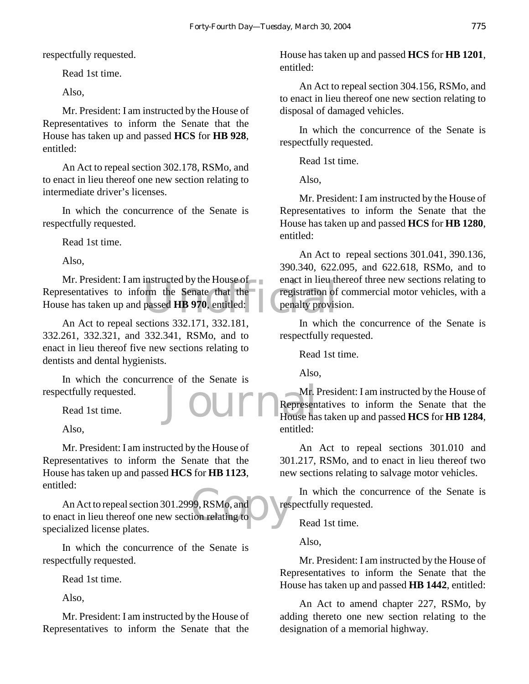respectfully requested.

Read 1st time.

Also,

Mr. President: I am instructed by the House of Representatives to inform the Senate that the House has taken up and passed **HCS** for **HB 928**, entitled:

An Act to repeal section 302.178, RSMo, and to enact in lieu thereof one new section relating to intermediate driver's licenses.

In which the concurrence of the Senate is respectfully requested.

Read 1st time.

Also,

enact in heutrem<br>orm the Senate that the registration of<br>passed HB 970, entitled:<br> $\frac{222.171.222.191}{222.191}$ Mr. President: I am instructed by the House of Representatives to inform the Senate that the House has taken up and passed **HB 970**, entitled:

An Act to repeal sections 332.171, 332.181, 332.261, 332.321, and 332.341, RSMo, and to enact in lieu thereof five new sections relating to dentists and dental hygienists.

In which the concurrence of the Senate is respectfully requested.

Read 1st time.

Also,

Mr. President: I am instructed by the House of Representatives to inform the Senate that the House has taken up and passed **HCS** for **HB 1123**, entitled:

99, RSMo, and res An Act to repeal section 301.2999, RSMo, and to enact in lieu thereof one new section relating to specialized license plates.

In which the concurrence of the Senate is respectfully requested.

Read 1st time.

Also,

Mr. President: I am instructed by the House of Representatives to inform the Senate that the

House has taken up and passed **HCS** for **HB 1201**, entitled:

An Act to repeal section 304.156, RSMo, and to enact in lieu thereof one new section relating to disposal of damaged vehicles.

In which the concurrence of the Senate is respectfully requested.

Read 1st time.

Also,

Mr. President: I am instructed by the House of Representatives to inform the Senate that the House has taken up and passed **HCS** for **HB 1280**, entitled:

An Act to repeal sections 301.041, 390.136, 390.340, 622.095, and 622.618, RSMo, and to enact in lieu thereof three new sections relating to registration of commercial motor vehicles, with a penalty provision.

In which the concurrence of the Senate is respectfully requested.

Read 1st time.

Also,

Journ Represen Mr. President: I am instructed by the House of Representatives to inform the Senate that the House has taken up and passed **HCS** for **HB 1284**, entitled:

> An Act to repeal sections 301.010 and 301.217, RSMo, and to enact in lieu thereof two new sections relating to salvage motor vehicles.

> In which the concurrence of the Senate is respectfully requested.

Read 1st time.

Also,

Mr. President: I am instructed by the House of Representatives to inform the Senate that the House has taken up and passed **HB 1442**, entitled:

An Act to amend chapter 227, RSMo, by adding thereto one new section relating to the designation of a memorial highway.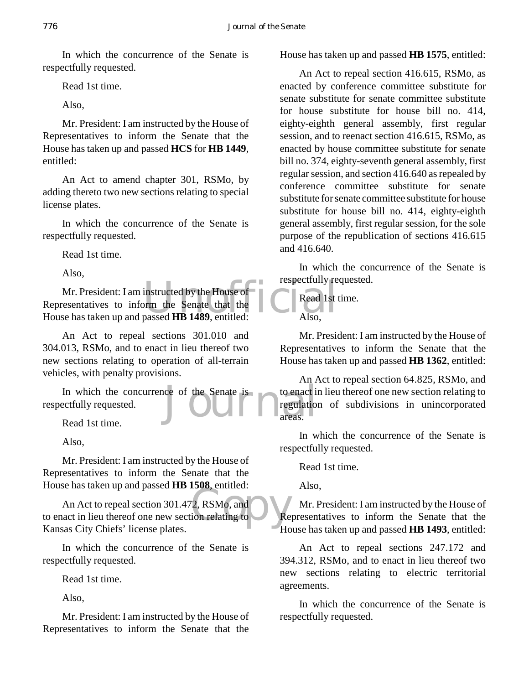In which the concurrence of the Senate is respectfully requested.

Read 1st time.

Also,

Mr. President: I am instructed by the House of Representatives to inform the Senate that the House has taken up and passed **HCS** for **HB 1449**, entitled:

An Act to amend chapter 301, RSMo, by adding thereto two new sections relating to special license plates.

In which the concurrence of the Senate is respectfully requested.

Read 1st time.

Also,

Examples instructed by the House of<br>
orm the Senate that the<br>
passed HB 1489, entitled: Also, Mr. President: I am instructed by the House of Representatives to inform the Senate that the House has taken up and passed **HB 1489**, entitled:

An Act to repeal sections 301.010 and 304.013, RSMo, and to enact in lieu thereof two new sections relating to operation of all-terrain vehicles, with penalty provisions.

In which the concurrence of the Senate is to enact in extractly requested. respectfully requested.

Read 1st time.

Also,

Mr. President: I am instructed by the House of Representatives to inform the Senate that the House has taken up and passed **HB 1508**, entitled:

 $P(2, RSMo, and$ <br>ion relating to  $\bigcup_{H \in \mathcal{H}} P(H)$ An Act to repeal section 301.472, RSMo, and to enact in lieu thereof one new section relating to Kansas City Chiefs' license plates.

In which the concurrence of the Senate is respectfully requested.

Read 1st time.

Also,

Mr. President: I am instructed by the House of Representatives to inform the Senate that the

House has taken up and passed **HB 1575**, entitled:

An Act to repeal section 416.615, RSMo, as enacted by conference committee substitute for senate substitute for senate committee substitute for house substitute for house bill no. 414, eighty-eighth general assembly, first regular session, and to reenact section 416.615, RSMo, as enacted by house committee substitute for senate bill no. 374, eighty-seventh general assembly, first regular session, and section 416.640 as repealed by conference committee substitute for senate substitute for senate committee substitute for house substitute for house bill no. 414, eighty-eighth general assembly, first regular session, for the sole purpose of the republication of sections 416.615 and 416.640.

In which the concurrence of the Senate is respectfully requested.

Read 1st time.

Also,

Mr. President: I am instructed by the House of Representatives to inform the Senate that the House has taken up and passed **HB 1362**, entitled:

An Act to repeal section 64.825, RSMo, and to enact in lieu thereof one new section relating to regulation of subdivisions in unincorporated areas.

In which the concurrence of the Senate is respectfully requested.

Read 1st time.

Also,

Mr. President: I am instructed by the House of Representatives to inform the Senate that the House has taken up and passed **HB 1493**, entitled:

An Act to repeal sections 247.172 and 394.312, RSMo, and to enact in lieu thereof two new sections relating to electric territorial agreements.

In which the concurrence of the Senate is respectfully requested.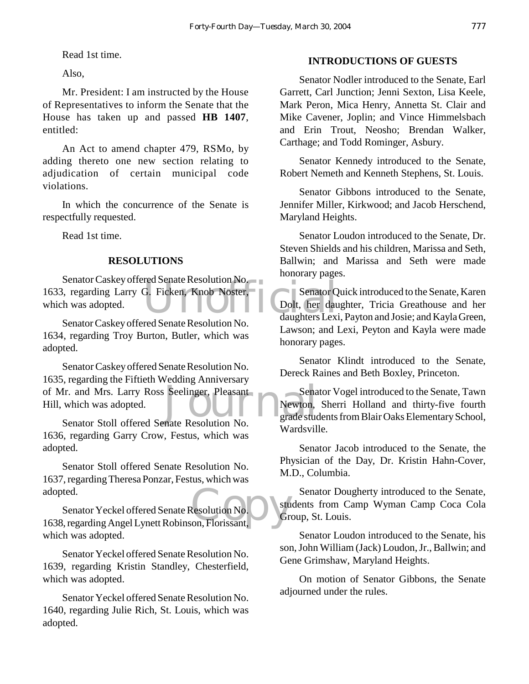Read 1st time.

Also,

Mr. President: I am instructed by the House of Representatives to inform the Senate that the House has taken up and passed **HB 1407**, entitled:

An Act to amend chapter 479, RSMo, by adding thereto one new section relating to adjudication of certain municipal code violations.

In which the concurrence of the Senate is respectfully requested.

Read 1st time.

#### **RESOLUTIONS**

G. Ficken, Knob Noster, Senator Q.<br>Dolt, her daughters Lexi Senator Caskey offered Senate Resolution No. 1633, regarding Larry G. Ficken, Knob Noster, which was adopted.

Senator Caskey offered Senate Resolution No. 1634, regarding Troy Burton, Butler, which was adopted.

Senator School of Mr. and Mrs. Larry Ross Seelinger, Pleasant<br>
Hill, which was adopted.<br>
Senator Stoll offered Senate Resolution No Senator Caskey offered Senate Resolution No. 1635, regarding the Fiftieth Wedding Anniversary Hill, which was adopted.

Senator Stoll offered Senate Resolution No. 1636, regarding Garry Crow, Festus, which was adopted.

Senator Stoll offered Senate Resolution No. 1637, regarding Theresa Ponzar, Festus, which was adopted.

adopted.<br>
Senator Yeckel offered Senate Resolution No.<br>
1638, regarding Angel Lynett Robinson, Florissant, Senator Yeckel offered Senate Resolution No. which was adopted.

Senator Yeckel offered Senate Resolution No. 1639, regarding Kristin Standley, Chesterfield, which was adopted.

Senator Yeckel offered Senate Resolution No. 1640, regarding Julie Rich, St. Louis, which was adopted.

#### **INTRODUCTIONS OF GUESTS**

Senator Nodler introduced to the Senate, Earl Garrett, Carl Junction; Jenni Sexton, Lisa Keele, Mark Peron, Mica Henry, Annetta St. Clair and Mike Cavener, Joplin; and Vince Himmelsbach and Erin Trout, Neosho; Brendan Walker, Carthage; and Todd Rominger, Asbury.

Senator Kennedy introduced to the Senate, Robert Nemeth and Kenneth Stephens, St. Louis.

Senator Gibbons introduced to the Senate, Jennifer Miller, Kirkwood; and Jacob Herschend, Maryland Heights.

Senator Loudon introduced to the Senate, Dr. Steven Shields and his children, Marissa and Seth, Ballwin; and Marissa and Seth were made honorary pages.

Senator Quick introduced to the Senate, Karen Dolt, her daughter, Tricia Greathouse and her daughters Lexi, Payton and Josie; and Kayla Green, Lawson; and Lexi, Peyton and Kayla were made honorary pages.

Senator Klindt introduced to the Senate, Dereck Raines and Beth Boxley, Princeton.

Senator Vogel introduced to the Senate, Tawn Newton, Sherri Holland and thirty-five fourth grade students from Blair Oaks Elementary School, Wardsville.

Senator Jacob introduced to the Senate, the Physician of the Day, Dr. Kristin Hahn-Cover, M.D., Columbia.

Senator Dougherty introduced to the Senate, students from Camp Wyman Camp Coca Cola Group, St. Louis.

Senator Loudon introduced to the Senate, his son, John William (Jack) Loudon, Jr., Ballwin; and Gene Grimshaw, Maryland Heights.

On motion of Senator Gibbons, the Senate adjourned under the rules.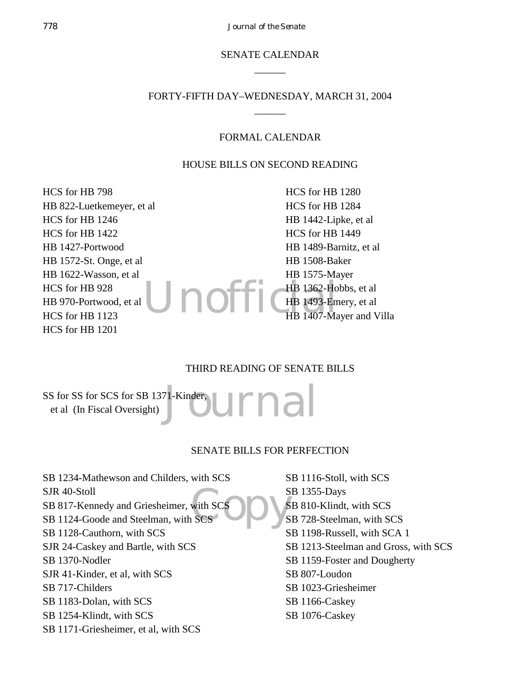# SENATE CALENDAR  $\overline{\phantom{a}}$

# FORTY-FIFTH DAY–WEDNESDAY, MARCH 31, 2004  $\overline{\phantom{a}}$

#### FORMAL CALENDAR

#### HOUSE BILLS ON SECOND READING

HCS for HB 798 HB 822-Luetkemeyer, et al HCS for HB 1246 HCS for HB 1422 HB 1427-Portwood HB 1572-St. Onge, et al HB 1622-Wasson, et al HCS for HB 928 HB 970-Portwood, et al HCS for HB 1123 HCS for HB 1201

Unoffiche 1493-Em HCS for HB 1280 HCS for HB 1284 HB 1442-Lipke, et al HCS for HB 1449 HB 1489-Barnitz, et al HB 1508-Baker HB 1575-Mayer HB 1362-Hobbs, et al HB 1493-Emery, et al HB 1407-Mayer and Villa

#### THIRD READING OF SENATE BILLS

<sup>71-Kinder</sup>, urnal SS for SS for SCS for SB 1371-Kinder, et al (In Fiscal Oversight)

#### SENATE BILLS FOR PERFECTION

with SCS<br>SCS COPY S SB 1234-Mathewson and Childers, with SCS SJR 40-Stoll SB 817-Kennedy and Griesheimer, with SCS SB 1124-Goode and Steelman, with SCS SB 1128-Cauthorn, with SCS SJR 24-Caskey and Bartle, with SCS SB 1370-Nodler SJR 41-Kinder, et al, with SCS SB 717-Childers SB 1183-Dolan, with SCS SB 1254-Klindt, with SCS SB 1171-Griesheimer, et al, with SCS

SB 1116-Stoll, with SCS SB 1355-Days SB 810-Klindt, with SCS SB 728-Steelman, with SCS SB 1198-Russell, with SCA 1 SB 1213-Steelman and Gross, with SCS SB 1159-Foster and Dougherty SB 807-Loudon SB 1023-Griesheimer SB 1166-Caskey SB 1076-Caskey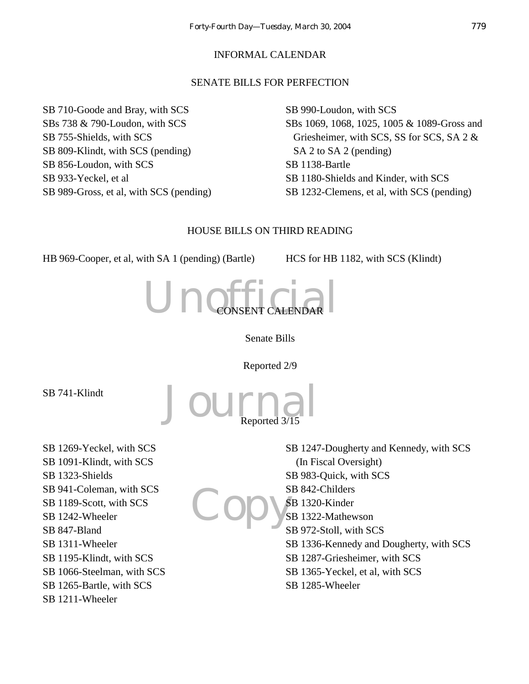#### INFORMAL CALENDAR

#### SENATE BILLS FOR PERFECTION

SB 710-Goode and Bray, with SCS SBs 738 & 790-Loudon, with SCS SB 755-Shields, with SCS SB 809-Klindt, with SCS (pending) SB 856-Loudon, with SCS SB 933-Yeckel, et al SB 989-Gross, et al, with SCS (pending) SB 990-Loudon, with SCS SBs 1069, 1068, 1025, 1005 & 1089-Gross and Griesheimer, with SCS, SS for SCS, SA 2 & SA 2 to SA 2 (pending) SB 1138-Bartle SB 1180-Shields and Kinder, with SCS SB 1232-Clemens, et al, with SCS (pending)

#### HOUSE BILLS ON THIRD READING

HB 969-Cooper, et al, with SA 1 (pending) (Bartle) HCS for HB 1182, with SCS (Klindt)



Journal

Senate Bills

Reported 2/9

Reported 3/15

SB 741-Klindt

SB 1269-Yeckel, with SCS SB 1091-Klindt, with SCS SB 1323-Shields SB 941-Coleman, with SCS SB 1189-Scott, with SCS SB 1242-Wheeler SB 847-Bland SB 1311-Wheeler SB 1195-Klindt, with SCS SB 1066-Steelman, with SCS SB 1265-Bartle, with SCS SB 1211-Wheeler

Copy's SB 1247-Dougherty and Kennedy, with SCS (In Fiscal Oversight) SB 983-Quick, with SCS SB 842-Childers SB 1320-Kinder SB 1322-Mathewson SB 972-Stoll, with SCS SB 1336-Kennedy and Dougherty, with SCS SB 1287-Griesheimer, with SCS SB 1365-Yeckel, et al, with SCS SB 1285-Wheeler